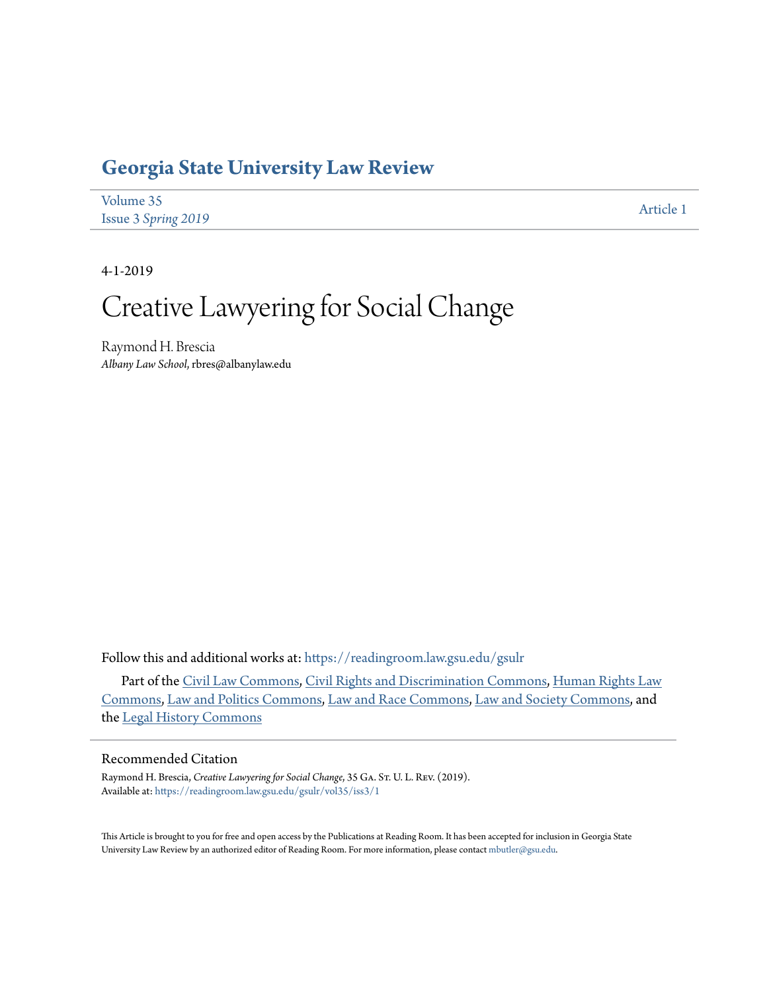# **[Georgia State University Law Review](https://readingroom.law.gsu.edu/gsulr?utm_source=readingroom.law.gsu.edu%2Fgsulr%2Fvol35%2Fiss3%2F1&utm_medium=PDF&utm_campaign=PDFCoverPages)**

| Volume 35           | Article 1 |
|---------------------|-----------|
| Issue 3 Spring 2019 |           |

4-1-2019

# Creative Lawyering for Social Change

Raymond H. Brescia *Albany Law School*, rbres@albanylaw.edu

Follow this and additional works at: [https://readingroom.law.gsu.edu/gsulr](https://readingroom.law.gsu.edu/gsulr?utm_source=readingroom.law.gsu.edu%2Fgsulr%2Fvol35%2Fiss3%2F1&utm_medium=PDF&utm_campaign=PDFCoverPages)

Part of the [Civil Law Commons](http://network.bepress.com/hgg/discipline/835?utm_source=readingroom.law.gsu.edu%2Fgsulr%2Fvol35%2Fiss3%2F1&utm_medium=PDF&utm_campaign=PDFCoverPages), [Civil Rights and Discrimination Commons,](http://network.bepress.com/hgg/discipline/585?utm_source=readingroom.law.gsu.edu%2Fgsulr%2Fvol35%2Fiss3%2F1&utm_medium=PDF&utm_campaign=PDFCoverPages) [Human Rights Law](http://network.bepress.com/hgg/discipline/847?utm_source=readingroom.law.gsu.edu%2Fgsulr%2Fvol35%2Fiss3%2F1&utm_medium=PDF&utm_campaign=PDFCoverPages) [Commons,](http://network.bepress.com/hgg/discipline/847?utm_source=readingroom.law.gsu.edu%2Fgsulr%2Fvol35%2Fiss3%2F1&utm_medium=PDF&utm_campaign=PDFCoverPages) [Law and Politics Commons](http://network.bepress.com/hgg/discipline/867?utm_source=readingroom.law.gsu.edu%2Fgsulr%2Fvol35%2Fiss3%2F1&utm_medium=PDF&utm_campaign=PDFCoverPages), [Law and Race Commons,](http://network.bepress.com/hgg/discipline/1300?utm_source=readingroom.law.gsu.edu%2Fgsulr%2Fvol35%2Fiss3%2F1&utm_medium=PDF&utm_campaign=PDFCoverPages) [Law and Society Commons](http://network.bepress.com/hgg/discipline/853?utm_source=readingroom.law.gsu.edu%2Fgsulr%2Fvol35%2Fiss3%2F1&utm_medium=PDF&utm_campaign=PDFCoverPages), and the [Legal History Commons](http://network.bepress.com/hgg/discipline/904?utm_source=readingroom.law.gsu.edu%2Fgsulr%2Fvol35%2Fiss3%2F1&utm_medium=PDF&utm_campaign=PDFCoverPages)

### Recommended Citation

Raymond H. Brescia, *Creative Lawyering for Social Change*, 35 Ga. St. U. L. Rev. (2019). Available at: [https://readingroom.law.gsu.edu/gsulr/vol35/iss3/1](https://readingroom.law.gsu.edu/gsulr/vol35/iss3/1?utm_source=readingroom.law.gsu.edu%2Fgsulr%2Fvol35%2Fiss3%2F1&utm_medium=PDF&utm_campaign=PDFCoverPages)

This Article is brought to you for free and open access by the Publications at Reading Room. It has been accepted for inclusion in Georgia State University Law Review by an authorized editor of Reading Room. For more information, please contact [mbutler@gsu.edu.](mailto:mbutler@gsu.edu)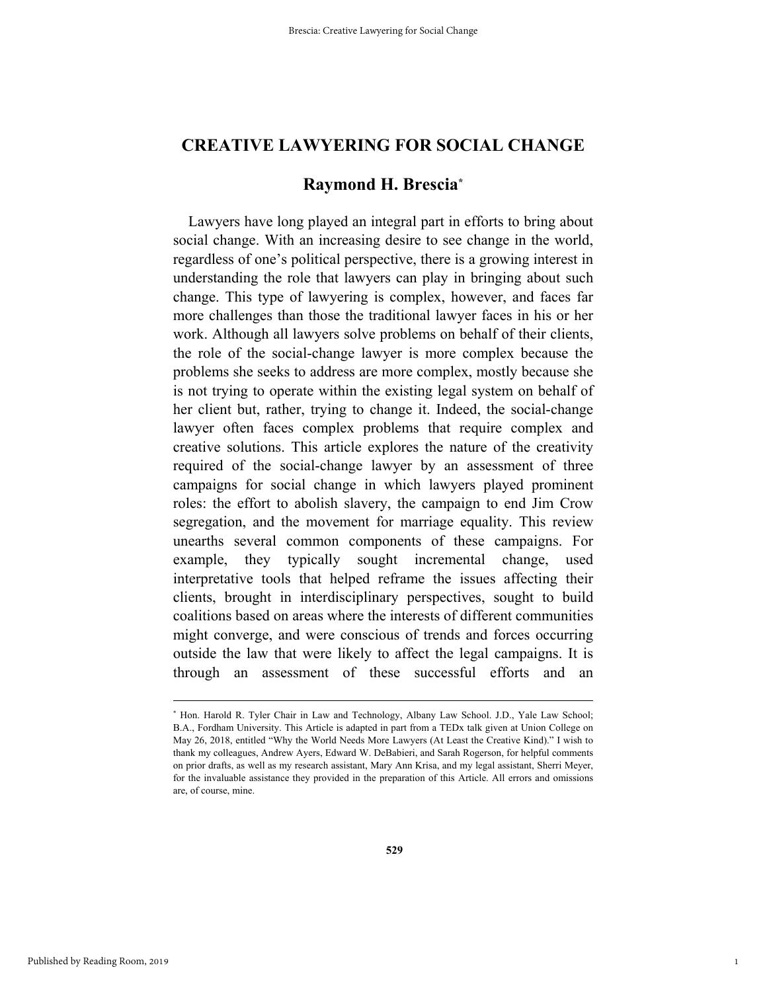# **CREATIVE LAWYERING FOR SOCIAL CHANGE**

# **Raymond H. Brescia\***

Lawyers have long played an integral part in efforts to bring about social change. With an increasing desire to see change in the world, regardless of one's political perspective, there is a growing interest in understanding the role that lawyers can play in bringing about such change. This type of lawyering is complex, however, and faces far more challenges than those the traditional lawyer faces in his or her work. Although all lawyers solve problems on behalf of their clients, the role of the social-change lawyer is more complex because the problems she seeks to address are more complex, mostly because she is not trying to operate within the existing legal system on behalf of her client but, rather, trying to change it. Indeed, the social-change lawyer often faces complex problems that require complex and creative solutions. This article explores the nature of the creativity required of the social-change lawyer by an assessment of three campaigns for social change in which lawyers played prominent roles: the effort to abolish slavery, the campaign to end Jim Crow segregation, and the movement for marriage equality. This review unearths several common components of these campaigns. For example, they typically sought incremental change, used interpretative tools that helped reframe the issues affecting their clients, brought in interdisciplinary perspectives, sought to build coalitions based on areas where the interests of different communities might converge, and were conscious of trends and forces occurring outside the law that were likely to affect the legal campaigns. It is through an assessment of these successful efforts and an

 <sup>\*</sup> \* Hon. Harold R. Tyler Chair in Law and Technology, Albany Law School. J.D., Yale Law School; B.A., Fordham University. This Article is adapted in part from a TEDx talk given at Union College on May 26, 2018, entitled "Why the World Needs More Lawyers (At Least the Creative Kind)." I wish to thank my colleagues, Andrew Ayers, Edward W. DeBabieri, and Sarah Rogerson, for helpful comments on prior drafts, as well as my research assistant, Mary Ann Krisa, and my legal assistant, Sherri Meyer, for the invaluable assistance they provided in the preparation of this Article. All errors and omissions are, of course, mine.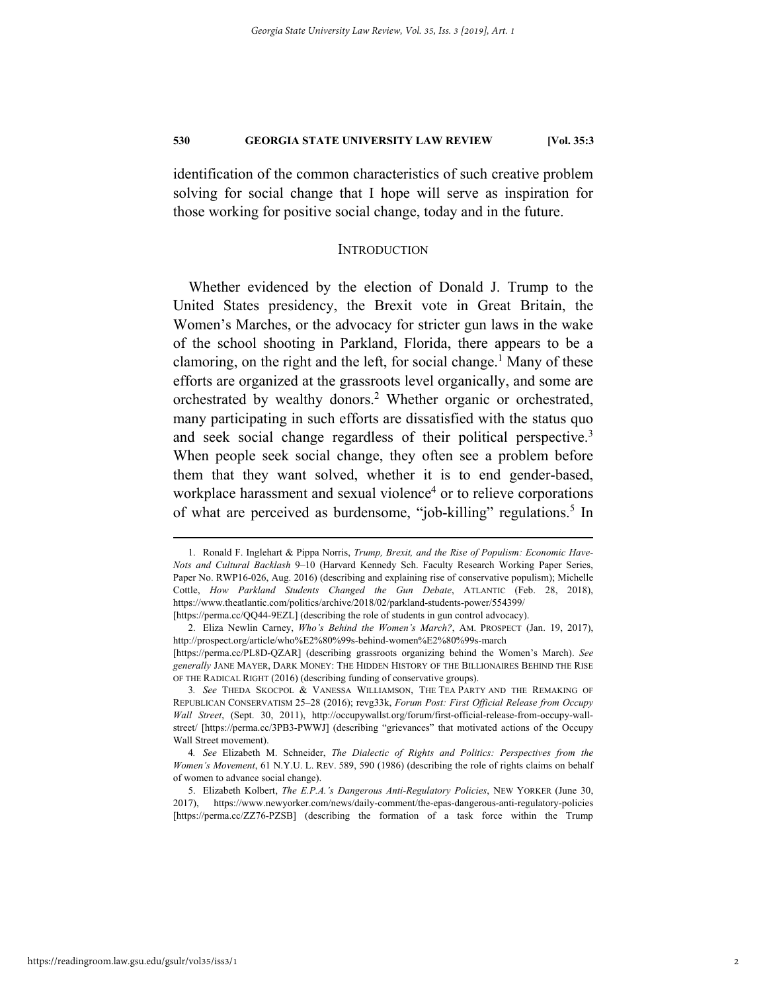identification of the common characteristics of such creative problem solving for social change that I hope will serve as inspiration for those working for positive social change, today and in the future.

#### **INTRODUCTION**

Whether evidenced by the election of Donald J. Trump to the United States presidency, the Brexit vote in Great Britain, the Women's Marches, or the advocacy for stricter gun laws in the wake of the school shooting in Parkland, Florida, there appears to be a clamoring, on the right and the left, for social change.<sup>1</sup> Many of these efforts are organized at the grassroots level organically, and some are orchestrated by wealthy donors.<sup>2</sup> Whether organic or orchestrated, many participating in such efforts are dissatisfied with the status quo and seek social change regardless of their political perspective.<sup>3</sup> When people seek social change, they often see a problem before them that they want solved, whether it is to end gender-based, workplace harassment and sexual violence<sup>4</sup> or to relieve corporations of what are perceived as burdensome, "job-killing" regulations.<sup>5</sup> In

 <sup>1.</sup> Ronald F. Inglehart & Pippa Norris, *Trump, Brexit, and the Rise of Populism: Economic Have-Nots and Cultural Backlash* 9–10 (Harvard Kennedy Sch. Faculty Research Working Paper Series, Paper No. RWP16-026, Aug. 2016) (describing and explaining rise of conservative populism); Michelle Cottle, *How Parkland Students Changed the Gun Debate*, ATLANTIC (Feb. 28, 2018), https://www.theatlantic.com/politics/archive/2018/02/parkland-students-power/554399/ [https://perma.cc/QQ44-9EZL] (describing the role of students in gun control advocacy).

 <sup>2.</sup> Eliza Newlin Carney, *Who's Behind the Women's March?*, AM. PROSPECT (Jan. 19, 2017), http://prospect.org/article/who%E2%80%99s-behind-women%E2%80%99s-march

<sup>[</sup>https://perma.cc/PL8D-QZAR] (describing grassroots organizing behind the Women's March). *See generally* JANE MAYER, DARK MONEY: THE HIDDEN HISTORY OF THE BILLIONAIRES BEHIND THE RISE OF THE RADICAL RIGHT (2016) (describing funding of conservative groups).

<sup>3</sup>*. See* THEDA SKOCPOL & VANESSA WILLIAMSON, THE TEA PARTY AND THE REMAKING OF REPUBLICAN CONSERVATISM 25–28 (2016); revg33k, *Forum Post: First Official Release from Occupy Wall Street*, (Sept. 30, 2011), http://occupywallst.org/forum/first-official-release-from-occupy-wallstreet/ [https://perma.cc/3PB3-PWWJ] (describing "grievances" that motivated actions of the Occupy Wall Street movement).

<sup>4</sup>*. See* Elizabeth M. Schneider, *The Dialectic of Rights and Politics: Perspectives from the Women's Movement*, 61 N.Y.U. L. REV. 589, 590 (1986) (describing the role of rights claims on behalf of women to advance social change).

 <sup>5.</sup> Elizabeth Kolbert, *The E.P.A.'s Dangerous Anti-Regulatory Policies*, NEW YORKER (June 30, 2017), https://www.newyorker.com/news/daily-comment/the-epas-dangerous-anti-regulatory-policies [https://perma.cc/ZZ76-PZSB] (describing the formation of a task force within the Trump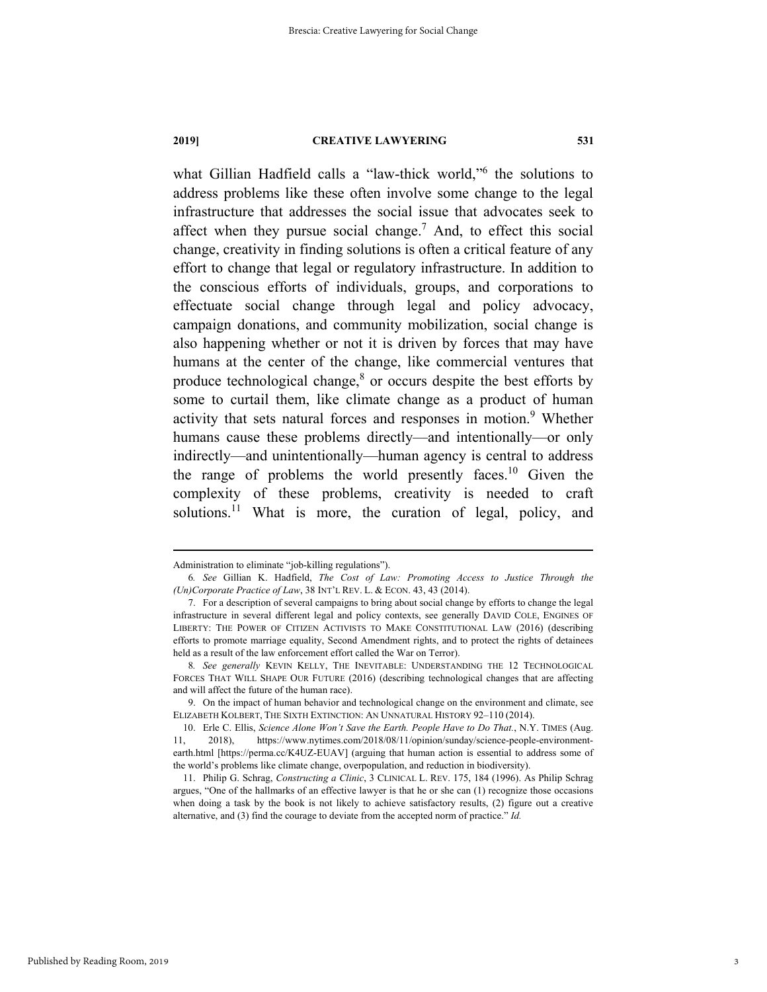what Gillian Hadfield calls a "law-thick world,"6 the solutions to address problems like these often involve some change to the legal infrastructure that addresses the social issue that advocates seek to affect when they pursue social change.<sup>7</sup> And, to effect this social change, creativity in finding solutions is often a critical feature of any effort to change that legal or regulatory infrastructure. In addition to the conscious efforts of individuals, groups, and corporations to effectuate social change through legal and policy advocacy, campaign donations, and community mobilization, social change is also happening whether or not it is driven by forces that may have humans at the center of the change, like commercial ventures that produce technological change, $8$  or occurs despite the best efforts by some to curtail them, like climate change as a product of human activity that sets natural forces and responses in motion.<sup>9</sup> Whether humans cause these problems directly—and intentionally—or only indirectly—and unintentionally—human agency is central to address the range of problems the world presently faces.<sup>10</sup> Given the complexity of these problems, creativity is needed to craft solutions.<sup>11</sup> What is more, the curation of legal, policy, and

Administration to eliminate "job-killing regulations").

<sup>6</sup>*. See* Gillian K. Hadfield, *The Cost of Law: Promoting Access to Justice Through the (Un)Corporate Practice of Law*, 38 INT'L REV. L. & ECON. 43, 43 (2014).

 <sup>7.</sup> For a description of several campaigns to bring about social change by efforts to change the legal infrastructure in several different legal and policy contexts, see generally DAVID COLE, ENGINES OF LIBERTY: THE POWER OF CITIZEN ACTIVISTS TO MAKE CONSTITUTIONAL LAW (2016) (describing efforts to promote marriage equality, Second Amendment rights, and to protect the rights of detainees held as a result of the law enforcement effort called the War on Terror).

<sup>8</sup>*. See generally* KEVIN KELLY, THE INEVITABLE: UNDERSTANDING THE 12 TECHNOLOGICAL FORCES THAT WILL SHAPE OUR FUTURE (2016) (describing technological changes that are affecting and will affect the future of the human race).

 <sup>9.</sup> On the impact of human behavior and technological change on the environment and climate, see ELIZABETH KOLBERT, THE SIXTH EXTINCTION: AN UNNATURAL HISTORY 92–110 (2014).

 <sup>10.</sup> Erle C. Ellis, *Science Alone Won't Save the Earth. People Have to Do That.*, N.Y. TIMES (Aug. 11, 2018), https://www.nytimes.com/2018/08/11/opinion/sunday/science-people-environmentearth.html [https://perma.cc/K4UZ-EUAV] (arguing that human action is essential to address some of the world's problems like climate change, overpopulation, and reduction in biodiversity).

 <sup>11.</sup> Philip G. Schrag, *Constructing a Clinic*, 3 CLINICAL L. REV. 175, 184 (1996). As Philip Schrag argues, "One of the hallmarks of an effective lawyer is that he or she can (1) recognize those occasions when doing a task by the book is not likely to achieve satisfactory results, (2) figure out a creative alternative, and (3) find the courage to deviate from the accepted norm of practice." *Id.*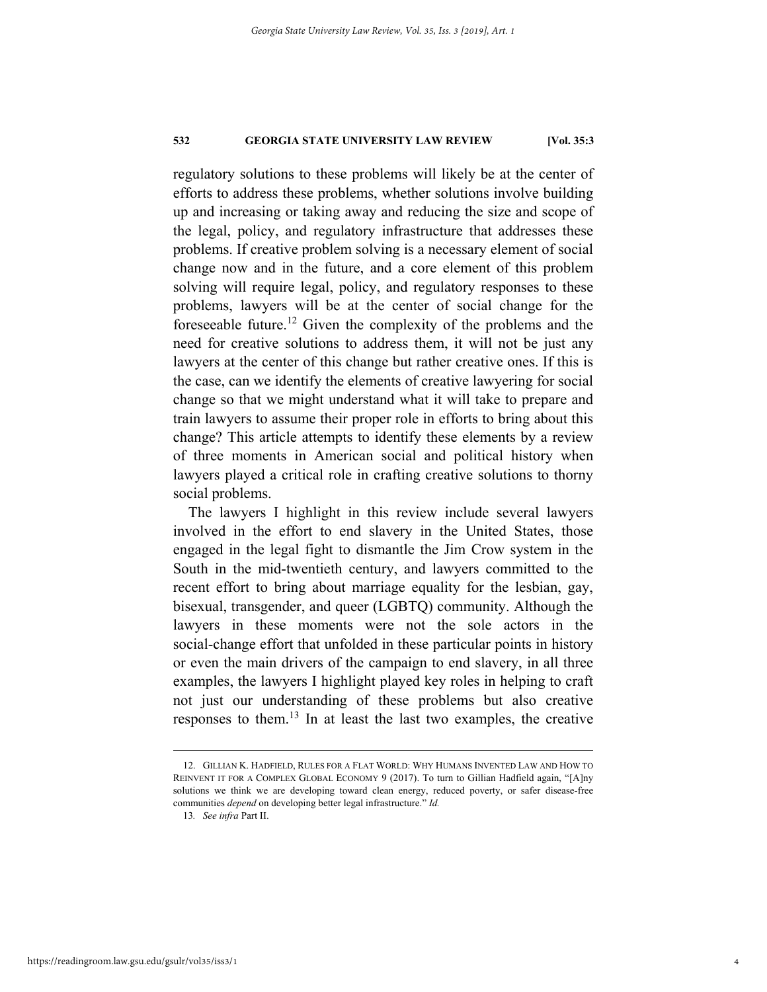regulatory solutions to these problems will likely be at the center of efforts to address these problems, whether solutions involve building up and increasing or taking away and reducing the size and scope of the legal, policy, and regulatory infrastructure that addresses these problems. If creative problem solving is a necessary element of social change now and in the future, and a core element of this problem solving will require legal, policy, and regulatory responses to these problems, lawyers will be at the center of social change for the foreseeable future.<sup>12</sup> Given the complexity of the problems and the need for creative solutions to address them, it will not be just any lawyers at the center of this change but rather creative ones. If this is the case, can we identify the elements of creative lawyering for social change so that we might understand what it will take to prepare and train lawyers to assume their proper role in efforts to bring about this change? This article attempts to identify these elements by a review of three moments in American social and political history when lawyers played a critical role in crafting creative solutions to thorny social problems.

The lawyers I highlight in this review include several lawyers involved in the effort to end slavery in the United States, those engaged in the legal fight to dismantle the Jim Crow system in the South in the mid-twentieth century, and lawyers committed to the recent effort to bring about marriage equality for the lesbian, gay, bisexual, transgender, and queer (LGBTQ) community. Although the lawyers in these moments were not the sole actors in the social-change effort that unfolded in these particular points in history or even the main drivers of the campaign to end slavery, in all three examples, the lawyers I highlight played key roles in helping to craft not just our understanding of these problems but also creative responses to them.13 In at least the last two examples, the creative

 <sup>12.</sup> GILLIAN K. HADFIELD, RULES FOR A FLAT WORLD: WHY HUMANS INVENTED LAW AND HOW TO REINVENT IT FOR A COMPLEX GLOBAL ECONOMY 9 (2017). To turn to Gillian Hadfield again, "[A]ny solutions we think we are developing toward clean energy, reduced poverty, or safer disease-free communities *depend* on developing better legal infrastructure." *Id.*

<sup>13</sup>*. See infra* Part II.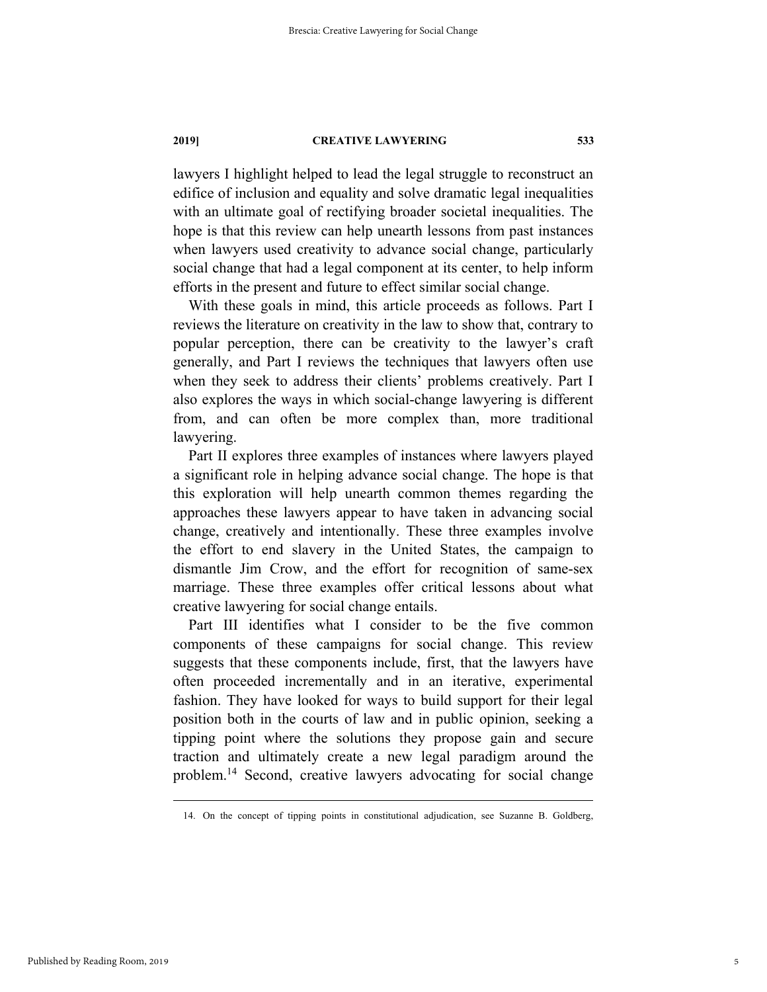lawyers I highlight helped to lead the legal struggle to reconstruct an edifice of inclusion and equality and solve dramatic legal inequalities with an ultimate goal of rectifying broader societal inequalities. The hope is that this review can help unearth lessons from past instances when lawyers used creativity to advance social change, particularly social change that had a legal component at its center, to help inform efforts in the present and future to effect similar social change.

With these goals in mind, this article proceeds as follows. Part I reviews the literature on creativity in the law to show that, contrary to popular perception, there can be creativity to the lawyer's craft generally, and Part I reviews the techniques that lawyers often use when they seek to address their clients' problems creatively. Part I also explores the ways in which social-change lawyering is different from, and can often be more complex than, more traditional lawyering.

Part II explores three examples of instances where lawyers played a significant role in helping advance social change. The hope is that this exploration will help unearth common themes regarding the approaches these lawyers appear to have taken in advancing social change, creatively and intentionally. These three examples involve the effort to end slavery in the United States, the campaign to dismantle Jim Crow, and the effort for recognition of same-sex marriage. These three examples offer critical lessons about what creative lawyering for social change entails.

Part III identifies what I consider to be the five common components of these campaigns for social change. This review suggests that these components include, first, that the lawyers have often proceeded incrementally and in an iterative, experimental fashion. They have looked for ways to build support for their legal position both in the courts of law and in public opinion, seeking a tipping point where the solutions they propose gain and secure traction and ultimately create a new legal paradigm around the problem.14 Second, creative lawyers advocating for social change

 <sup>14.</sup> On the concept of tipping points in constitutional adjudication, see Suzanne B. Goldberg,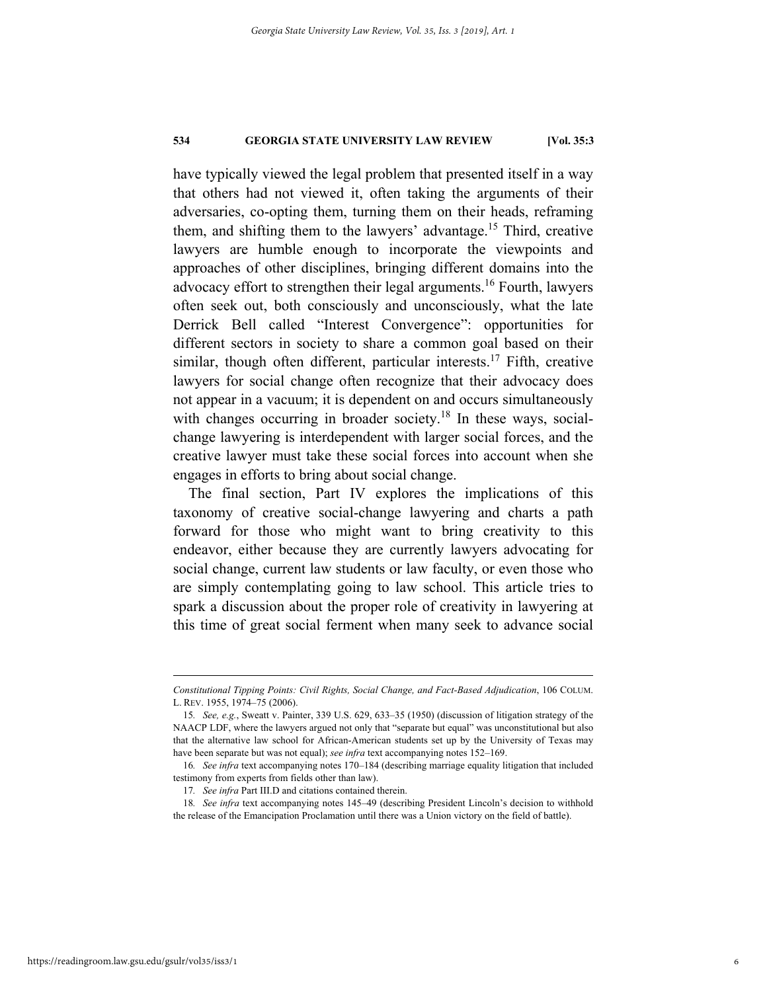have typically viewed the legal problem that presented itself in a way that others had not viewed it, often taking the arguments of their adversaries, co-opting them, turning them on their heads, reframing them, and shifting them to the lawyers' advantage.15 Third, creative lawyers are humble enough to incorporate the viewpoints and approaches of other disciplines, bringing different domains into the advocacy effort to strengthen their legal arguments.<sup>16</sup> Fourth, lawyers often seek out, both consciously and unconsciously, what the late Derrick Bell called "Interest Convergence": opportunities for different sectors in society to share a common goal based on their similar, though often different, particular interests.<sup>17</sup> Fifth, creative lawyers for social change often recognize that their advocacy does not appear in a vacuum; it is dependent on and occurs simultaneously with changes occurring in broader society.<sup>18</sup> In these ways, socialchange lawyering is interdependent with larger social forces, and the creative lawyer must take these social forces into account when she engages in efforts to bring about social change.

The final section, Part IV explores the implications of this taxonomy of creative social-change lawyering and charts a path forward for those who might want to bring creativity to this endeavor, either because they are currently lawyers advocating for social change, current law students or law faculty, or even those who are simply contemplating going to law school. This article tries to spark a discussion about the proper role of creativity in lawyering at this time of great social ferment when many seek to advance social

*Constitutional Tipping Points: Civil Rights, Social Change, and Fact-Based Adjudication*, 106 COLUM. L. REV. 1955, 1974–75 (2006).

<sup>15</sup>*. See, e.g.*, Sweatt v. Painter, 339 U.S. 629, 633–35 (1950) (discussion of litigation strategy of the NAACP LDF, where the lawyers argued not only that "separate but equal" was unconstitutional but also that the alternative law school for African-American students set up by the University of Texas may have been separate but was not equal); *see infra* text accompanying notes 152–169.

<sup>16</sup>*. See infra* text accompanying notes 170–184 (describing marriage equality litigation that included testimony from experts from fields other than law).

<sup>17</sup>*. See infra* Part III.D and citations contained therein.

<sup>18</sup>*. See infra* text accompanying notes 145–49 (describing President Lincoln's decision to withhold the release of the Emancipation Proclamation until there was a Union victory on the field of battle).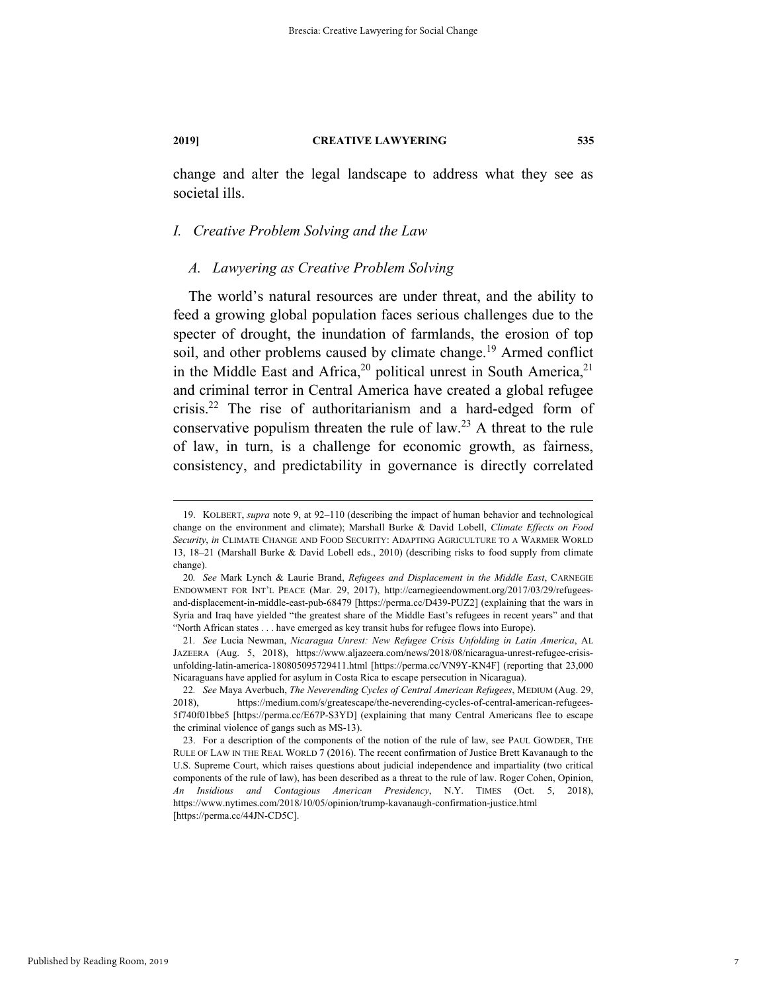change and alter the legal landscape to address what they see as societal ills.

#### *I. Creative Problem Solving and the Law*

#### *A. Lawyering as Creative Problem Solving*

The world's natural resources are under threat, and the ability to feed a growing global population faces serious challenges due to the specter of drought, the inundation of farmlands, the erosion of top soil, and other problems caused by climate change.<sup>19</sup> Armed conflict in the Middle East and Africa,<sup>20</sup> political unrest in South America,<sup>21</sup> and criminal terror in Central America have created a global refugee crisis.22 The rise of authoritarianism and a hard-edged form of conservative populism threaten the rule of law.<sup>23</sup> A threat to the rule of law, in turn, is a challenge for economic growth, as fairness, consistency, and predictability in governance is directly correlated

 <sup>19.</sup> KOLBERT, *supra* note 9, at 92–110 (describing the impact of human behavior and technological change on the environment and climate); Marshall Burke & David Lobell, *Climate Effects on Food Security*, *in* CLIMATE CHANGE AND FOOD SECURITY: ADAPTING AGRICULTURE TO A WARMER WORLD 13, 18–21 (Marshall Burke & David Lobell eds., 2010) (describing risks to food supply from climate change).

<sup>20</sup>*. See* Mark Lynch & Laurie Brand, *Refugees and Displacement in the Middle East*, CARNEGIE ENDOWMENT FOR INT'L PEACE (Mar. 29, 2017), http://carnegieendowment.org/2017/03/29/refugeesand-displacement-in-middle-east-pub-68479 [https://perma.cc/D439-PUZ2] (explaining that the wars in Syria and Iraq have yielded "the greatest share of the Middle East's refugees in recent years" and that "North African states . . . have emerged as key transit hubs for refugee flows into Europe).

<sup>21</sup>*. See* Lucia Newman, *Nicaragua Unrest: New Refugee Crisis Unfolding in Latin America*, AL JAZEERA (Aug. 5, 2018), https://www.aljazeera.com/news/2018/08/nicaragua-unrest-refugee-crisisunfolding-latin-america-180805095729411.html [https://perma.cc/VN9Y-KN4F] (reporting that 23,000 Nicaraguans have applied for asylum in Costa Rica to escape persecution in Nicaragua).

<sup>22</sup>*. See* Maya Averbuch, *The Neverending Cycles of Central American Refugees*, MEDIUM (Aug. 29, 2018), https://medium.com/s/greatescape/the-neverending-cycles-of-central-american-refugees-5f740f01bbe5 [https://perma.cc/E67P-S3YD] (explaining that many Central Americans flee to escape the criminal violence of gangs such as MS-13).

 <sup>23.</sup> For a description of the components of the notion of the rule of law, see PAUL GOWDER, THE RULE OF LAW IN THE REAL WORLD 7 (2016). The recent confirmation of Justice Brett Kavanaugh to the U.S. Supreme Court, which raises questions about judicial independence and impartiality (two critical components of the rule of law), has been described as a threat to the rule of law. Roger Cohen, Opinion, *An Insidious and Contagious American Presidency*, N.Y. TIMES (Oct. 5, 2018), https://www.nytimes.com/2018/10/05/opinion/trump-kavanaugh-confirmation-justice.html [https://perma.cc/44JN-CD5C].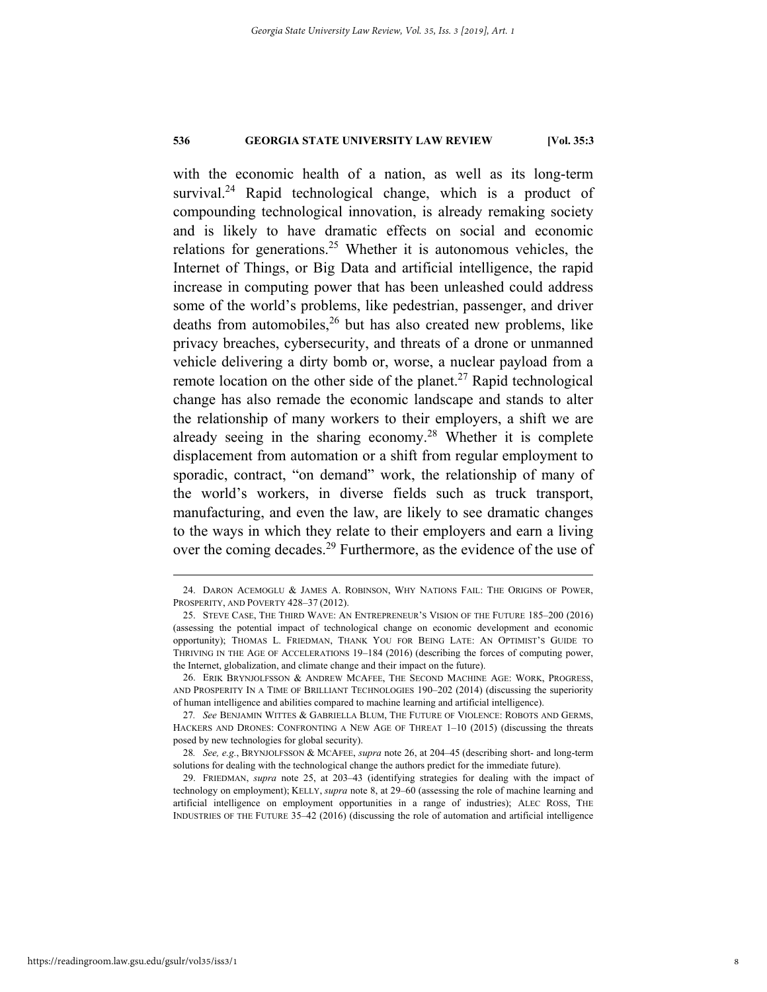with the economic health of a nation, as well as its long-term survival.<sup>24</sup> Rapid technological change, which is a product of compounding technological innovation, is already remaking society and is likely to have dramatic effects on social and economic relations for generations.<sup>25</sup> Whether it is autonomous vehicles, the Internet of Things, or Big Data and artificial intelligence, the rapid increase in computing power that has been unleashed could address some of the world's problems, like pedestrian, passenger, and driver deaths from automobiles,  $26$  but has also created new problems, like privacy breaches, cybersecurity, and threats of a drone or unmanned vehicle delivering a dirty bomb or, worse, a nuclear payload from a remote location on the other side of the planet.<sup>27</sup> Rapid technological change has also remade the economic landscape and stands to alter the relationship of many workers to their employers, a shift we are already seeing in the sharing economy.28 Whether it is complete displacement from automation or a shift from regular employment to sporadic, contract, "on demand" work, the relationship of many of the world's workers, in diverse fields such as truck transport, manufacturing, and even the law, are likely to see dramatic changes to the ways in which they relate to their employers and earn a living over the coming decades.<sup>29</sup> Furthermore, as the evidence of the use of

 <sup>24.</sup> DARON ACEMOGLU & JAMES A. ROBINSON, WHY NATIONS FAIL: THE ORIGINS OF POWER, PROSPERITY, AND POVERTY 428–37 (2012).

 <sup>25.</sup> STEVE CASE, THE THIRD WAVE: AN ENTREPRENEUR'S VISION OF THE FUTURE 185–200 (2016) (assessing the potential impact of technological change on economic development and economic opportunity); THOMAS L. FRIEDMAN, THANK YOU FOR BEING LATE: AN OPTIMIST'S GUIDE TO THRIVING IN THE AGE OF ACCELERATIONS 19–184 (2016) (describing the forces of computing power, the Internet, globalization, and climate change and their impact on the future).

 <sup>26.</sup> ERIK BRYNJOLFSSON & ANDREW MCAFEE, THE SECOND MACHINE AGE: WORK, PROGRESS, AND PROSPERITY IN A TIME OF BRILLIANT TECHNOLOGIES 190–202 (2014) (discussing the superiority of human intelligence and abilities compared to machine learning and artificial intelligence).

<sup>27</sup>*. See* BENJAMIN WITTES & GABRIELLA BLUM, THE FUTURE OF VIOLENCE: ROBOTS AND GERMS, HACKERS AND DRONES: CONFRONTING A NEW AGE OF THREAT 1-10 (2015) (discussing the threats posed by new technologies for global security).

<sup>28</sup>*. See, e.g.*, BRYNJOLFSSON & MCAFEE, *supra* note 26, at 204–45 (describing short- and long-term solutions for dealing with the technological change the authors predict for the immediate future).

 <sup>29.</sup> FRIEDMAN, *supra* note 25, at 203–43 (identifying strategies for dealing with the impact of technology on employment); KELLY, *supra* note 8, at 29–60 (assessing the role of machine learning and artificial intelligence on employment opportunities in a range of industries); ALEC ROSS, THE INDUSTRIES OF THE FUTURE 35–42 (2016) (discussing the role of automation and artificial intelligence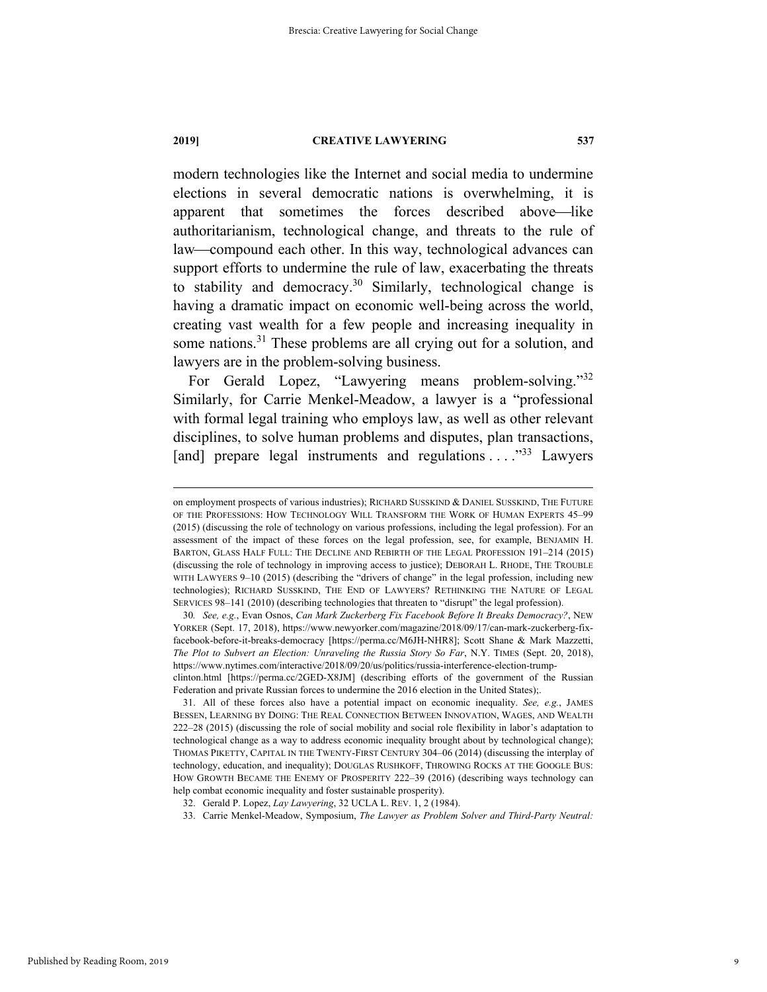modern technologies like the Internet and social media to undermine elections in several democratic nations is overwhelming, it is apparent that sometimes the forces described above—like authoritarianism, technological change, and threats to the rule of law—compound each other. In this way, technological advances can support efforts to undermine the rule of law, exacerbating the threats to stability and democracy.<sup>30</sup> Similarly, technological change is having a dramatic impact on economic well-being across the world, creating vast wealth for a few people and increasing inequality in some nations.<sup>31</sup> These problems are all crying out for a solution, and lawyers are in the problem-solving business.

For Gerald Lopez, "Lawyering means problem-solving."<sup>32</sup> Similarly, for Carrie Menkel-Meadow, a lawyer is a "professional with formal legal training who employs law, as well as other relevant disciplines, to solve human problems and disputes, plan transactions, [and] prepare legal instruments and regulations  $\dots$   $\mathbb{R}^{33}$  Lawyers

Federation and private Russian forces to undermine the 2016 election in the United States);.

 31. All of these forces also have a potential impact on economic inequality. *See, e.g.*, JAMES BESSEN, LEARNING BY DOING: THE REAL CONNECTION BETWEEN INNOVATION, WAGES, AND WEALTH 222–28 (2015) (discussing the role of social mobility and social role flexibility in labor's adaptation to technological change as a way to address economic inequality brought about by technological change); THOMAS PIKETTY, CAPITAL IN THE TWENTY-FIRST CENTURY 304–06 (2014) (discussing the interplay of technology, education, and inequality); DOUGLAS RUSHKOFF, THROWING ROCKS AT THE GOOGLE BUS: HOW GROWTH BECAME THE ENEMY OF PROSPERITY 222–39 (2016) (describing ways technology can help combat economic inequality and foster sustainable prosperity).

Published by Reading Room, 2019

on employment prospects of various industries); RICHARD SUSSKIND & DANIEL SUSSKIND, THE FUTURE OF THE PROFESSIONS: HOW TECHNOLOGY WILL TRANSFORM THE WORK OF HUMAN EXPERTS 45–99 (2015) (discussing the role of technology on various professions, including the legal profession). For an assessment of the impact of these forces on the legal profession, see, for example, BENJAMIN H. BARTON, GLASS HALF FULL: THE DECLINE AND REBIRTH OF THE LEGAL PROFESSION 191–214 (2015) (discussing the role of technology in improving access to justice); DEBORAH L. RHODE, THE TROUBLE WITH LAWYERS 9–10 (2015) (describing the "drivers of change" in the legal profession, including new technologies); RICHARD SUSSKIND, THE END OF LAWYERS? RETHINKING THE NATURE OF LEGAL SERVICES 98–141 (2010) (describing technologies that threaten to "disrupt" the legal profession).

<sup>30</sup>*. See, e.g.*, Evan Osnos, *Can Mark Zuckerberg Fix Facebook Before It Breaks Democracy?*, NEW YORKER (Sept. 17, 2018), https://www.newyorker.com/magazine/2018/09/17/can-mark-zuckerberg-fixfacebook-before-it-breaks-democracy [https://perma.cc/M6JH-NHR8]; Scott Shane & Mark Mazzetti, *The Plot to Subvert an Election: Unraveling the Russia Story So Far*, N.Y. TIMES (Sept. 20, 2018), https://www.nytimes.com/interactive/2018/09/20/us/politics/russia-interference-election-trumpclinton.html [https://perma.cc/2GED-X8JM] (describing efforts of the government of the Russian

 <sup>32.</sup> Gerald P. Lopez, *Lay Lawyering*, 32 UCLA L. REV. 1, 2 (1984).

 <sup>33.</sup> Carrie Menkel-Meadow, Symposium, *The Lawyer as Problem Solver and Third-Party Neutral:*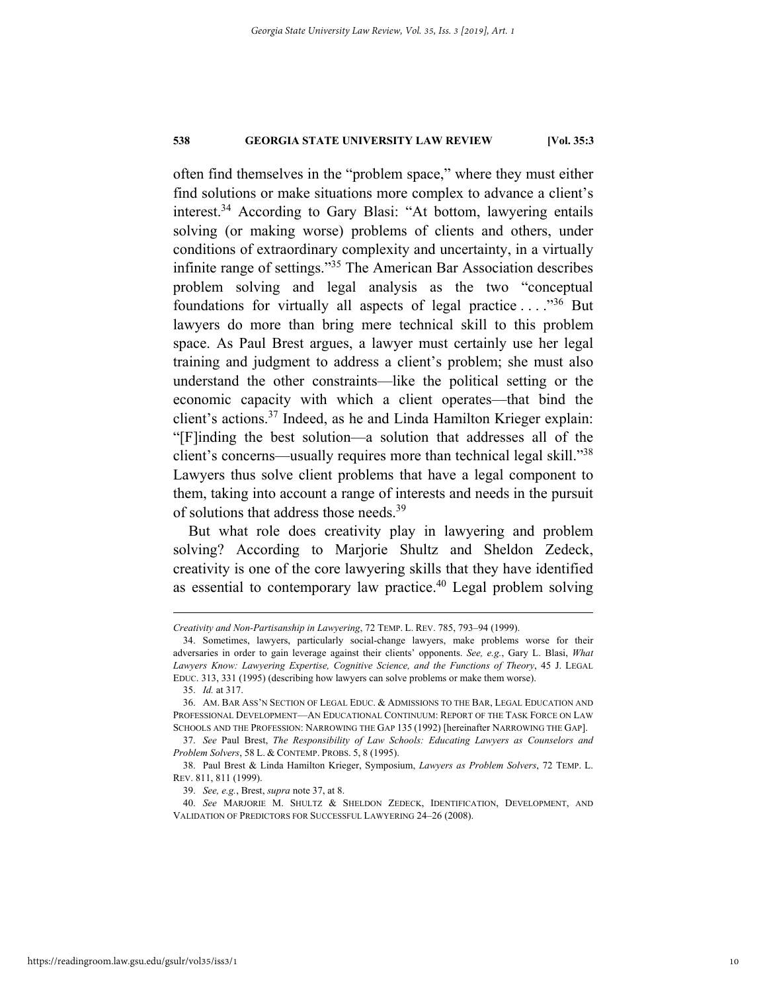often find themselves in the "problem space," where they must either find solutions or make situations more complex to advance a client's interest.34 According to Gary Blasi: "At bottom, lawyering entails solving (or making worse) problems of clients and others, under conditions of extraordinary complexity and uncertainty, in a virtually infinite range of settings."35 The American Bar Association describes problem solving and legal analysis as the two "conceptual foundations for virtually all aspects of legal practice  $\dots$ <sup>36</sup> But lawyers do more than bring mere technical skill to this problem space. As Paul Brest argues, a lawyer must certainly use her legal training and judgment to address a client's problem; she must also understand the other constraints—like the political setting or the economic capacity with which a client operates—that bind the client's actions.37 Indeed, as he and Linda Hamilton Krieger explain: "[F]inding the best solution—a solution that addresses all of the client's concerns—usually requires more than technical legal skill."<sup>38</sup> Lawyers thus solve client problems that have a legal component to them, taking into account a range of interests and needs in the pursuit of solutions that address those needs.39

But what role does creativity play in lawyering and problem solving? According to Marjorie Shultz and Sheldon Zedeck, creativity is one of the core lawyering skills that they have identified as essential to contemporary law practice.<sup>40</sup> Legal problem solving

35. *Id.* at 317.

*Creativity and Non-Partisanship in Lawyering*, 72 TEMP. L. REV. 785, 793–94 (1999).

 <sup>34.</sup> Sometimes, lawyers, particularly social-change lawyers, make problems worse for their adversaries in order to gain leverage against their clients' opponents. *See, e.g.*, Gary L. Blasi, *What Lawyers Know: Lawyering Expertise, Cognitive Science, and the Functions of Theory*, 45 J. LEGAL EDUC. 313, 331 (1995) (describing how lawyers can solve problems or make them worse).

 <sup>36.</sup> AM. BAR ASS'N SECTION OF LEGAL EDUC. & ADMISSIONS TO THE BAR, LEGAL EDUCATION AND PROFESSIONAL DEVELOPMENT—AN EDUCATIONAL CONTINUUM: REPORT OF THE TASK FORCE ON LAW SCHOOLS AND THE PROFESSION: NARROWING THE GAP 135 (1992) [hereinafter NARROWING THE GAP].

 <sup>37.</sup> *See* Paul Brest, *The Responsibility of Law Schools: Educating Lawyers as Counselors and Problem Solvers*, 58 L. & CONTEMP. PROBS. 5, 8 (1995).

 <sup>38.</sup> Paul Brest & Linda Hamilton Krieger, Symposium, *Lawyers as Problem Solvers*, 72 TEMP. L. REV. 811, 811 (1999).

 <sup>39.</sup> *See, e.g.*, Brest, *supra* note 37, at 8.

 <sup>40.</sup> *See* MARJORIE M. SHULTZ & SHELDON ZEDECK, IDENTIFICATION, DEVELOPMENT, AND VALIDATION OF PREDICTORS FOR SUCCESSFUL LAWYERING 24–26 (2008).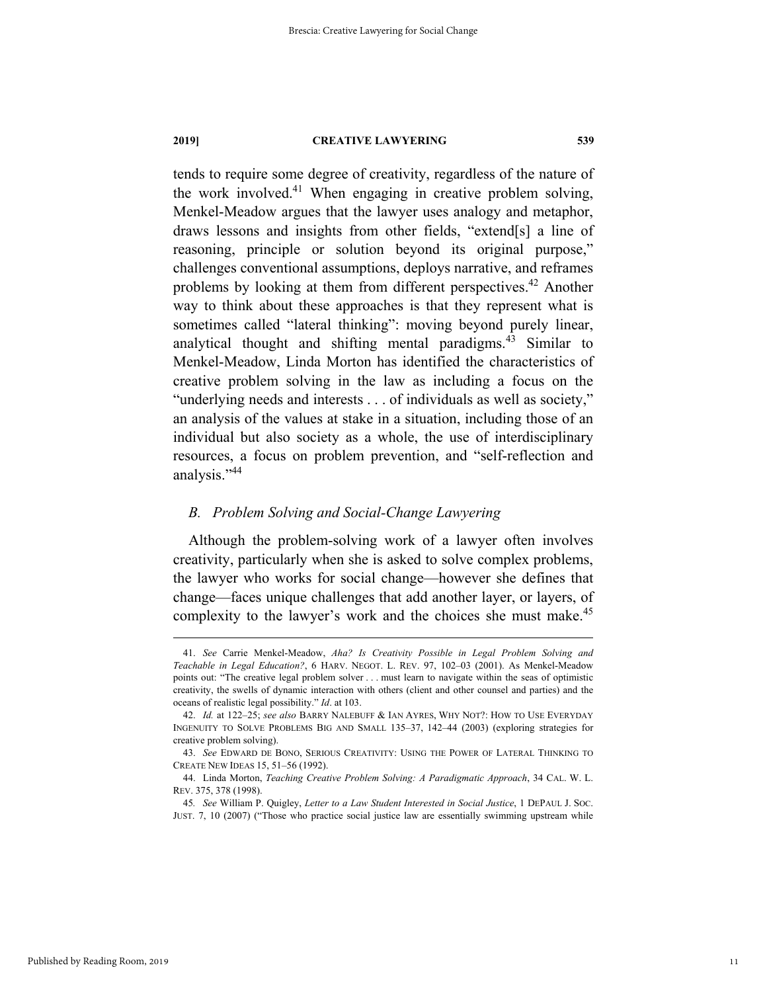tends to require some degree of creativity, regardless of the nature of the work involved.<sup>41</sup> When engaging in creative problem solving, Menkel-Meadow argues that the lawyer uses analogy and metaphor, draws lessons and insights from other fields, "extend[s] a line of reasoning, principle or solution beyond its original purpose," challenges conventional assumptions, deploys narrative, and reframes problems by looking at them from different perspectives.<sup>42</sup> Another way to think about these approaches is that they represent what is sometimes called "lateral thinking": moving beyond purely linear, analytical thought and shifting mental paradigms.<sup>43</sup> Similar to Menkel-Meadow, Linda Morton has identified the characteristics of creative problem solving in the law as including a focus on the "underlying needs and interests . . . of individuals as well as society," an analysis of the values at stake in a situation, including those of an individual but also society as a whole, the use of interdisciplinary resources, a focus on problem prevention, and "self-reflection and analysis."<sup>44</sup>

### *B. Problem Solving and Social-Change Lawyering*

Although the problem-solving work of a lawyer often involves creativity, particularly when she is asked to solve complex problems, the lawyer who works for social change—however she defines that change—faces unique challenges that add another layer, or layers, of complexity to the lawyer's work and the choices she must make.<sup>45</sup>

 <sup>41.</sup> *See* Carrie Menkel-Meadow, *Aha? Is Creativity Possible in Legal Problem Solving and Teachable in Legal Education?*, 6 HARV. NEGOT. L. REV. 97, 102–03 (2001). As Menkel-Meadow points out: "The creative legal problem solver . . . must learn to navigate within the seas of optimistic creativity, the swells of dynamic interaction with others (client and other counsel and parties) and the oceans of realistic legal possibility." *Id*. at 103.

 <sup>42.</sup> *Id.* at 122–25; *see also* BARRY NALEBUFF & IAN AYRES, WHY NOT?: HOW TO USE EVERYDAY INGENUITY TO SOLVE PROBLEMS BIG AND SMALL 135–37, 142–44 (2003) (exploring strategies for creative problem solving).

 <sup>43.</sup> *See* EDWARD DE BONO, SERIOUS CREATIVITY: USING THE POWER OF LATERAL THINKING TO CREATE NEW IDEAS 15, 51–56 (1992).

 <sup>44.</sup> Linda Morton, *Teaching Creative Problem Solving: A Paradigmatic Approach*, 34 CAL. W. L. REV. 375, 378 (1998).

<sup>45</sup>*. See* William P. Quigley, *Letter to a Law Student Interested in Social Justice*, 1 DEPAUL J. SOC. JUST. 7, 10 (2007) ("Those who practice social justice law are essentially swimming upstream while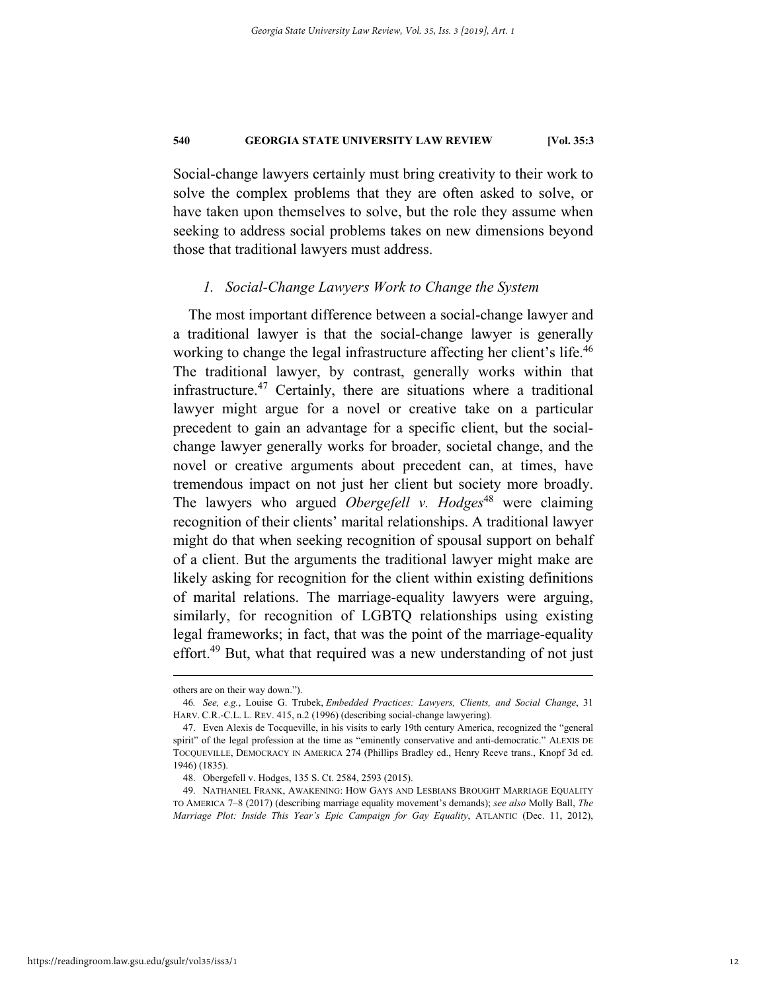Social-change lawyers certainly must bring creativity to their work to solve the complex problems that they are often asked to solve, or have taken upon themselves to solve, but the role they assume when seeking to address social problems takes on new dimensions beyond those that traditional lawyers must address.

#### *1. Social-Change Lawyers Work to Change the System*

The most important difference between a social-change lawyer and a traditional lawyer is that the social-change lawyer is generally working to change the legal infrastructure affecting her client's life.<sup>46</sup> The traditional lawyer, by contrast, generally works within that infrastructure.47 Certainly, there are situations where a traditional lawyer might argue for a novel or creative take on a particular precedent to gain an advantage for a specific client, but the socialchange lawyer generally works for broader, societal change, and the novel or creative arguments about precedent can, at times, have tremendous impact on not just her client but society more broadly. The lawyers who argued *Obergefell v. Hodges*<sup>48</sup> were claiming recognition of their clients' marital relationships. A traditional lawyer might do that when seeking recognition of spousal support on behalf of a client. But the arguments the traditional lawyer might make are likely asking for recognition for the client within existing definitions of marital relations. The marriage-equality lawyers were arguing, similarly, for recognition of LGBTQ relationships using existing legal frameworks; in fact, that was the point of the marriage-equality effort.<sup>49</sup> But, what that required was a new understanding of not just

others are on their way down.").

<sup>46</sup>*. See, e.g.*, Louise G. Trubek, *Embedded Practices: Lawyers, Clients, and Social Change*, 31 HARV. C.R.-C.L. L. REV. 415, n.2 (1996) (describing social-change lawyering).

 <sup>47.</sup> Even Alexis de Tocqueville, in his visits to early 19th century America, recognized the "general spirit" of the legal profession at the time as "eminently conservative and anti-democratic." ALEXIS DE TOCQUEVILLE, DEMOCRACY IN AMERICA 274 (Phillips Bradley ed., Henry Reeve trans., Knopf 3d ed. 1946) (1835).

 <sup>48.</sup> Obergefell v. Hodges, 135 S. Ct. 2584, 2593 (2015).

 <sup>49.</sup> NATHANIEL FRANK, AWAKENING: HOW GAYS AND LESBIANS BROUGHT MARRIAGE EQUALITY TO AMERICA 7–8 (2017) (describing marriage equality movement's demands); *see also* Molly Ball, *The Marriage Plot: Inside This Year's Epic Campaign for Gay Equality*, ATLANTIC (Dec. 11, 2012),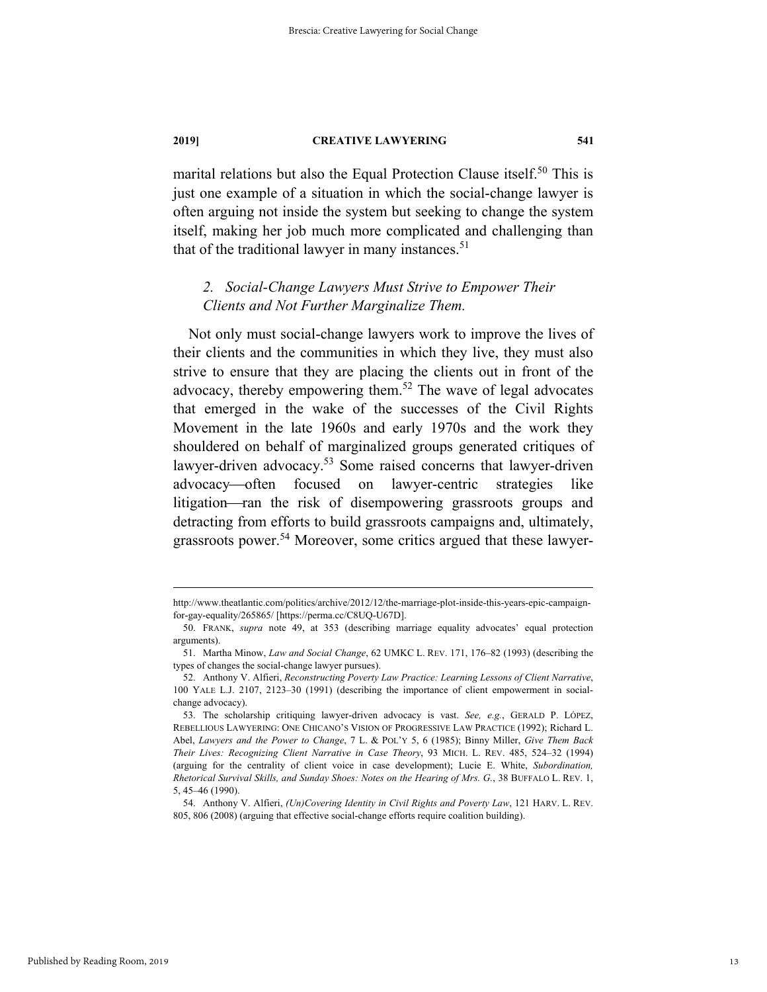marital relations but also the Equal Protection Clause itself.<sup>50</sup> This is just one example of a situation in which the social-change lawyer is often arguing not inside the system but seeking to change the system itself, making her job much more complicated and challenging than that of the traditional lawyer in many instances. $51$ 

# *2. Social-Change Lawyers Must Strive to Empower Their Clients and Not Further Marginalize Them.*

Not only must social-change lawyers work to improve the lives of their clients and the communities in which they live, they must also strive to ensure that they are placing the clients out in front of the advocacy, thereby empowering them.52 The wave of legal advocates that emerged in the wake of the successes of the Civil Rights Movement in the late 1960s and early 1970s and the work they shouldered on behalf of marginalized groups generated critiques of lawyer-driven advocacy.<sup>53</sup> Some raised concerns that lawyer-driven advocacy—often focused on lawyer-centric strategies like litigation—ran the risk of disempowering grassroots groups and detracting from efforts to build grassroots campaigns and, ultimately, grassroots power.<sup>54</sup> Moreover, some critics argued that these lawyer-

http://www.theatlantic.com/politics/archive/2012/12/the-marriage-plot-inside-this-years-epic-campaignfor-gay-equality/265865/ [https://perma.cc/C8UQ-U67D].

 <sup>50.</sup> FRANK, *supra* note 49, at 353 (describing marriage equality advocates' equal protection arguments).

 <sup>51.</sup> Martha Minow, *Law and Social Change*, 62 UMKC L. REV. 171, 176–82 (1993) (describing the types of changes the social-change lawyer pursues).

 <sup>52.</sup> Anthony V. Alfieri, *Reconstructing Poverty Law Practice: Learning Lessons of Client Narrative*, 100 YALE L.J. 2107, 2123–30 (1991) (describing the importance of client empowerment in socialchange advocacy).

 <sup>53.</sup> The scholarship critiquing lawyer-driven advocacy is vast. *See, e.g.*, GERALD P. LÓPEZ, REBELLIOUS LAWYERING: ONE CHICANO'S VISION OF PROGRESSIVE LAW PRACTICE (1992); Richard L. Abel, *Lawyers and the Power to Change*, 7 L. & POL'Y 5, 6 (1985); Binny Miller, *Give Them Back Their Lives: Recognizing Client Narrative in Case Theory*, 93 MICH. L. REV. 485, 524–32 (1994) (arguing for the centrality of client voice in case development); Lucie E. White, *Subordination, Rhetorical Survival Skills, and Sunday Shoes: Notes on the Hearing of Mrs. G.*, 38 BUFFALO L. REV. 1, 5, 45–46 (1990).

 <sup>54.</sup> Anthony V. Alfieri, *(Un)Covering Identity in Civil Rights and Poverty Law*, 121 HARV. L. REV. 805, 806 (2008) (arguing that effective social-change efforts require coalition building).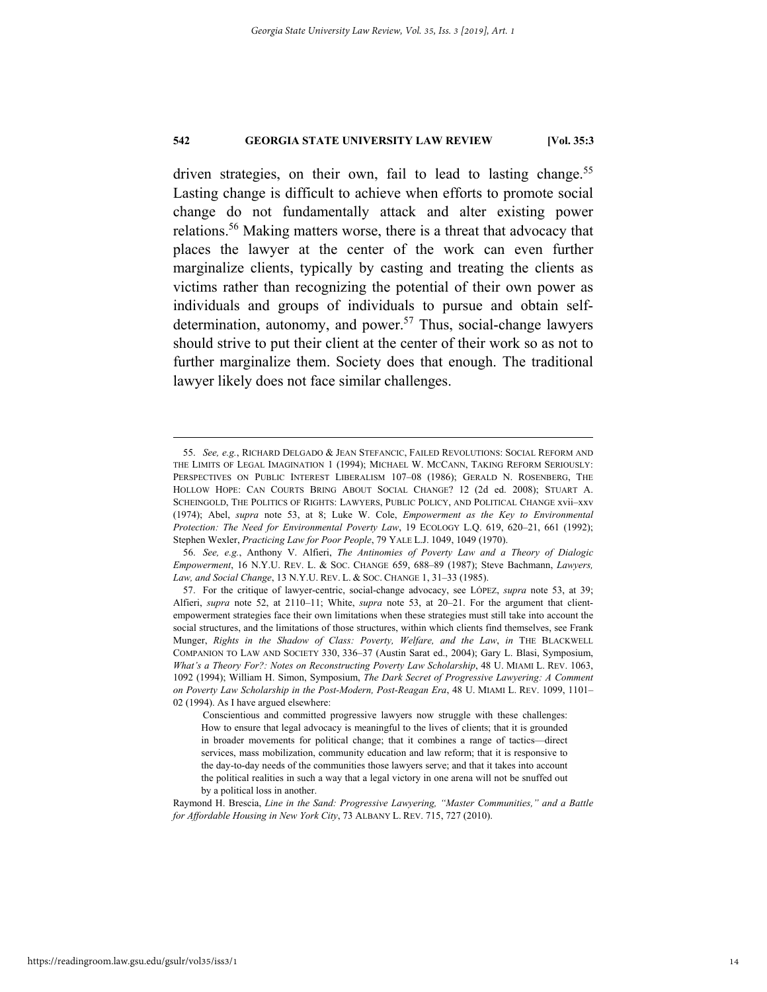driven strategies, on their own, fail to lead to lasting change.<sup>55</sup> Lasting change is difficult to achieve when efforts to promote social change do not fundamentally attack and alter existing power relations.56 Making matters worse, there is a threat that advocacy that places the lawyer at the center of the work can even further marginalize clients, typically by casting and treating the clients as victims rather than recognizing the potential of their own power as individuals and groups of individuals to pursue and obtain selfdetermination, autonomy, and power.<sup>57</sup> Thus, social-change lawyers should strive to put their client at the center of their work so as not to further marginalize them. Society does that enough. The traditional lawyer likely does not face similar challenges.

 <sup>55.</sup> *See, e.g.*, RICHARD DELGADO & JEAN STEFANCIC, FAILED REVOLUTIONS: SOCIAL REFORM AND THE LIMITS OF LEGAL IMAGINATION 1 (1994); MICHAEL W. MCCANN, TAKING REFORM SERIOUSLY: PERSPECTIVES ON PUBLIC INTEREST LIBERALISM 107–08 (1986); GERALD N. ROSENBERG, THE HOLLOW HOPE: CAN COURTS BRING ABOUT SOCIAL CHANGE? 12 (2d ed. 2008); STUART A. SCHEINGOLD, THE POLITICS OF RIGHTS: LAWYERS, PUBLIC POLICY, AND POLITICAL CHANGE xvii–xxv (1974); Abel, *supra* note 53, at 8; Luke W. Cole, *Empowerment as the Key to Environmental Protection: The Need for Environmental Poverty Law*, 19 ECOLOGY L.Q. 619, 620–21, 661 (1992); Stephen Wexler, *Practicing Law for Poor People*, 79 YALE L.J. 1049, 1049 (1970).

 <sup>56.</sup> *See, e.g.*, Anthony V. Alfieri, *The Antinomies of Poverty Law and a Theory of Dialogic Empowerment*, 16 N.Y.U. REV. L. & SOC. CHANGE 659, 688–89 (1987); Steve Bachmann, *Lawyers, Law, and Social Change*, 13 N.Y.U. REV. L. & SOC. CHANGE 1, 31–33 (1985).

 <sup>57.</sup> For the critique of lawyer-centric, social-change advocacy, see LÓPEZ, *supra* note 53, at 39; Alfieri, *supra* note 52, at 2110–11; White, *supra* note 53, at 20–21. For the argument that clientempowerment strategies face their own limitations when these strategies must still take into account the social structures, and the limitations of those structures, within which clients find themselves, see Frank Munger, *Rights in the Shadow of Class: Poverty, Welfare, and the Law*, *in* THE BLACKWELL COMPANION TO LAW AND SOCIETY 330, 336–37 (Austin Sarat ed., 2004); Gary L. Blasi, Symposium, *What's a Theory For?: Notes on Reconstructing Poverty Law Scholarship*, 48 U. MIAMI L. REV. 1063, 1092 (1994); William H. Simon, Symposium, *The Dark Secret of Progressive Lawyering: A Comment on Poverty Law Scholarship in the Post-Modern, Post-Reagan Era*, 48 U. MIAMI L. REV. 1099, 1101– 02 (1994). As I have argued elsewhere:

Conscientious and committed progressive lawyers now struggle with these challenges: How to ensure that legal advocacy is meaningful to the lives of clients; that it is grounded in broader movements for political change; that it combines a range of tactics—direct services, mass mobilization, community education and law reform; that it is responsive to the day-to-day needs of the communities those lawyers serve; and that it takes into account the political realities in such a way that a legal victory in one arena will not be snuffed out by a political loss in another.

Raymond H. Brescia, *Line in the Sand: Progressive Lawyering, "Master Communities," and a Battle for Affordable Housing in New York City*, 73 ALBANY L. REV. 715, 727 (2010).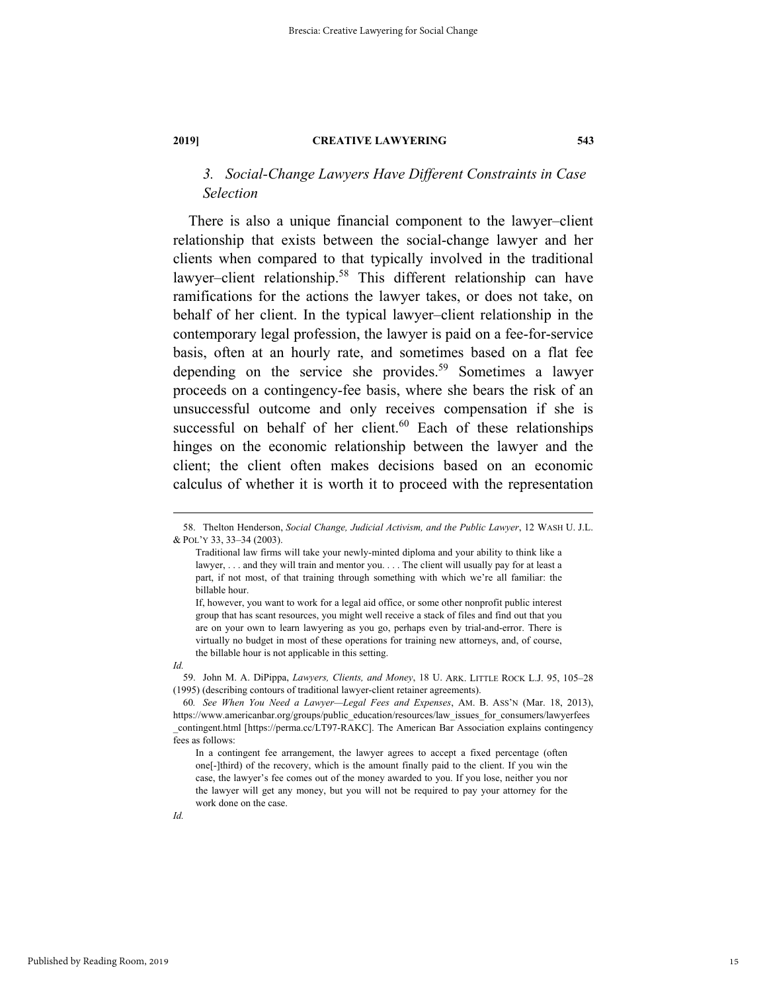# *3. Social-Change Lawyers Have Different Constraints in Case Selection*

There is also a unique financial component to the lawyer–client relationship that exists between the social-change lawyer and her clients when compared to that typically involved in the traditional lawyer–client relationship.58 This different relationship can have ramifications for the actions the lawyer takes, or does not take, on behalf of her client. In the typical lawyer–client relationship in the contemporary legal profession, the lawyer is paid on a fee-for-service basis, often at an hourly rate, and sometimes based on a flat fee depending on the service she provides.<sup>59</sup> Sometimes a lawyer proceeds on a contingency-fee basis, where she bears the risk of an unsuccessful outcome and only receives compensation if she is successful on behalf of her client. $60$  Each of these relationships hinges on the economic relationship between the lawyer and the client; the client often makes decisions based on an economic calculus of whether it is worth it to proceed with the representation

If, however, you want to work for a legal aid office, or some other nonprofit public interest group that has scant resources, you might well receive a stack of files and find out that you are on your own to learn lawyering as you go, perhaps even by trial-and-error. There is virtually no budget in most of these operations for training new attorneys, and, of course, the billable hour is not applicable in this setting.

 <sup>58.</sup> Thelton Henderson, *Social Change, Judicial Activism, and the Public Lawyer*, 12 WASH U. J.L. & POL'Y 33, 33–34 (2003).

Traditional law firms will take your newly-minted diploma and your ability to think like a lawyer, . . . and they will train and mentor you. . . . The client will usually pay for at least a part, if not most, of that training through something with which we're all familiar: the billable hour.

*Id.* 

 <sup>59.</sup> John M. A. DiPippa, *Lawyers, Clients, and Money*, 18 U. ARK. LITTLE ROCK L.J. 95, 105–28 (1995) (describing contours of traditional lawyer-client retainer agreements).

<sup>60</sup>*. See When You Need a Lawyer—Legal Fees and Expenses*, AM. B. ASS'N (Mar. 18, 2013), https://www.americanbar.org/groups/public\_education/resources/law\_issues\_for\_consumers/lawyerfees \_contingent.html [https://perma.cc/LT97-RAKC]. The American Bar Association explains contingency fees as follows:

In a contingent fee arrangement, the lawyer agrees to accept a fixed percentage (often one[-]third) of the recovery, which is the amount finally paid to the client. If you win the case, the lawyer's fee comes out of the money awarded to you. If you lose, neither you nor the lawyer will get any money, but you will not be required to pay your attorney for the work done on the case.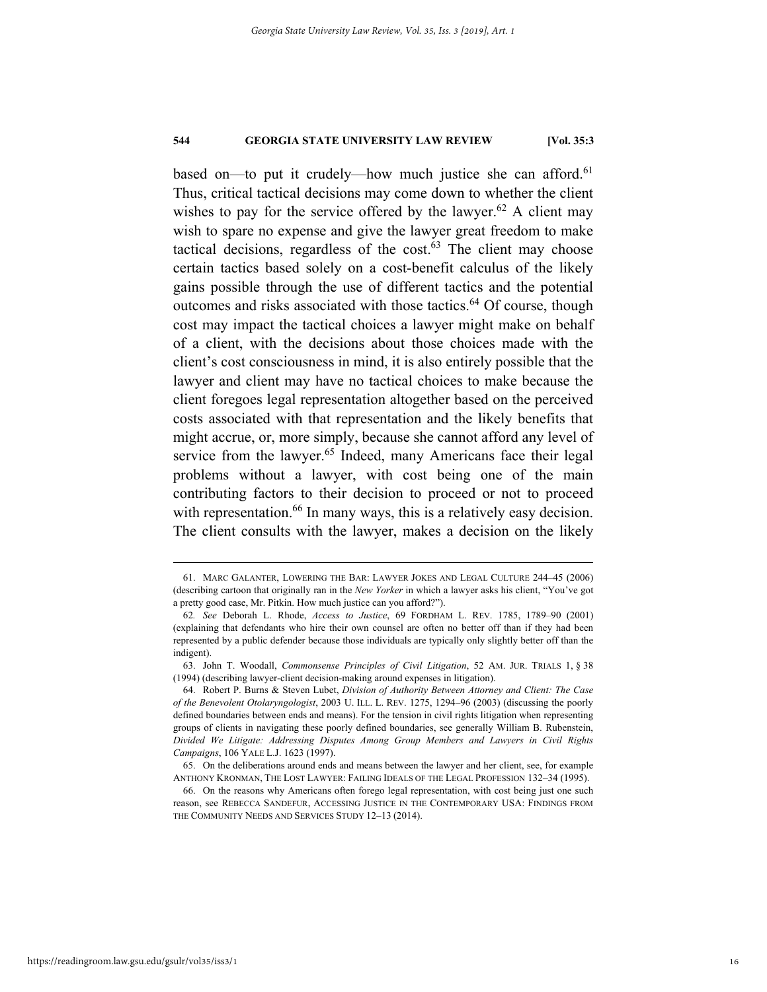based on—to put it crudely—how much justice she can afford.<sup>61</sup> Thus, critical tactical decisions may come down to whether the client wishes to pay for the service offered by the lawyer.<sup>62</sup> A client may wish to spare no expense and give the lawyer great freedom to make tactical decisions, regardless of the cost. $63$  The client may choose certain tactics based solely on a cost-benefit calculus of the likely gains possible through the use of different tactics and the potential outcomes and risks associated with those tactics.<sup>64</sup> Of course, though cost may impact the tactical choices a lawyer might make on behalf of a client, with the decisions about those choices made with the client's cost consciousness in mind, it is also entirely possible that the lawyer and client may have no tactical choices to make because the client foregoes legal representation altogether based on the perceived costs associated with that representation and the likely benefits that might accrue, or, more simply, because she cannot afford any level of service from the lawyer.<sup>65</sup> Indeed, many Americans face their legal problems without a lawyer, with cost being one of the main contributing factors to their decision to proceed or not to proceed with representation.<sup>66</sup> In many ways, this is a relatively easy decision. The client consults with the lawyer, makes a decision on the likely

 <sup>61.</sup> MARC GALANTER, LOWERING THE BAR: LAWYER JOKES AND LEGAL CULTURE 244–45 (2006) (describing cartoon that originally ran in the *New Yorker* in which a lawyer asks his client, "You've got a pretty good case, Mr. Pitkin. How much justice can you afford?").

<sup>62</sup>*. See* Deborah L. Rhode, *Access to Justice*, 69 FORDHAM L. REV. 1785, 1789–90 (2001) (explaining that defendants who hire their own counsel are often no better off than if they had been represented by a public defender because those individuals are typically only slightly better off than the indigent).

 <sup>63.</sup> John T. Woodall, *Commonsense Principles of Civil Litigation*, 52 AM. JUR. TRIALS 1, § 38 (1994) (describing lawyer-client decision-making around expenses in litigation).

 <sup>64.</sup> Robert P. Burns & Steven Lubet, *Division of Authority Between Attorney and Client: The Case of the Benevolent Otolaryngologist*, 2003 U. ILL. L. REV. 1275, 1294–96 (2003) (discussing the poorly defined boundaries between ends and means). For the tension in civil rights litigation when representing groups of clients in navigating these poorly defined boundaries, see generally William B. Rubenstein, *Divided We Litigate: Addressing Disputes Among Group Members and Lawyers in Civil Rights Campaigns*, 106 YALE L.J. 1623 (1997).

 <sup>65.</sup> On the deliberations around ends and means between the lawyer and her client, see, for example ANTHONY KRONMAN, THE LOST LAWYER: FAILING IDEALS OF THE LEGAL PROFESSION 132–34 (1995).

 <sup>66.</sup> On the reasons why Americans often forego legal representation, with cost being just one such reason, see REBECCA SANDEFUR, ACCESSING JUSTICE IN THE CONTEMPORARY USA: FINDINGS FROM THE COMMUNITY NEEDS AND SERVICES STUDY 12–13 (2014).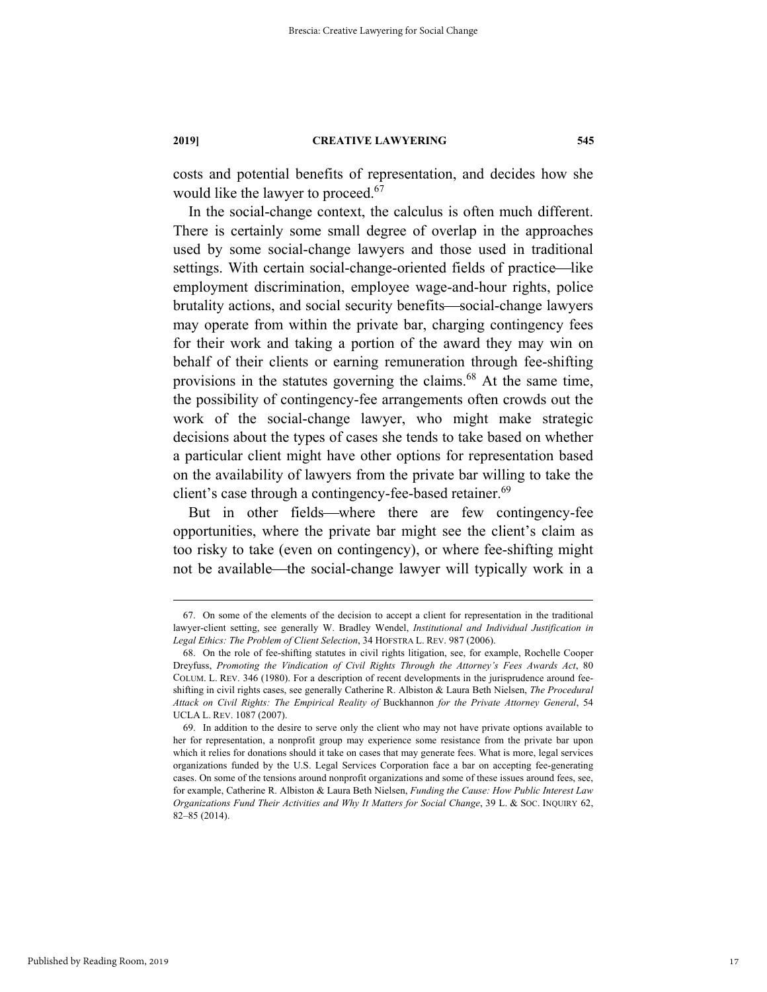costs and potential benefits of representation, and decides how she would like the lawyer to proceed.<sup>67</sup>

In the social-change context, the calculus is often much different. There is certainly some small degree of overlap in the approaches used by some social-change lawyers and those used in traditional settings. With certain social-change-oriented fields of practice-like employment discrimination, employee wage-and-hour rights, police brutality actions, and social security benefits—social-change lawyers may operate from within the private bar, charging contingency fees for their work and taking a portion of the award they may win on behalf of their clients or earning remuneration through fee-shifting provisions in the statutes governing the claims.<sup>68</sup> At the same time, the possibility of contingency-fee arrangements often crowds out the work of the social-change lawyer, who might make strategic decisions about the types of cases she tends to take based on whether a particular client might have other options for representation based on the availability of lawyers from the private bar willing to take the client's case through a contingency-fee-based retainer.<sup>69</sup>

But in other fields—where there are few contingency-fee opportunities, where the private bar might see the client's claim as too risky to take (even on contingency), or where fee-shifting might not be available—the social-change lawyer will typically work in a

 <sup>67.</sup> On some of the elements of the decision to accept a client for representation in the traditional lawyer-client setting, see generally W. Bradley Wendel, *Institutional and Individual Justification in Legal Ethics: The Problem of Client Selection*, 34 HOFSTRA L. REV. 987 (2006).

 <sup>68.</sup> On the role of fee-shifting statutes in civil rights litigation, see, for example, Rochelle Cooper Dreyfuss, *Promoting the Vindication of Civil Rights Through the Attorney's Fees Awards Act*, 80 COLUM. L. REV. 346 (1980). For a description of recent developments in the jurisprudence around feeshifting in civil rights cases, see generally Catherine R. Albiston & Laura Beth Nielsen, *The Procedural Attack on Civil Rights: The Empirical Reality of* Buckhannon *for the Private Attorney General*, 54 UCLA L. REV. 1087 (2007).

 <sup>69.</sup> In addition to the desire to serve only the client who may not have private options available to her for representation, a nonprofit group may experience some resistance from the private bar upon which it relies for donations should it take on cases that may generate fees. What is more, legal services organizations funded by the U.S. Legal Services Corporation face a bar on accepting fee-generating cases. On some of the tensions around nonprofit organizations and some of these issues around fees, see, for example, Catherine R. Albiston & Laura Beth Nielsen, *Funding the Cause: How Public Interest Law Organizations Fund Their Activities and Why It Matters for Social Change*, 39 L. & SOC. INQUIRY 62, 82–85 (2014).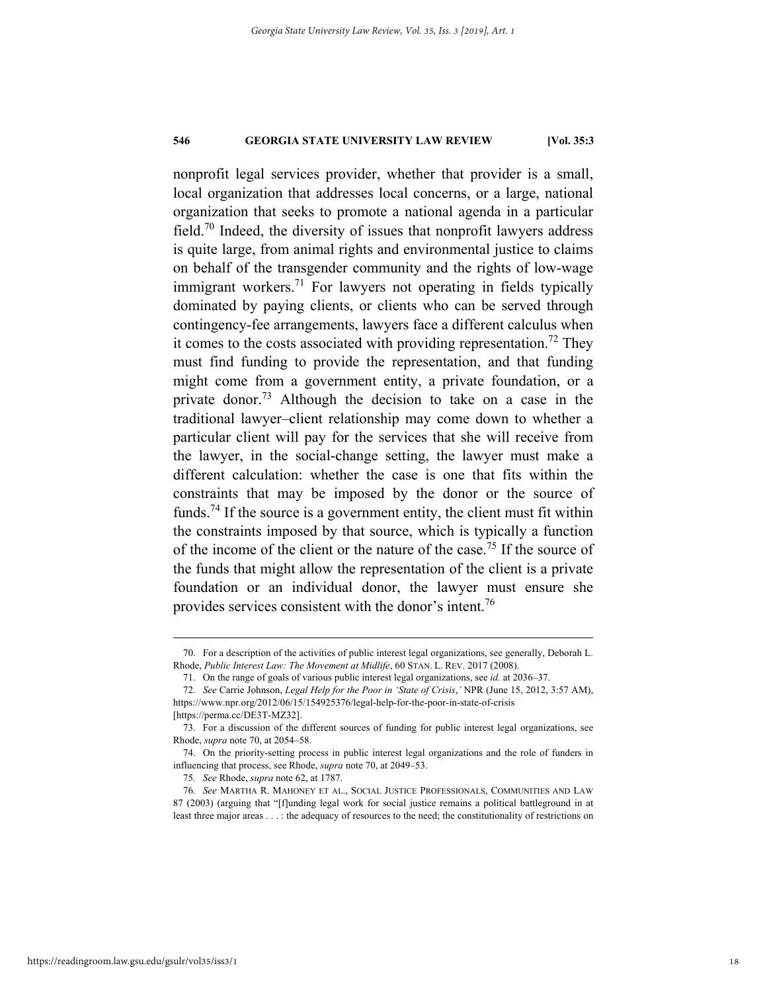nonprofit legal services provider, whether that provider is a small, local organization that addresses local concerns, or a large, national organization that seeks to promote a national agenda in a particular field.<sup>70</sup> Indeed, the diversity of issues that nonprofit lawyers address is quite large, from animal rights and environmental justice to claims on behalf of the transgender community and the rights of low-wage immigrant workers.<sup>71</sup> For lawyers not operating in fields typically dominated by paying clients, or clients who can be served through contingency-fee arrangements, lawyers face a different calculus when it comes to the costs associated with providing representation.<sup>72</sup> They must find funding to provide the representation, and that funding might come from a government entity, a private foundation, or a private donor.<sup>73</sup> Although the decision to take on a case in the traditional lawyer–client relationship may come down to whether a particular client will pay for the services that she will receive from the lawyer, in the social-change setting, the lawyer must make a different calculation: whether the case is one that fits within the constraints that may be imposed by the donor or the source of funds.<sup>74</sup> If the source is a government entity, the client must fit within the constraints imposed by that source, which is typically a function of the income of the client or the nature of the case.75 If the source of the funds that might allow the representation of the client is a private foundation or an individual donor, the lawyer must ensure she provides services consistent with the donor's intent.76

 <sup>70.</sup> For a description of the activities of public interest legal organizations, see generally, Deborah L. Rhode, *Public Interest Law: The Movement at Midlife*, 60 STAN. L. REV. 2017 (2008).

 <sup>71.</sup> On the range of goals of various public interest legal organizations, see *id.* at 2036–37.

<sup>72</sup>*. See* Carrie Johnson, *Legal Help for the Poor in 'State of Crisis*,*'* NPR (June 15, 2012, 3:57 AM), https://www.npr.org/2012/06/15/154925376/legal-help-for-the-poor-in-state-of-crisis

<sup>[</sup>https://perma.cc/DE3T-MZ32].

 <sup>73.</sup> For a discussion of the different sources of funding for public interest legal organizations, see Rhode, *supra* note 70, at 2054–58.

 <sup>74.</sup> On the priority-setting process in public interest legal organizations and the role of funders in influencing that process, see Rhode, *supra* note 70, at 2049–53.

<sup>75</sup>*. See* Rhode, *supra* note 62, at 1787.

<sup>76</sup>*. See* MARTHA R. MAHONEY ET AL., SOCIAL JUSTICE PROFESSIONALS, COMMUNITIES AND LAW 87 (2003) (arguing that "[f]unding legal work for social justice remains a political battleground in at least three major areas . . . : the adequacy of resources to the need; the constitutionality of restrictions on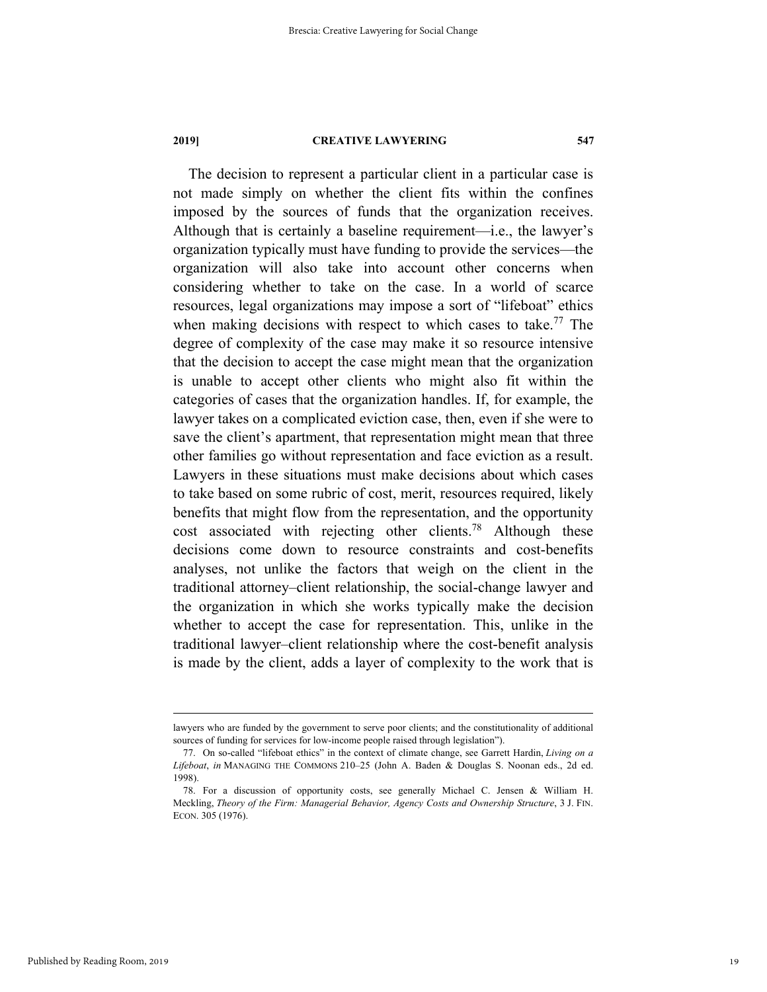The decision to represent a particular client in a particular case is not made simply on whether the client fits within the confines imposed by the sources of funds that the organization receives. Although that is certainly a baseline requirement—i.e., the lawyer's organization typically must have funding to provide the services—the organization will also take into account other concerns when considering whether to take on the case. In a world of scarce resources, legal organizations may impose a sort of "lifeboat" ethics when making decisions with respect to which cases to take.<sup>77</sup> The degree of complexity of the case may make it so resource intensive that the decision to accept the case might mean that the organization is unable to accept other clients who might also fit within the categories of cases that the organization handles. If, for example, the lawyer takes on a complicated eviction case, then, even if she were to save the client's apartment, that representation might mean that three other families go without representation and face eviction as a result. Lawyers in these situations must make decisions about which cases to take based on some rubric of cost, merit, resources required, likely benefits that might flow from the representation, and the opportunity cost associated with rejecting other clients.<sup>78</sup> Although these decisions come down to resource constraints and cost-benefits analyses, not unlike the factors that weigh on the client in the traditional attorney–client relationship, the social-change lawyer and the organization in which she works typically make the decision whether to accept the case for representation. This, unlike in the traditional lawyer–client relationship where the cost-benefit analysis is made by the client, adds a layer of complexity to the work that is

lawyers who are funded by the government to serve poor clients; and the constitutionality of additional sources of funding for services for low-income people raised through legislation").

 <sup>77.</sup> On so-called "lifeboat ethics" in the context of climate change, see Garrett Hardin, *Living on a Lifeboat*, *in* MANAGING THE COMMONS 210–25 (John A. Baden & Douglas S. Noonan eds., 2d ed. 1998).

 <sup>78.</sup> For a discussion of opportunity costs, see generally Michael C. Jensen & William H. Meckling, *Theory of the Firm: Managerial Behavior, Agency Costs and Ownership Structure*, 3 J. FIN. ECON. 305 (1976).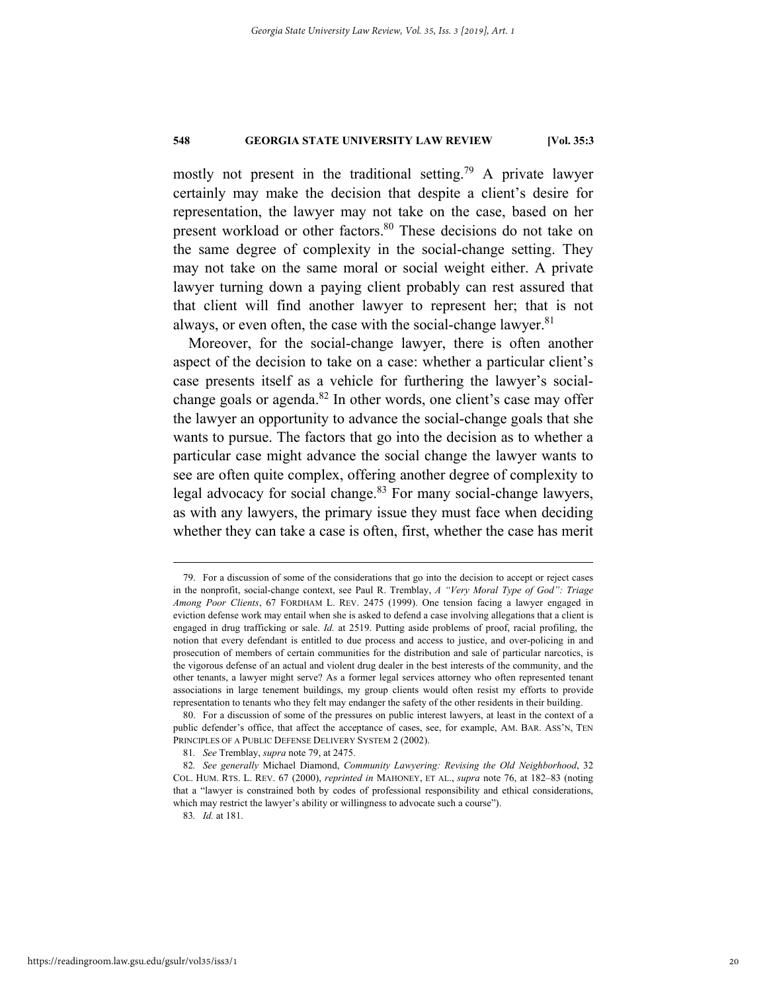mostly not present in the traditional setting.<sup>79</sup> A private lawyer certainly may make the decision that despite a client's desire for representation, the lawyer may not take on the case, based on her present workload or other factors.<sup>80</sup> These decisions do not take on the same degree of complexity in the social-change setting. They may not take on the same moral or social weight either. A private lawyer turning down a paying client probably can rest assured that that client will find another lawyer to represent her; that is not always, or even often, the case with the social-change lawyer. $81$ 

Moreover, for the social-change lawyer, there is often another aspect of the decision to take on a case: whether a particular client's case presents itself as a vehicle for furthering the lawyer's socialchange goals or agenda. $82$  In other words, one client's case may offer the lawyer an opportunity to advance the social-change goals that she wants to pursue. The factors that go into the decision as to whether a particular case might advance the social change the lawyer wants to see are often quite complex, offering another degree of complexity to legal advocacy for social change.<sup>83</sup> For many social-change lawyers, as with any lawyers, the primary issue they must face when deciding whether they can take a case is often, first, whether the case has merit

 <sup>79.</sup> For a discussion of some of the considerations that go into the decision to accept or reject cases in the nonprofit, social-change context, see Paul R. Tremblay, *A "Very Moral Type of God": Triage Among Poor Clients*, 67 FORDHAM L. REV. 2475 (1999). One tension facing a lawyer engaged in eviction defense work may entail when she is asked to defend a case involving allegations that a client is engaged in drug trafficking or sale. *Id.* at 2519. Putting aside problems of proof, racial profiling, the notion that every defendant is entitled to due process and access to justice, and over-policing in and prosecution of members of certain communities for the distribution and sale of particular narcotics, is the vigorous defense of an actual and violent drug dealer in the best interests of the community, and the other tenants, a lawyer might serve? As a former legal services attorney who often represented tenant associations in large tenement buildings, my group clients would often resist my efforts to provide representation to tenants who they felt may endanger the safety of the other residents in their building.

 <sup>80.</sup> For a discussion of some of the pressures on public interest lawyers, at least in the context of a public defender's office, that affect the acceptance of cases, see, for example, AM. BAR. ASS'N, TEN PRINCIPLES OF A PUBLIC DEFENSE DELIVERY SYSTEM 2 (2002).

<sup>81</sup>*. See* Tremblay, *supra* note 79, at 2475.

<sup>82</sup>*. See generally* Michael Diamond, *Community Lawyering: Revising the Old Neighborhood*, 32 COL. HUM. RTS. L. REV. 67 (2000), *reprinted in* MAHONEY, ET AL., *supra* note 76, at 182–83 (noting that a "lawyer is constrained both by codes of professional responsibility and ethical considerations, which may restrict the lawyer's ability or willingness to advocate such a course").

<sup>83</sup>*. Id.* at 181.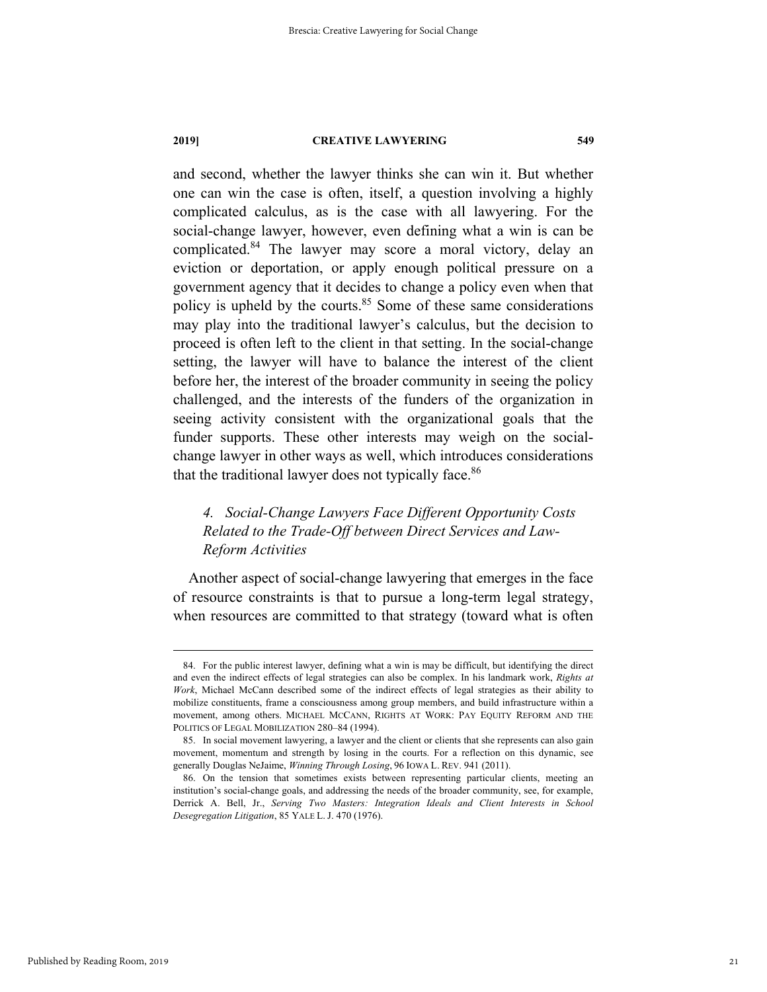and second, whether the lawyer thinks she can win it. But whether one can win the case is often, itself, a question involving a highly complicated calculus, as is the case with all lawyering. For the social-change lawyer, however, even defining what a win is can be complicated.84 The lawyer may score a moral victory, delay an eviction or deportation, or apply enough political pressure on a government agency that it decides to change a policy even when that policy is upheld by the courts. $85$  Some of these same considerations may play into the traditional lawyer's calculus, but the decision to proceed is often left to the client in that setting. In the social-change setting, the lawyer will have to balance the interest of the client before her, the interest of the broader community in seeing the policy challenged, and the interests of the funders of the organization in seeing activity consistent with the organizational goals that the funder supports. These other interests may weigh on the socialchange lawyer in other ways as well, which introduces considerations that the traditional lawyer does not typically face.<sup>86</sup>

# *4. Social-Change Lawyers Face Different Opportunity Costs Related to the Trade-Off between Direct Services and Law-Reform Activities*

Another aspect of social-change lawyering that emerges in the face of resource constraints is that to pursue a long-term legal strategy, when resources are committed to that strategy (toward what is often

 <sup>84.</sup> For the public interest lawyer, defining what a win is may be difficult, but identifying the direct and even the indirect effects of legal strategies can also be complex. In his landmark work, *Rights at Work*, Michael McCann described some of the indirect effects of legal strategies as their ability to mobilize constituents, frame a consciousness among group members, and build infrastructure within a movement, among others. MICHAEL MCCANN, RIGHTS AT WORK: PAY EQUITY REFORM AND THE POLITICS OF LEGAL MOBILIZATION 280–84 (1994).

 <sup>85.</sup> In social movement lawyering, a lawyer and the client or clients that she represents can also gain movement, momentum and strength by losing in the courts. For a reflection on this dynamic, see generally Douglas NeJaime, *Winning Through Losing*, 96 IOWA L. REV. 941 (2011).

 <sup>86.</sup> On the tension that sometimes exists between representing particular clients, meeting an institution's social-change goals, and addressing the needs of the broader community, see, for example, Derrick A. Bell, Jr., *Serving Two Masters: Integration Ideals and Client Interests in School Desegregation Litigation*, 85 YALE L. J. 470 (1976).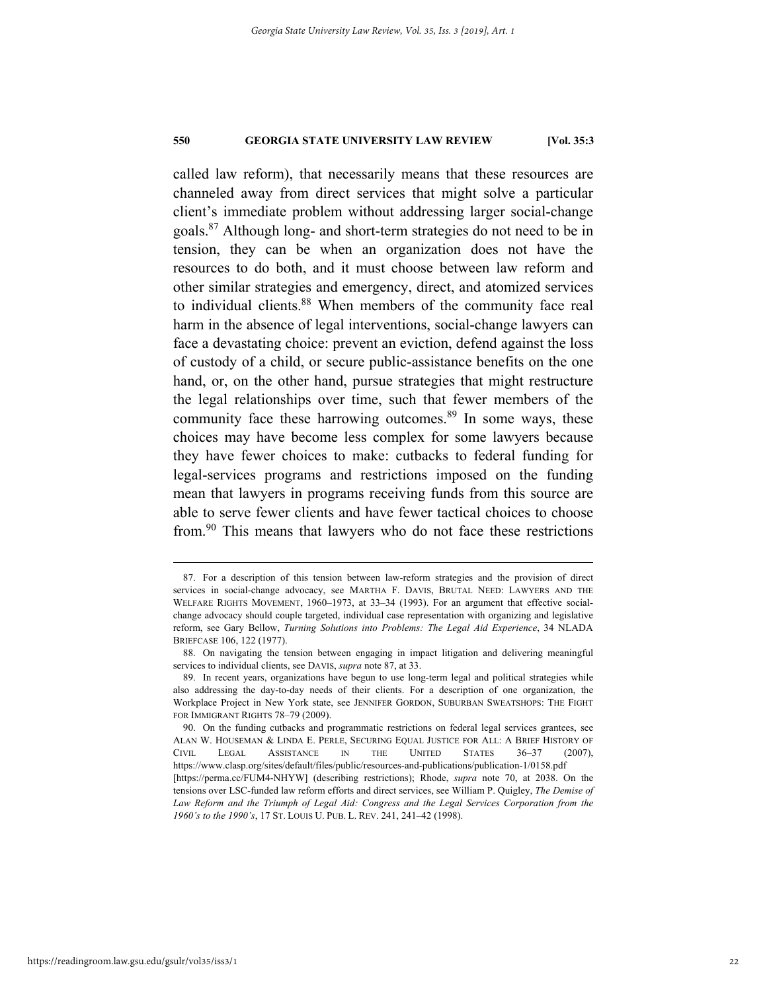called law reform), that necessarily means that these resources are channeled away from direct services that might solve a particular client's immediate problem without addressing larger social-change goals.87 Although long- and short-term strategies do not need to be in tension, they can be when an organization does not have the resources to do both, and it must choose between law reform and other similar strategies and emergency, direct, and atomized services to individual clients.<sup>88</sup> When members of the community face real harm in the absence of legal interventions, social-change lawyers can face a devastating choice: prevent an eviction, defend against the loss of custody of a child, or secure public-assistance benefits on the one hand, or, on the other hand, pursue strategies that might restructure the legal relationships over time, such that fewer members of the community face these harrowing outcomes. $89$  In some ways, these choices may have become less complex for some lawyers because they have fewer choices to make: cutbacks to federal funding for legal-services programs and restrictions imposed on the funding mean that lawyers in programs receiving funds from this source are able to serve fewer clients and have fewer tactical choices to choose from.90 This means that lawyers who do not face these restrictions

 <sup>87.</sup> For a description of this tension between law-reform strategies and the provision of direct services in social-change advocacy, see MARTHA F. DAVIS, BRUTAL NEED: LAWYERS AND THE WELFARE RIGHTS MOVEMENT, 1960–1973, at 33–34 (1993). For an argument that effective socialchange advocacy should couple targeted, individual case representation with organizing and legislative reform, see Gary Bellow, *Turning Solutions into Problems: The Legal Aid Experience*, 34 NLADA BRIEFCASE 106, 122 (1977).

 <sup>88.</sup> On navigating the tension between engaging in impact litigation and delivering meaningful services to individual clients, see DAVIS, *supra* note 87, at 33.

 <sup>89.</sup> In recent years, organizations have begun to use long-term legal and political strategies while also addressing the day-to-day needs of their clients. For a description of one organization, the Workplace Project in New York state, see JENNIFER GORDON, SUBURBAN SWEATSHOPS: THE FIGHT FOR IMMIGRANT RIGHTS 78–79 (2009).

 <sup>90.</sup> On the funding cutbacks and programmatic restrictions on federal legal services grantees, see ALAN W. HOUSEMAN & LINDA E. PERLE, SECURING EQUAL JUSTICE FOR ALL: A BRIEF HISTORY OF CIVIL LEGAL ASSISTANCE IN THE UNITED STATES 36–37 (2007), https://www.clasp.org/sites/default/files/public/resources-and-publications/publication-1/0158.pdf [https://perma.cc/FUM4-NHYW] (describing restrictions); Rhode, *supra* note 70, at 2038. On the tensions over LSC-funded law reform efforts and direct services, see William P. Quigley, *The Demise of*  Law Reform and the Triumph of Legal Aid: Congress and the Legal Services Corporation from the *1960's to the 1990's*, 17 ST. LOUIS U. PUB. L. REV. 241, 241–42 (1998).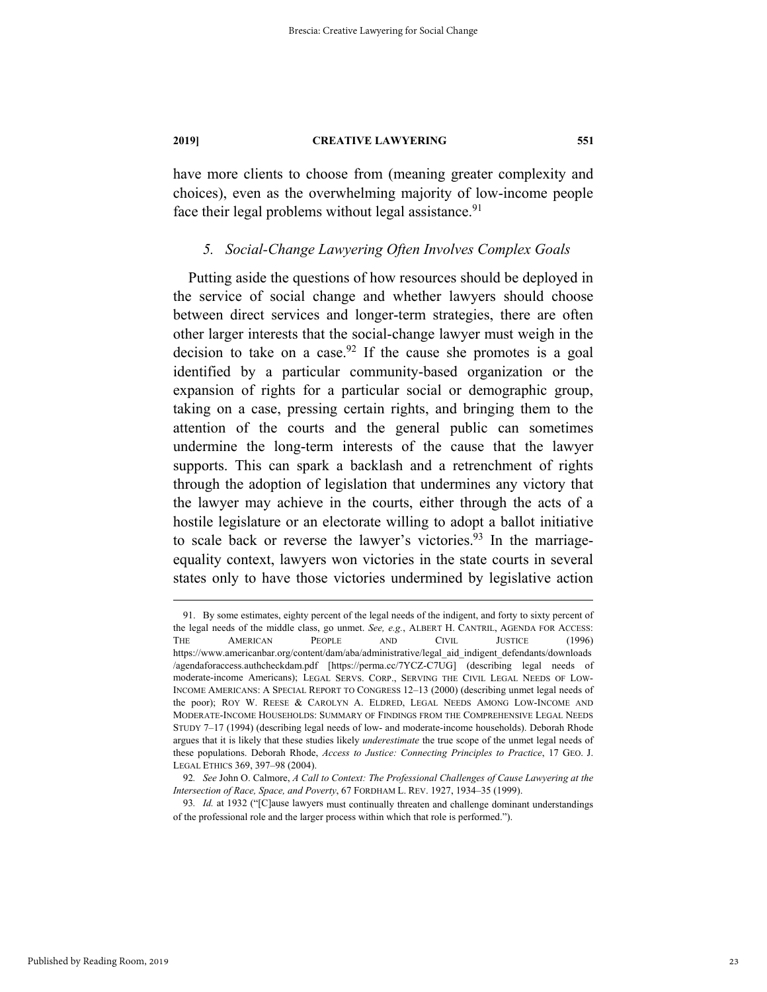have more clients to choose from (meaning greater complexity and choices), even as the overwhelming majority of low-income people face their legal problems without legal assistance.<sup>91</sup>

#### *5. Social-Change Lawyering Often Involves Complex Goals*

Putting aside the questions of how resources should be deployed in the service of social change and whether lawyers should choose between direct services and longer-term strategies, there are often other larger interests that the social-change lawyer must weigh in the decision to take on a case.<sup>92</sup> If the cause she promotes is a goal identified by a particular community-based organization or the expansion of rights for a particular social or demographic group, taking on a case, pressing certain rights, and bringing them to the attention of the courts and the general public can sometimes undermine the long-term interests of the cause that the lawyer supports. This can spark a backlash and a retrenchment of rights through the adoption of legislation that undermines any victory that the lawyer may achieve in the courts, either through the acts of a hostile legislature or an electorate willing to adopt a ballot initiative to scale back or reverse the lawyer's victories.<sup>93</sup> In the marriageequality context, lawyers won victories in the state courts in several states only to have those victories undermined by legislative action

 <sup>91.</sup> By some estimates, eighty percent of the legal needs of the indigent, and forty to sixty percent of the legal needs of the middle class, go unmet. *See, e.g.*, ALBERT H. CANTRIL, AGENDA FOR ACCESS: THE AMERICAN PEOPLE AND CIVIL JUSTICE (1996) https://www.americanbar.org/content/dam/aba/administrative/legal\_aid\_indigent\_defendants/downloads /agendaforaccess.authcheckdam.pdf [https://perma.cc/7YCZ-C7UG] (describing legal needs of moderate-income Americans); LEGAL SERVS. CORP., SERVING THE CIVIL LEGAL NEEDS OF LOW-INCOME AMERICANS: A SPECIAL REPORT TO CONGRESS 12–13 (2000) (describing unmet legal needs of the poor); ROY W. REESE & CAROLYN A. ELDRED, LEGAL NEEDS AMONG LOW-INCOME AND MODERATE-INCOME HOUSEHOLDS: SUMMARY OF FINDINGS FROM THE COMPREHENSIVE LEGAL NEEDS STUDY 7–17 (1994) (describing legal needs of low- and moderate-income households). Deborah Rhode argues that it is likely that these studies likely *underestimate* the true scope of the unmet legal needs of these populations. Deborah Rhode, *Access to Justice: Connecting Principles to Practice*, 17 GEO. J. LEGAL ETHICS 369, 397–98 (2004).

<sup>92</sup>*. See* John O. Calmore, *A Call to Context: The Professional Challenges of Cause Lawyering at the Intersection of Race, Space, and Poverty*, 67 FORDHAM L. REV. 1927, 1934–35 (1999).

<sup>93.</sup> Id. at 1932 ("[C]ause lawyers must continually threaten and challenge dominant understandings of the professional role and the larger process within which that role is performed.").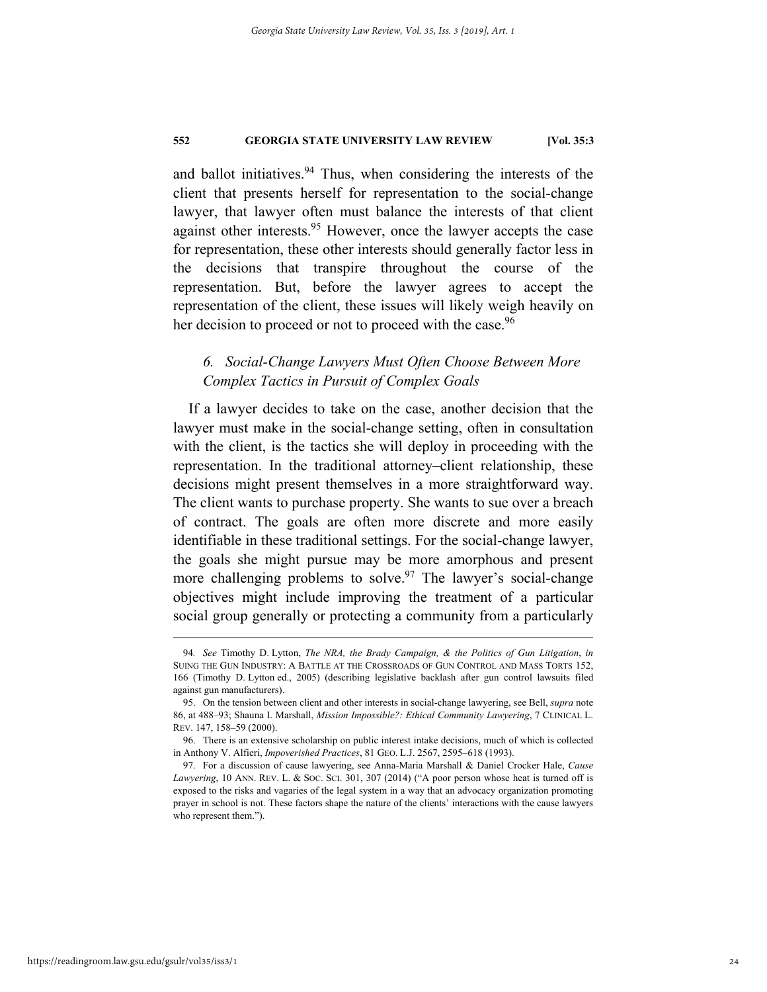and ballot initiatives.<sup>94</sup> Thus, when considering the interests of the client that presents herself for representation to the social-change lawyer, that lawyer often must balance the interests of that client against other interests.<sup>95</sup> However, once the lawyer accepts the case for representation, these other interests should generally factor less in the decisions that transpire throughout the course of the representation. But, before the lawyer agrees to accept the representation of the client, these issues will likely weigh heavily on her decision to proceed or not to proceed with the case.<sup>96</sup>

# *6. Social-Change Lawyers Must Often Choose Between More Complex Tactics in Pursuit of Complex Goals*

If a lawyer decides to take on the case, another decision that the lawyer must make in the social-change setting, often in consultation with the client, is the tactics she will deploy in proceeding with the representation. In the traditional attorney–client relationship, these decisions might present themselves in a more straightforward way. The client wants to purchase property. She wants to sue over a breach of contract. The goals are often more discrete and more easily identifiable in these traditional settings. For the social-change lawyer, the goals she might pursue may be more amorphous and present more challenging problems to solve.<sup>97</sup> The lawyer's social-change objectives might include improving the treatment of a particular social group generally or protecting a community from a particularly

 <sup>94</sup>*. See* Timothy D. Lytton, *The NRA, the Brady Campaign, & the Politics of Gun Litigation*, *in* SUING THE GUN INDUSTRY: A BATTLE AT THE CROSSROADS OF GUN CONTROL AND MASS TORTS 152, 166 (Timothy D. Lytton ed., 2005) (describing legislative backlash after gun control lawsuits filed against gun manufacturers).

 <sup>95.</sup> On the tension between client and other interests in social-change lawyering, see Bell, *supra* note 86, at 488–93; Shauna I. Marshall, *Mission Impossible?: Ethical Community Lawyering*, 7 CLINICAL L. REV. 147, 158–59 (2000).

 <sup>96.</sup> There is an extensive scholarship on public interest intake decisions, much of which is collected in Anthony V. Alfieri, *Impoverished Practices*, 81 GEO. L.J. 2567, 2595–618 (1993).

 <sup>97.</sup> For a discussion of cause lawyering, see Anna-Maria Marshall & Daniel Crocker Hale, *Cause Lawyering*, 10 ANN. REV. L. & SOC. SCI. 301, 307 (2014) ("A poor person whose heat is turned off is exposed to the risks and vagaries of the legal system in a way that an advocacy organization promoting prayer in school is not. These factors shape the nature of the clients' interactions with the cause lawyers who represent them.").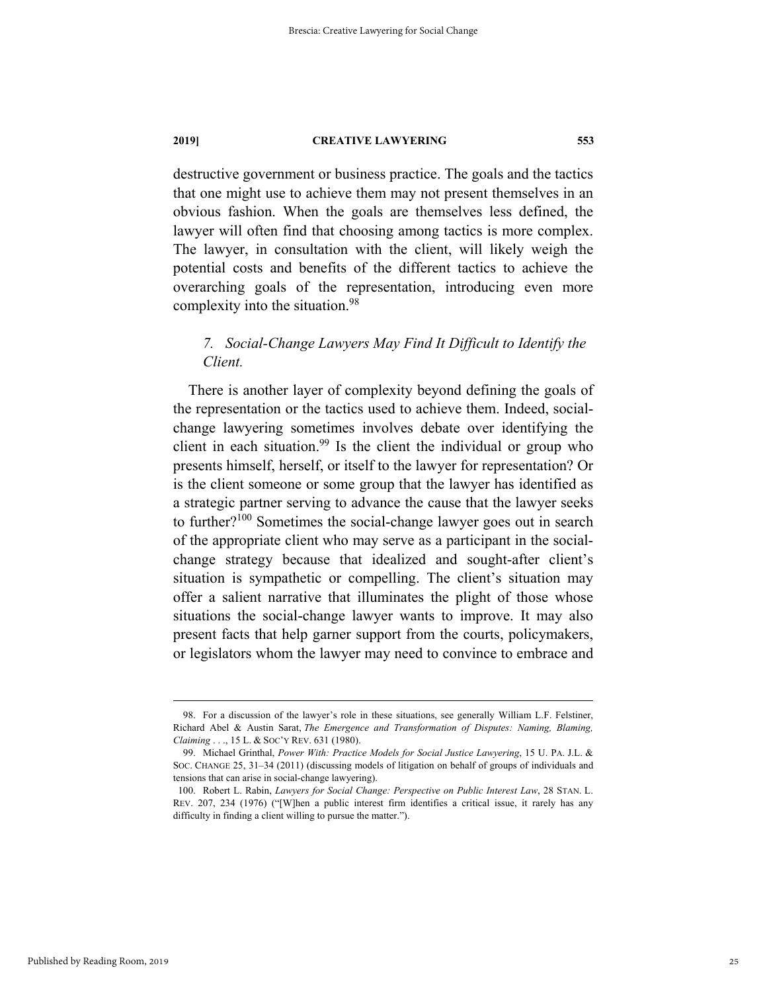destructive government or business practice. The goals and the tactics that one might use to achieve them may not present themselves in an obvious fashion. When the goals are themselves less defined, the lawyer will often find that choosing among tactics is more complex. The lawyer, in consultation with the client, will likely weigh the potential costs and benefits of the different tactics to achieve the overarching goals of the representation, introducing even more complexity into the situation.<sup>98</sup>

# *7. Social-Change Lawyers May Find It Difficult to Identify the Client.*

There is another layer of complexity beyond defining the goals of the representation or the tactics used to achieve them. Indeed, socialchange lawyering sometimes involves debate over identifying the client in each situation.<sup>99</sup> Is the client the individual or group who presents himself, herself, or itself to the lawyer for representation? Or is the client someone or some group that the lawyer has identified as a strategic partner serving to advance the cause that the lawyer seeks to further?100 Sometimes the social-change lawyer goes out in search of the appropriate client who may serve as a participant in the socialchange strategy because that idealized and sought-after client's situation is sympathetic or compelling. The client's situation may offer a salient narrative that illuminates the plight of those whose situations the social-change lawyer wants to improve. It may also present facts that help garner support from the courts, policymakers, or legislators whom the lawyer may need to convince to embrace and

 <sup>98.</sup> For a discussion of the lawyer's role in these situations, see generally William L.F. Felstiner, Richard Abel & Austin Sarat, *The Emergence and Transformation of Disputes: Naming, Blaming, Claiming* . . ., 15 L. & SOC'Y REV. 631 (1980).

 <sup>99.</sup> Michael Grinthal, *Power With: Practice Models for Social Justice Lawyering*, 15 U. PA. J.L. & SOC. CHANGE 25, 31–34 (2011) (discussing models of litigation on behalf of groups of individuals and tensions that can arise in social-change lawyering).

 <sup>100.</sup> Robert L. Rabin, *Lawyers for Social Change: Perspective on Public Interest Law*, 28 STAN. L. REV. 207, 234 (1976) ("[W]hen a public interest firm identifies a critical issue, it rarely has any difficulty in finding a client willing to pursue the matter.").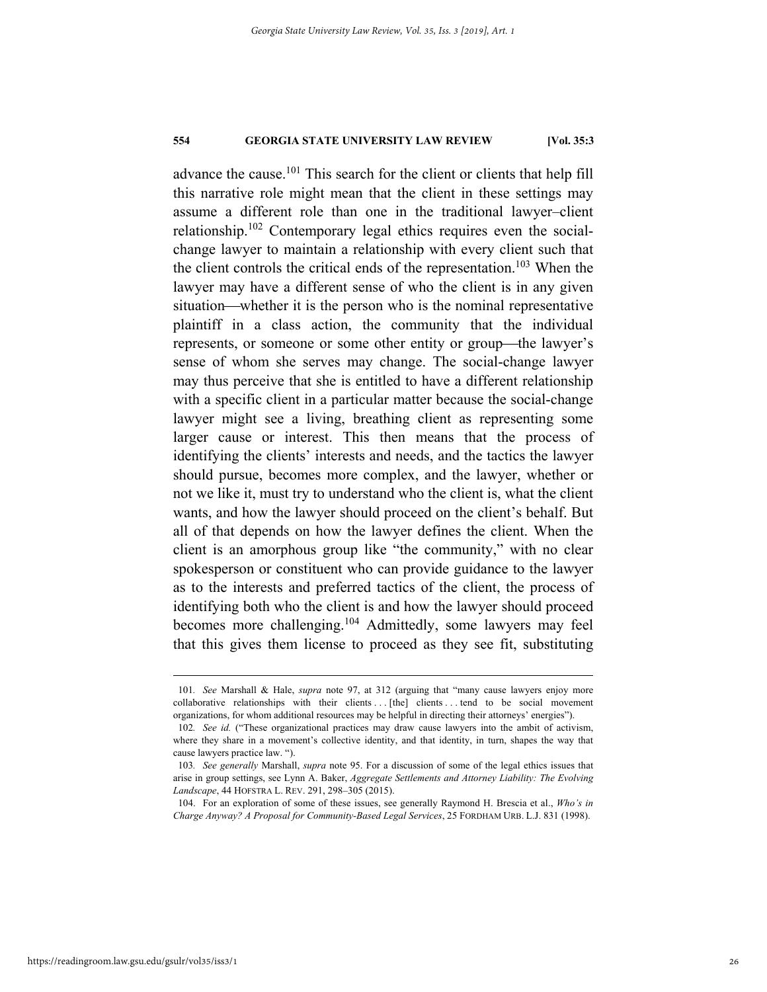advance the cause.101 This search for the client or clients that help fill this narrative role might mean that the client in these settings may assume a different role than one in the traditional lawyer–client relationship.102 Contemporary legal ethics requires even the socialchange lawyer to maintain a relationship with every client such that the client controls the critical ends of the representation.<sup>103</sup> When the lawyer may have a different sense of who the client is in any given situation—whether it is the person who is the nominal representative plaintiff in a class action, the community that the individual represents, or someone or some other entity or group—the lawyer's sense of whom she serves may change. The social-change lawyer may thus perceive that she is entitled to have a different relationship with a specific client in a particular matter because the social-change lawyer might see a living, breathing client as representing some larger cause or interest. This then means that the process of identifying the clients' interests and needs, and the tactics the lawyer should pursue, becomes more complex, and the lawyer, whether or not we like it, must try to understand who the client is, what the client wants, and how the lawyer should proceed on the client's behalf. But all of that depends on how the lawyer defines the client. When the client is an amorphous group like "the community," with no clear spokesperson or constituent who can provide guidance to the lawyer as to the interests and preferred tactics of the client, the process of identifying both who the client is and how the lawyer should proceed becomes more challenging.104 Admittedly, some lawyers may feel that this gives them license to proceed as they see fit, substituting

 <sup>101</sup>*. See* Marshall & Hale, *supra* note 97, at 312 (arguing that "many cause lawyers enjoy more collaborative relationships with their clients . . . [the] clients . . . tend to be social movement organizations, for whom additional resources may be helpful in directing their attorneys' energies").

<sup>102</sup>*. See id.* ("These organizational practices may draw cause lawyers into the ambit of activism, where they share in a movement's collective identity, and that identity, in turn, shapes the way that cause lawyers practice law. ").

<sup>103</sup>*. See generally* Marshall, *supra* note 95. For a discussion of some of the legal ethics issues that arise in group settings, see Lynn A. Baker, *Aggregate Settlements and Attorney Liability: The Evolving Landscape*, 44 HOFSTRA L. REV. 291, 298–305 (2015).

 <sup>104.</sup> For an exploration of some of these issues, see generally Raymond H. Brescia et al., *Who's in Charge Anyway? A Proposal for Community-Based Legal Services*, 25 FORDHAM URB. L.J. 831 (1998).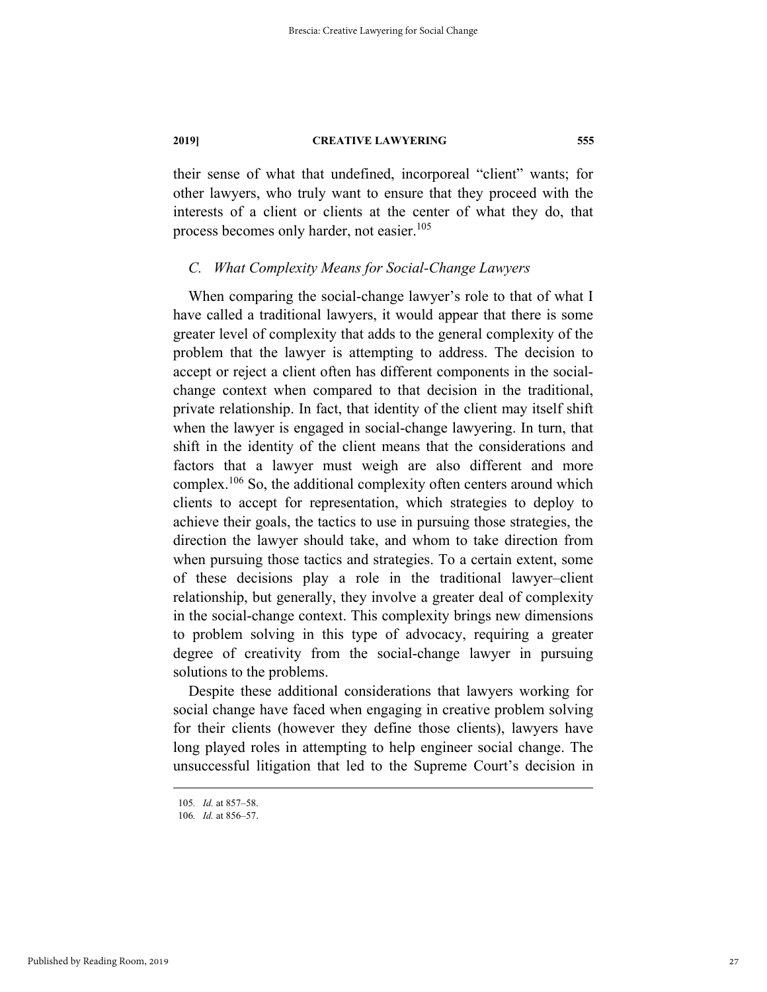their sense of what that undefined, incorporeal "client" wants; for other lawyers, who truly want to ensure that they proceed with the interests of a client or clients at the center of what they do, that process becomes only harder, not easier.<sup>105</sup>

### *C. What Complexity Means for Social-Change Lawyers*

When comparing the social-change lawyer's role to that of what I have called a traditional lawyers, it would appear that there is some greater level of complexity that adds to the general complexity of the problem that the lawyer is attempting to address. The decision to accept or reject a client often has different components in the socialchange context when compared to that decision in the traditional, private relationship. In fact, that identity of the client may itself shift when the lawyer is engaged in social-change lawyering. In turn, that shift in the identity of the client means that the considerations and factors that a lawyer must weigh are also different and more complex.106 So, the additional complexity often centers around which clients to accept for representation, which strategies to deploy to achieve their goals, the tactics to use in pursuing those strategies, the direction the lawyer should take, and whom to take direction from when pursuing those tactics and strategies. To a certain extent, some of these decisions play a role in the traditional lawyer–client relationship, but generally, they involve a greater deal of complexity in the social-change context. This complexity brings new dimensions to problem solving in this type of advocacy, requiring a greater degree of creativity from the social-change lawyer in pursuing solutions to the problems.

Despite these additional considerations that lawyers working for social change have faced when engaging in creative problem solving for their clients (however they define those clients), lawyers have long played roles in attempting to help engineer social change. The unsuccessful litigation that led to the Supreme Court's decision in

 <sup>105</sup>*. Id.* at 857–58.

<sup>106</sup>*. Id.* at 856–57.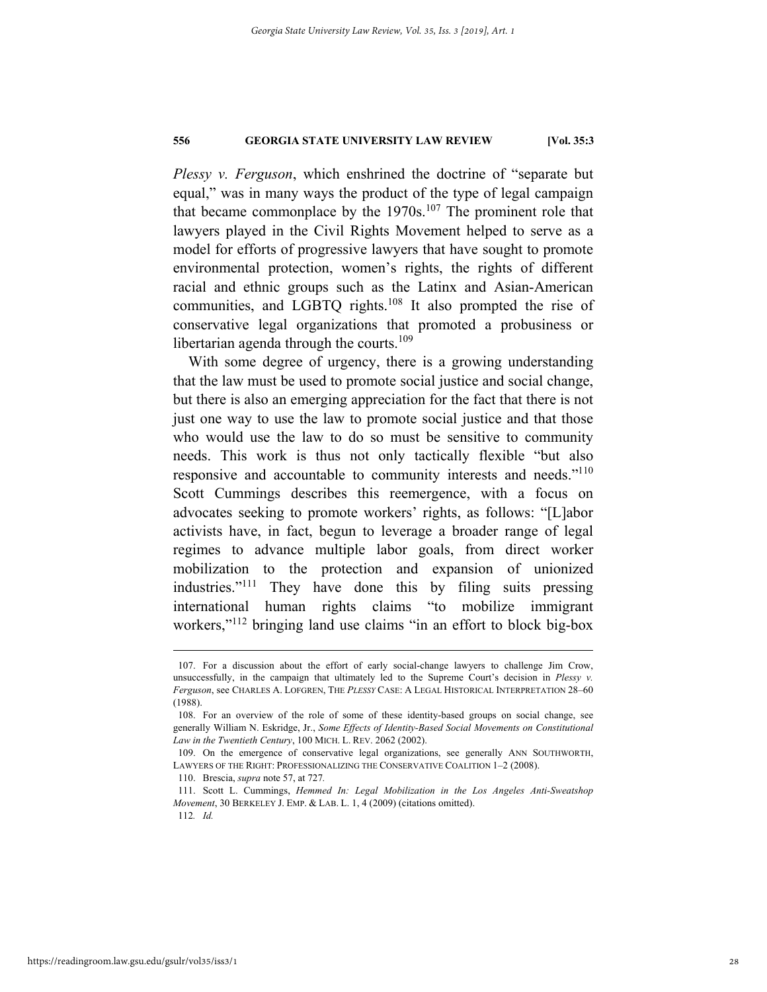*Plessy v. Ferguson*, which enshrined the doctrine of "separate but equal," was in many ways the product of the type of legal campaign that became commonplace by the  $1970s$ .<sup>107</sup> The prominent role that lawyers played in the Civil Rights Movement helped to serve as a model for efforts of progressive lawyers that have sought to promote environmental protection, women's rights, the rights of different racial and ethnic groups such as the Latinx and Asian-American communities, and LGBTQ rights.<sup>108</sup> It also prompted the rise of conservative legal organizations that promoted a probusiness or libertarian agenda through the courts. $109$ 

With some degree of urgency, there is a growing understanding that the law must be used to promote social justice and social change, but there is also an emerging appreciation for the fact that there is not just one way to use the law to promote social justice and that those who would use the law to do so must be sensitive to community needs. This work is thus not only tactically flexible "but also responsive and accountable to community interests and needs."<sup>110</sup> Scott Cummings describes this reemergence, with a focus on advocates seeking to promote workers' rights, as follows: "[L]abor activists have, in fact, begun to leverage a broader range of legal regimes to advance multiple labor goals, from direct worker mobilization to the protection and expansion of unionized industries."111 They have done this by filing suits pressing international human rights claims "to mobilize immigrant workers,"<sup>112</sup> bringing land use claims "in an effort to block big-box

 <sup>107.</sup> For a discussion about the effort of early social-change lawyers to challenge Jim Crow, unsuccessfully, in the campaign that ultimately led to the Supreme Court's decision in *Plessy v. Ferguson*, see CHARLES A. LOFGREN, THE *PLESSY* CASE: A LEGAL HISTORICAL INTERPRETATION 28–60 (1988).

 <sup>108.</sup> For an overview of the role of some of these identity-based groups on social change, see generally William N. Eskridge, Jr., *Some Effects of Identity-Based Social Movements on Constitutional Law in the Twentieth Century*, 100 MICH. L. REV. 2062 (2002).

 <sup>109.</sup> On the emergence of conservative legal organizations, see generally ANN SOUTHWORTH, LAWYERS OF THE RIGHT: PROFESSIONALIZING THE CONSERVATIVE COALITION 1–2 (2008).

 <sup>110.</sup> Brescia, *supra* note 57, at 727*.*

 <sup>111.</sup> Scott L. Cummings, *Hemmed In: Legal Mobilization in the Los Angeles Anti-Sweatshop Movement*, 30 BERKELEY J. EMP. & LAB. L. 1, 4 (2009) (citations omitted). 112*. Id.*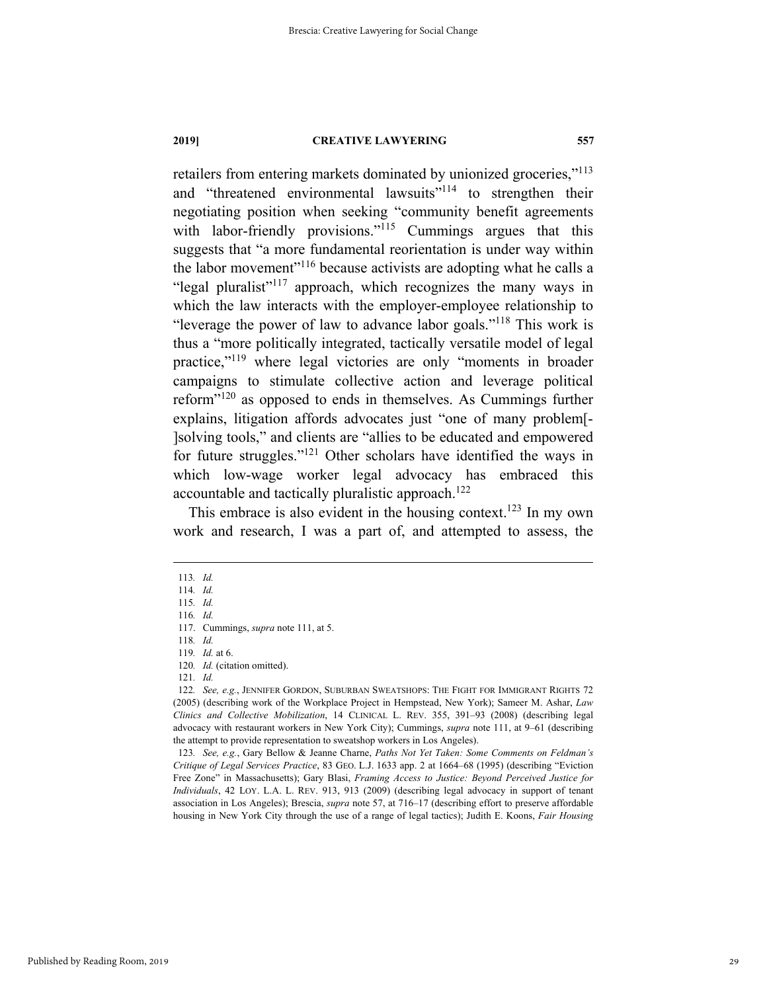retailers from entering markets dominated by unionized groceries,"113 and "threatened environmental lawsuits"<sup>114</sup> to strengthen their negotiating position when seeking "community benefit agreements with labor-friendly provisions."<sup>115</sup> Cummings argues that this suggests that "a more fundamental reorientation is under way within the labor movement"<sup>116</sup> because activists are adopting what he calls a "legal pluralist"<sup>117</sup> approach, which recognizes the many ways in which the law interacts with the employer-employee relationship to "leverage the power of law to advance labor goals."118 This work is thus a "more politically integrated, tactically versatile model of legal practice,"119 where legal victories are only "moments in broader campaigns to stimulate collective action and leverage political reform"120 as opposed to ends in themselves. As Cummings further explains, litigation affords advocates just "one of many problem[- ]solving tools," and clients are "allies to be educated and empowered for future struggles."121 Other scholars have identified the ways in which low-wage worker legal advocacy has embraced this accountable and tactically pluralistic approach.<sup>122</sup>

This embrace is also evident in the housing context.<sup>123</sup> In my own work and research, I was a part of, and attempted to assess, the

118*. Id.*

119*. Id.* at 6.

123*. See, e.g.*, Gary Bellow & Jeanne Charne, *Paths Not Yet Taken: Some Comments on Feldman's Critique of Legal Services Practice*, 83 GEO. L.J. 1633 app. 2 at 1664–68 (1995) (describing "Eviction Free Zone" in Massachusetts); Gary Blasi, *Framing Access to Justice: Beyond Perceived Justice for Individuals*, 42 LOY. L.A. L. REV. 913, 913 (2009) (describing legal advocacy in support of tenant association in Los Angeles); Brescia, *supra* note 57, at 716–17 (describing effort to preserve affordable housing in New York City through the use of a range of legal tactics); Judith E. Koons, *Fair Housing* 

 <sup>113</sup>*. Id.*

<sup>114</sup>*. Id.* 115*. Id.*

<sup>116</sup>*. Id.*

 <sup>117.</sup> Cummings, *supra* note 111, at 5.

<sup>120</sup>*. Id.* (citation omitted).

<sup>121</sup>*. Id.*

<sup>122</sup>*. See, e.g.*, JENNIFER GORDON, SUBURBAN SWEATSHOPS: THE FIGHT FOR IMMIGRANT RIGHTS 72 (2005) (describing work of the Workplace Project in Hempstead, New York); Sameer M. Ashar, *Law Clinics and Collective Mobilization*, 14 CLINICAL L. REV. 355, 391–93 (2008) (describing legal advocacy with restaurant workers in New York City); Cummings, *supra* note 111, at 9–61 (describing the attempt to provide representation to sweatshop workers in Los Angeles).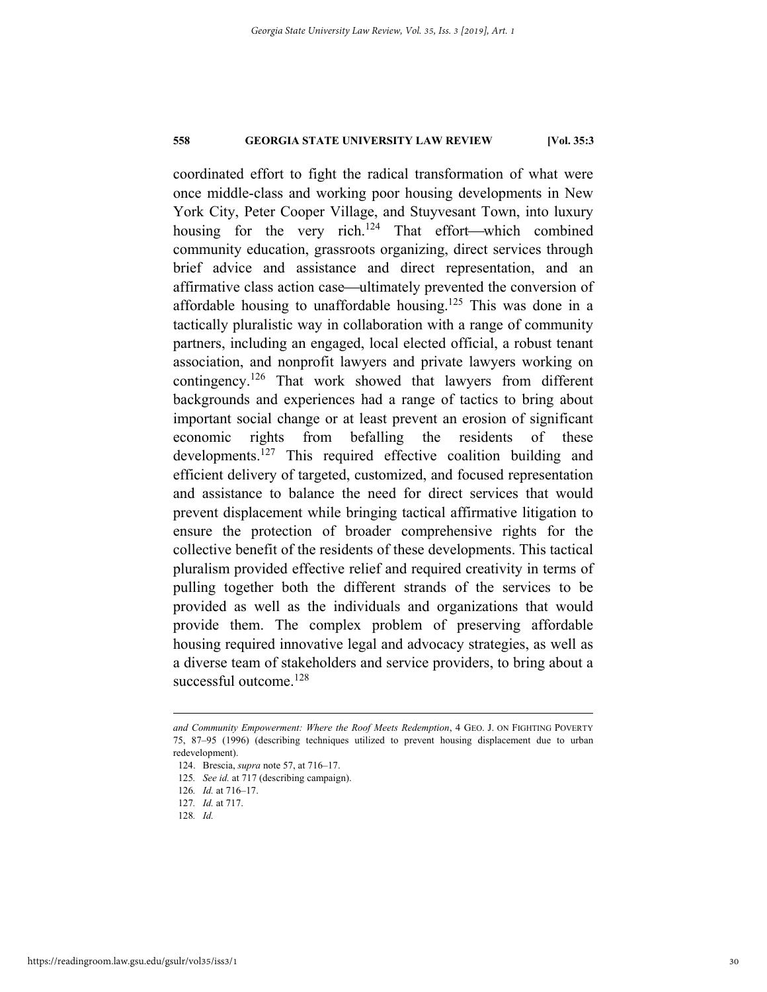coordinated effort to fight the radical transformation of what were once middle-class and working poor housing developments in New York City, Peter Cooper Village, and Stuyvesant Town, into luxury housing for the very rich.<sup>124</sup> That effort—which combined community education, grassroots organizing, direct services through brief advice and assistance and direct representation, and an affirmative class action case—ultimately prevented the conversion of affordable housing to unaffordable housing.<sup>125</sup> This was done in a tactically pluralistic way in collaboration with a range of community partners, including an engaged, local elected official, a robust tenant association, and nonprofit lawyers and private lawyers working on contingency.126 That work showed that lawyers from different backgrounds and experiences had a range of tactics to bring about important social change or at least prevent an erosion of significant economic rights from befalling the residents of these developments.<sup>127</sup> This required effective coalition building and efficient delivery of targeted, customized, and focused representation and assistance to balance the need for direct services that would prevent displacement while bringing tactical affirmative litigation to ensure the protection of broader comprehensive rights for the collective benefit of the residents of these developments. This tactical pluralism provided effective relief and required creativity in terms of pulling together both the different strands of the services to be provided as well as the individuals and organizations that would provide them. The complex problem of preserving affordable housing required innovative legal and advocacy strategies, as well as a diverse team of stakeholders and service providers, to bring about a successful outcome.<sup>128</sup>

*and Community Empowerment: Where the Roof Meets Redemption*, 4 GEO. J. ON FIGHTING POVERTY 75, 87–95 (1996) (describing techniques utilized to prevent housing displacement due to urban redevelopment).

 <sup>124.</sup> Brescia, *supra* note 57, at 716–17.

<sup>125</sup>*. See id.* at 717 (describing campaign).

<sup>126</sup>*. Id.* at 716–17.

<sup>127</sup>*. Id.* at 717.

<sup>128</sup>*. Id.*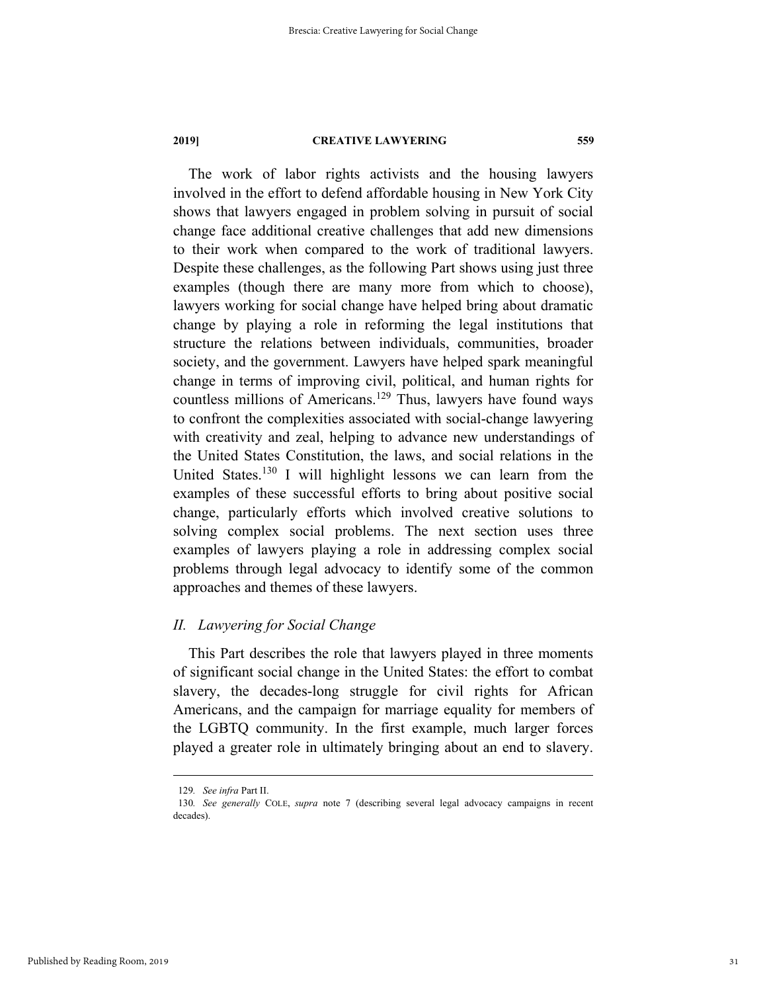The work of labor rights activists and the housing lawyers involved in the effort to defend affordable housing in New York City shows that lawyers engaged in problem solving in pursuit of social change face additional creative challenges that add new dimensions to their work when compared to the work of traditional lawyers. Despite these challenges, as the following Part shows using just three examples (though there are many more from which to choose), lawyers working for social change have helped bring about dramatic change by playing a role in reforming the legal institutions that structure the relations between individuals, communities, broader society, and the government. Lawyers have helped spark meaningful change in terms of improving civil, political, and human rights for countless millions of Americans.<sup>129</sup> Thus, lawyers have found ways to confront the complexities associated with social-change lawyering with creativity and zeal, helping to advance new understandings of the United States Constitution, the laws, and social relations in the United States.<sup>130</sup> I will highlight lessons we can learn from the examples of these successful efforts to bring about positive social change, particularly efforts which involved creative solutions to solving complex social problems. The next section uses three examples of lawyers playing a role in addressing complex social problems through legal advocacy to identify some of the common approaches and themes of these lawyers.

#### *II. Lawyering for Social Change*

This Part describes the role that lawyers played in three moments of significant social change in the United States: the effort to combat slavery, the decades-long struggle for civil rights for African Americans, and the campaign for marriage equality for members of the LGBTQ community. In the first example, much larger forces played a greater role in ultimately bringing about an end to slavery.

 <sup>129</sup>*. See infra* Part II.

<sup>130</sup>*. See generally* COLE, *supra* note 7 (describing several legal advocacy campaigns in recent decades).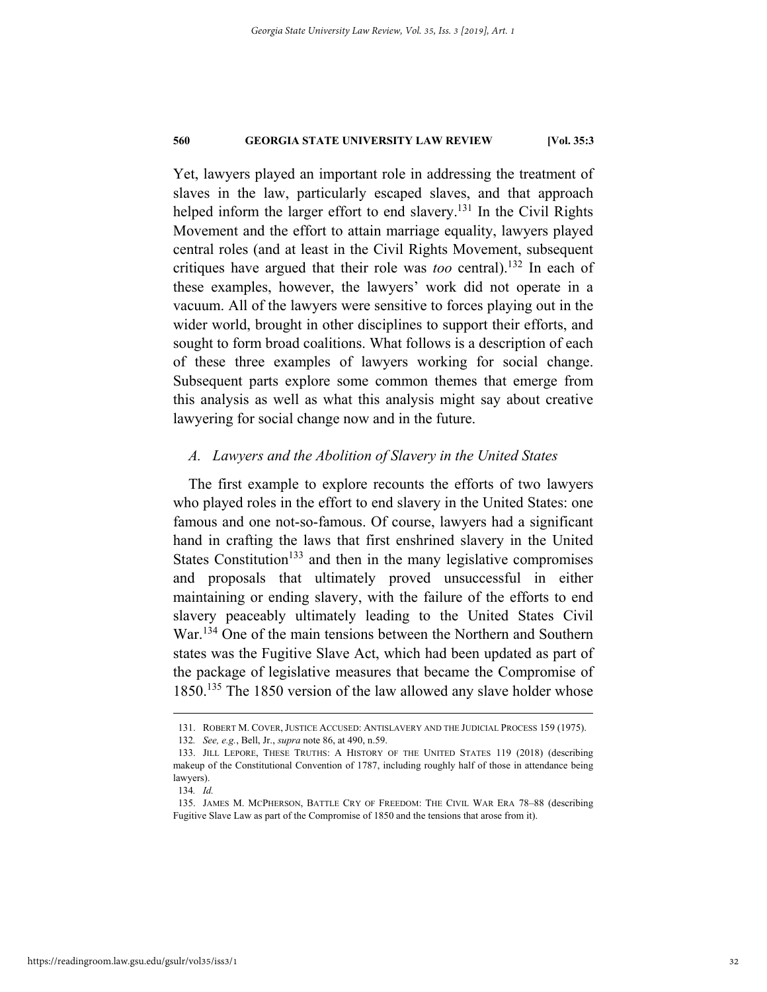Yet, lawyers played an important role in addressing the treatment of slaves in the law, particularly escaped slaves, and that approach helped inform the larger effort to end slavery.<sup>131</sup> In the Civil Rights Movement and the effort to attain marriage equality, lawyers played central roles (and at least in the Civil Rights Movement, subsequent critiques have argued that their role was *too* central).132 In each of these examples, however, the lawyers' work did not operate in a vacuum. All of the lawyers were sensitive to forces playing out in the wider world, brought in other disciplines to support their efforts, and sought to form broad coalitions. What follows is a description of each of these three examples of lawyers working for social change. Subsequent parts explore some common themes that emerge from this analysis as well as what this analysis might say about creative lawyering for social change now and in the future.

#### *A. Lawyers and the Abolition of Slavery in the United States*

The first example to explore recounts the efforts of two lawyers who played roles in the effort to end slavery in the United States: one famous and one not-so-famous. Of course, lawyers had a significant hand in crafting the laws that first enshrined slavery in the United States Constitution<sup>133</sup> and then in the many legislative compromises and proposals that ultimately proved unsuccessful in either maintaining or ending slavery, with the failure of the efforts to end slavery peaceably ultimately leading to the United States Civil War.134 One of the main tensions between the Northern and Southern states was the Fugitive Slave Act, which had been updated as part of the package of legislative measures that became the Compromise of 1850.<sup>135</sup> The 1850 version of the law allowed any slave holder whose

 <sup>131.</sup> ROBERT M. COVER, JUSTICE ACCUSED: ANTISLAVERY AND THE JUDICIAL PROCESS 159 (1975).

<sup>132</sup>*. See, e.g.*, Bell, Jr., *supra* note 86, at 490, n.59.

 <sup>133.</sup> JILL LEPORE, THESE TRUTHS: A HISTORY OF THE UNITED STATES 119 (2018) (describing makeup of the Constitutional Convention of 1787, including roughly half of those in attendance being lawyers).

<sup>134</sup>*. Id.*

 <sup>135.</sup> JAMES M. MCPHERSON, BATTLE CRY OF FREEDOM: THE CIVIL WAR ERA 78–88 (describing Fugitive Slave Law as part of the Compromise of 1850 and the tensions that arose from it).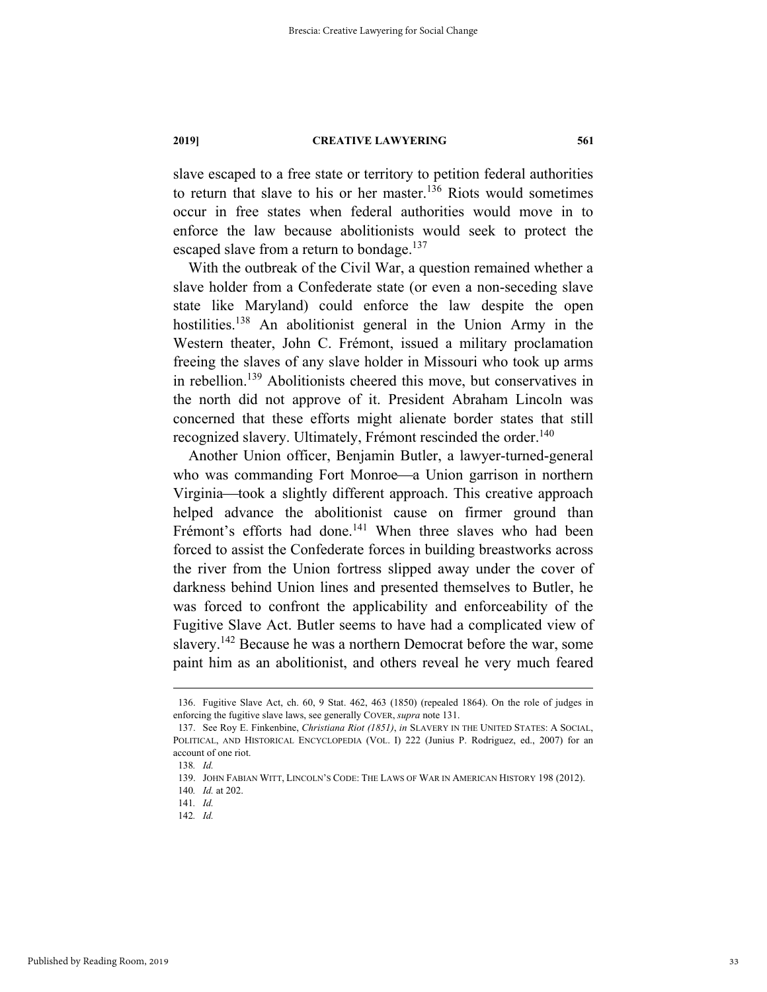slave escaped to a free state or territory to petition federal authorities to return that slave to his or her master.<sup>136</sup> Riots would sometimes occur in free states when federal authorities would move in to enforce the law because abolitionists would seek to protect the escaped slave from a return to bondage.<sup>137</sup>

With the outbreak of the Civil War, a question remained whether a slave holder from a Confederate state (or even a non-seceding slave state like Maryland) could enforce the law despite the open hostilities.<sup>138</sup> An abolitionist general in the Union Army in the Western theater, John C. Frémont, issued a military proclamation freeing the slaves of any slave holder in Missouri who took up arms in rebellion.<sup>139</sup> Abolitionists cheered this move, but conservatives in the north did not approve of it. President Abraham Lincoln was concerned that these efforts might alienate border states that still recognized slavery. Ultimately, Frémont rescinded the order.<sup>140</sup>

Another Union officer, Benjamin Butler, a lawyer-turned-general who was commanding Fort Monroe—a Union garrison in northern Virginia—took a slightly different approach. This creative approach helped advance the abolitionist cause on firmer ground than Frémont's efforts had done.<sup>141</sup> When three slaves who had been forced to assist the Confederate forces in building breastworks across the river from the Union fortress slipped away under the cover of darkness behind Union lines and presented themselves to Butler, he was forced to confront the applicability and enforceability of the Fugitive Slave Act. Butler seems to have had a complicated view of slavery.<sup>142</sup> Because he was a northern Democrat before the war, some paint him as an abolitionist, and others reveal he very much feared

 <sup>136.</sup> Fugitive Slave Act, ch. 60, 9 Stat. 462, 463 (1850) (repealed 1864). On the role of judges in enforcing the fugitive slave laws, see generally COVER, *supra* note 131.

 <sup>137.</sup> See Roy E. Finkenbine, *Christiana Riot (1851)*, *in* SLAVERY IN THE UNITED STATES: A SOCIAL, POLITICAL, AND HISTORICAL ENCYCLOPEDIA (VOL. I) 222 (Junius P. Rodriguez, ed., 2007) for an account of one riot.

<sup>138</sup>*. Id.*

 <sup>139.</sup> JOHN FABIAN WITT, LINCOLN'S CODE: THE LAWS OF WAR IN AMERICAN HISTORY 198 (2012).

<sup>140</sup>*. Id.* at 202.

<sup>141</sup>*. Id.*

<sup>142</sup>*. Id.*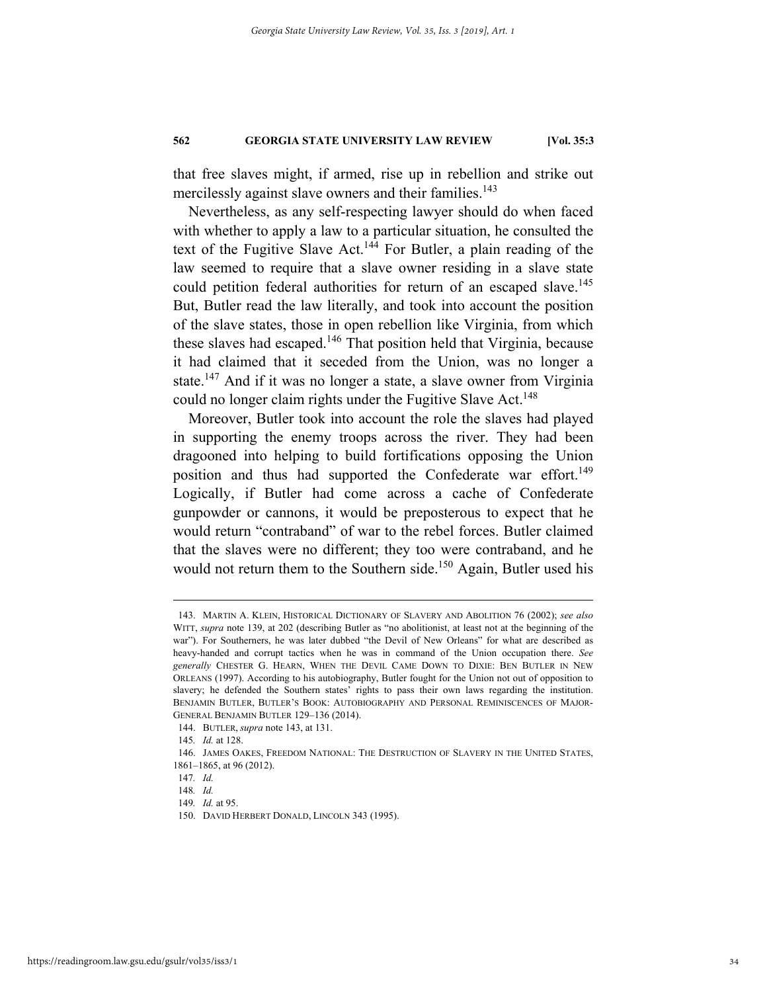that free slaves might, if armed, rise up in rebellion and strike out mercilessly against slave owners and their families.<sup>143</sup>

Nevertheless, as any self-respecting lawyer should do when faced with whether to apply a law to a particular situation, he consulted the text of the Fugitive Slave Act.<sup>144</sup> For Butler, a plain reading of the law seemed to require that a slave owner residing in a slave state could petition federal authorities for return of an escaped slave.<sup>145</sup> But, Butler read the law literally, and took into account the position of the slave states, those in open rebellion like Virginia, from which these slaves had escaped.<sup>146</sup> That position held that Virginia, because it had claimed that it seceded from the Union, was no longer a state.147 And if it was no longer a state, a slave owner from Virginia could no longer claim rights under the Fugitive Slave Act.<sup>148</sup>

Moreover, Butler took into account the role the slaves had played in supporting the enemy troops across the river. They had been dragooned into helping to build fortifications opposing the Union position and thus had supported the Confederate war effort.<sup>149</sup> Logically, if Butler had come across a cache of Confederate gunpowder or cannons, it would be preposterous to expect that he would return "contraband" of war to the rebel forces. Butler claimed that the slaves were no different; they too were contraband, and he would not return them to the Southern side.<sup>150</sup> Again, Butler used his

 <sup>143.</sup> MARTIN A. KLEIN, HISTORICAL DICTIONARY OF SLAVERY AND ABOLITION 76 (2002); *see also* WITT, *supra* note 139, at 202 (describing Butler as "no abolitionist, at least not at the beginning of the war"). For Southerners, he was later dubbed "the Devil of New Orleans" for what are described as heavy-handed and corrupt tactics when he was in command of the Union occupation there. *See generally* CHESTER G. HEARN, WHEN THE DEVIL CAME DOWN TO DIXIE: BEN BUTLER IN NEW ORLEANS (1997). According to his autobiography, Butler fought for the Union not out of opposition to slavery; he defended the Southern states' rights to pass their own laws regarding the institution. BENJAMIN BUTLER, BUTLER'S BOOK: AUTOBIOGRAPHY AND PERSONAL REMINISCENCES OF MAJOR-GENERAL BENJAMIN BUTLER 129–136 (2014).

 <sup>144.</sup> BUTLER, *supra* note 143, at 131.

<sup>145</sup>*. Id.* at 128.

 <sup>146.</sup> JAMES OAKES, FREEDOM NATIONAL: THE DESTRUCTION OF SLAVERY IN THE UNITED STATES, 1861–1865, at 96 (2012).

<sup>147</sup>*. Id.*

<sup>148</sup>*. Id.*

<sup>149</sup>*. Id.* at 95.

 <sup>150.</sup> DAVID HERBERT DONALD, LINCOLN 343 (1995).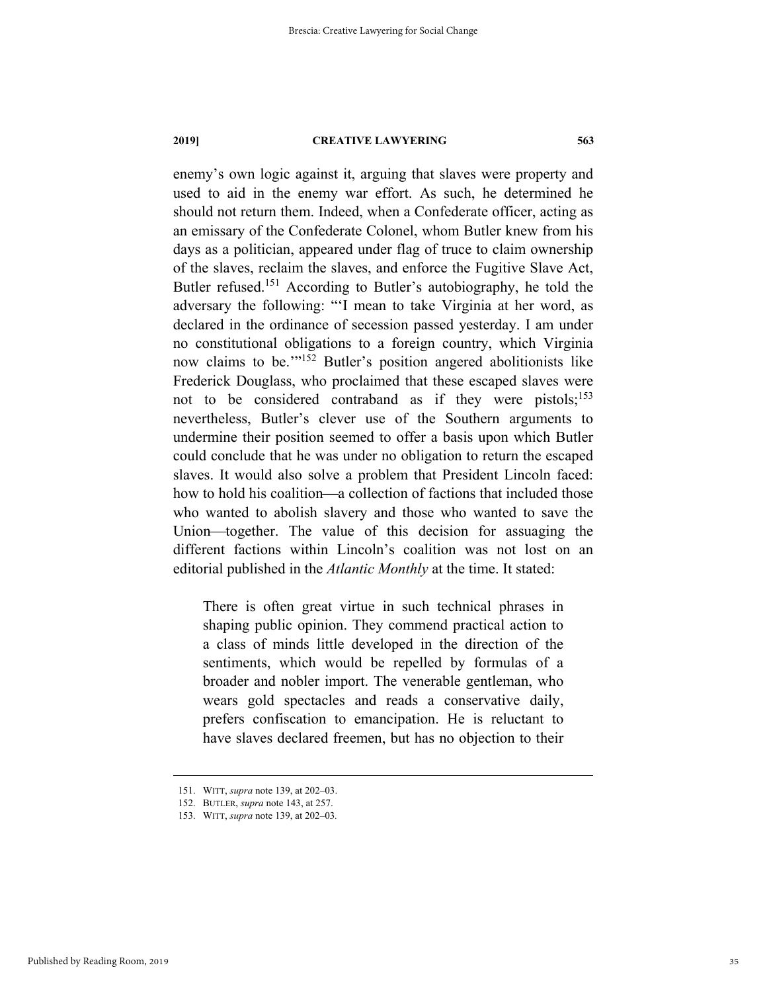enemy's own logic against it, arguing that slaves were property and used to aid in the enemy war effort. As such, he determined he should not return them. Indeed, when a Confederate officer, acting as an emissary of the Confederate Colonel, whom Butler knew from his days as a politician, appeared under flag of truce to claim ownership of the slaves, reclaim the slaves, and enforce the Fugitive Slave Act, Butler refused.<sup>151</sup> According to Butler's autobiography, he told the adversary the following: "'I mean to take Virginia at her word, as declared in the ordinance of secession passed yesterday. I am under no constitutional obligations to a foreign country, which Virginia now claims to be."<sup>152</sup> Butler's position angered abolitionists like Frederick Douglass, who proclaimed that these escaped slaves were not to be considered contraband as if they were pistols;<sup>153</sup> nevertheless, Butler's clever use of the Southern arguments to undermine their position seemed to offer a basis upon which Butler could conclude that he was under no obligation to return the escaped slaves. It would also solve a problem that President Lincoln faced: how to hold his coalition—a collection of factions that included those who wanted to abolish slavery and those who wanted to save the Union—together. The value of this decision for assuaging the different factions within Lincoln's coalition was not lost on an editorial published in the *Atlantic Monthly* at the time. It stated:

There is often great virtue in such technical phrases in shaping public opinion. They commend practical action to a class of minds little developed in the direction of the sentiments, which would be repelled by formulas of a broader and nobler import. The venerable gentleman, who wears gold spectacles and reads a conservative daily, prefers confiscation to emancipation. He is reluctant to have slaves declared freemen, but has no objection to their

 <sup>151.</sup> WITT, *supra* note 139, at 202–03.

 <sup>152.</sup> BUTLER, *supra* note 143, at 257.

 <sup>153.</sup> WITT, *supra* note 139, at 202–03*.*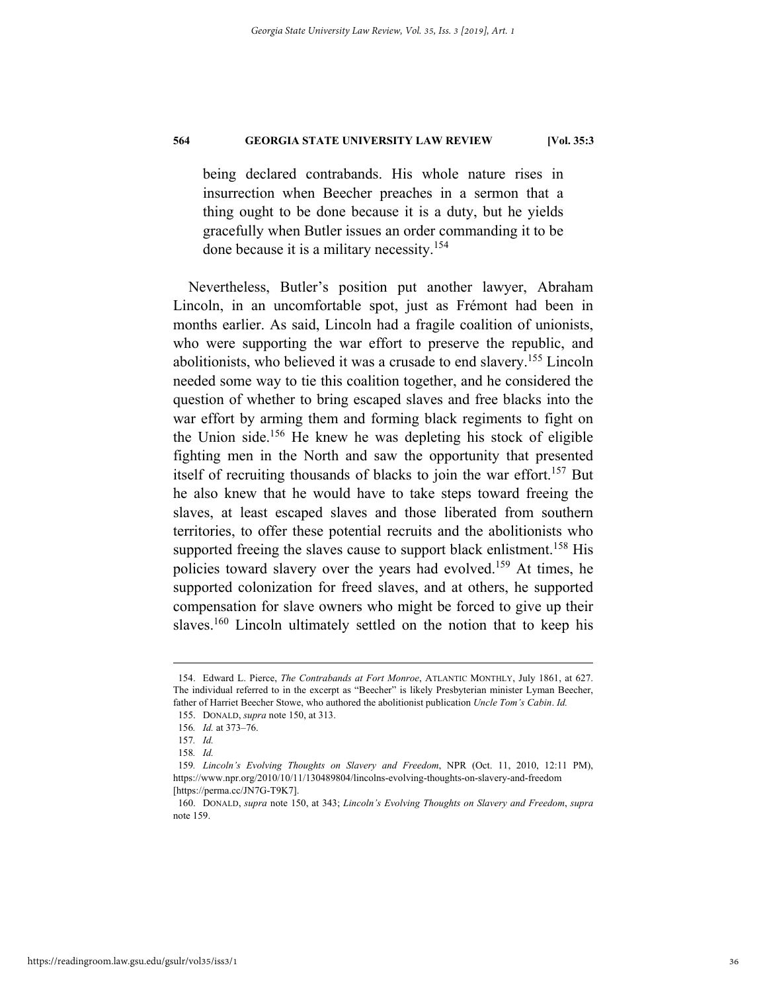being declared contrabands. His whole nature rises in insurrection when Beecher preaches in a sermon that a thing ought to be done because it is a duty, but he yields gracefully when Butler issues an order commanding it to be done because it is a military necessity.154

Nevertheless, Butler's position put another lawyer, Abraham Lincoln, in an uncomfortable spot, just as Frémont had been in months earlier. As said, Lincoln had a fragile coalition of unionists, who were supporting the war effort to preserve the republic, and abolitionists, who believed it was a crusade to end slavery.155 Lincoln needed some way to tie this coalition together, and he considered the question of whether to bring escaped slaves and free blacks into the war effort by arming them and forming black regiments to fight on the Union side.156 He knew he was depleting his stock of eligible fighting men in the North and saw the opportunity that presented itself of recruiting thousands of blacks to join the war effort.<sup>157</sup> But he also knew that he would have to take steps toward freeing the slaves, at least escaped slaves and those liberated from southern territories, to offer these potential recruits and the abolitionists who supported freeing the slaves cause to support black enlistment.<sup>158</sup> His policies toward slavery over the years had evolved.159 At times, he supported colonization for freed slaves, and at others, he supported compensation for slave owners who might be forced to give up their slaves.<sup>160</sup> Lincoln ultimately settled on the notion that to keep his

 <sup>154.</sup> Edward L. Pierce, *The Contrabands at Fort Monroe*, ATLANTIC MONTHLY, July 1861, at 627. The individual referred to in the excerpt as "Beecher" is likely Presbyterian minister Lyman Beecher, father of Harriet Beecher Stowe, who authored the abolitionist publication *Uncle Tom's Cabin*. *Id.*

 <sup>155.</sup> DONALD, *supra* note 150, at 313.

<sup>156</sup>*. Id.* at 373–76.

<sup>157</sup>*. Id.* 

<sup>158</sup>*. Id.* 

<sup>159</sup>*. Lincoln's Evolving Thoughts on Slavery and Freedom*, NPR (Oct. 11, 2010, 12:11 PM), https://www.npr.org/2010/10/11/130489804/lincolns-evolving-thoughts-on-slavery-and-freedom [https://perma.cc/JN7G-T9K7].

 <sup>160.</sup> DONALD, *supra* note 150, at 343; *Lincoln's Evolving Thoughts on Slavery and Freedom*, *supra* note 159.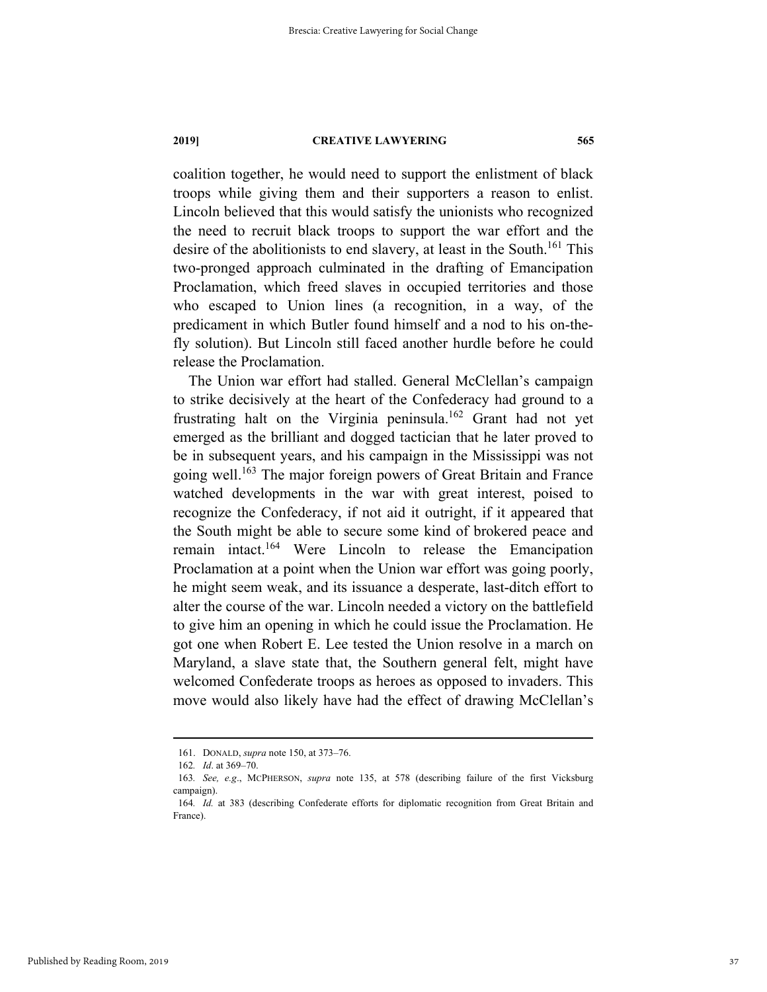coalition together, he would need to support the enlistment of black troops while giving them and their supporters a reason to enlist. Lincoln believed that this would satisfy the unionists who recognized the need to recruit black troops to support the war effort and the desire of the abolitionists to end slavery, at least in the South.<sup>161</sup> This two-pronged approach culminated in the drafting of Emancipation Proclamation, which freed slaves in occupied territories and those who escaped to Union lines (a recognition, in a way, of the predicament in which Butler found himself and a nod to his on-thefly solution). But Lincoln still faced another hurdle before he could release the Proclamation.

The Union war effort had stalled. General McClellan's campaign to strike decisively at the heart of the Confederacy had ground to a frustrating halt on the Virginia peninsula.<sup>162</sup> Grant had not yet emerged as the brilliant and dogged tactician that he later proved to be in subsequent years, and his campaign in the Mississippi was not going well.<sup>163</sup> The major foreign powers of Great Britain and France watched developments in the war with great interest, poised to recognize the Confederacy, if not aid it outright, if it appeared that the South might be able to secure some kind of brokered peace and remain intact.164 Were Lincoln to release the Emancipation Proclamation at a point when the Union war effort was going poorly, he might seem weak, and its issuance a desperate, last-ditch effort to alter the course of the war. Lincoln needed a victory on the battlefield to give him an opening in which he could issue the Proclamation. He got one when Robert E. Lee tested the Union resolve in a march on Maryland, a slave state that, the Southern general felt, might have welcomed Confederate troops as heroes as opposed to invaders. This move would also likely have had the effect of drawing McClellan's

 <sup>161.</sup> DONALD, *supra* note 150, at 373–76.

<sup>162</sup>*. Id*. at 369–70.

<sup>163</sup>*. See, e.g*., MCPHERSON, *supra* note 135, at 578 (describing failure of the first Vicksburg campaign).

<sup>164</sup>*. Id.* at 383 (describing Confederate efforts for diplomatic recognition from Great Britain and France).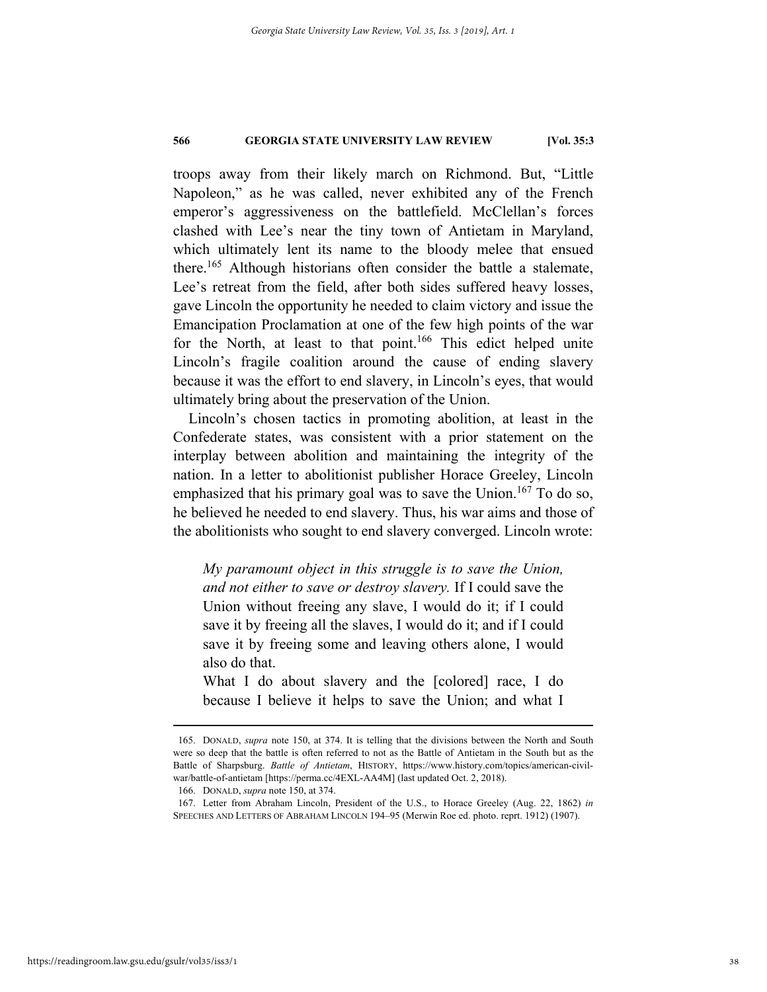troops away from their likely march on Richmond. But, "Little Napoleon," as he was called, never exhibited any of the French emperor's aggressiveness on the battlefield. McClellan's forces clashed with Lee's near the tiny town of Antietam in Maryland, which ultimately lent its name to the bloody melee that ensued there.165 Although historians often consider the battle a stalemate, Lee's retreat from the field, after both sides suffered heavy losses, gave Lincoln the opportunity he needed to claim victory and issue the Emancipation Proclamation at one of the few high points of the war for the North, at least to that point.<sup>166</sup> This edict helped unite Lincoln's fragile coalition around the cause of ending slavery because it was the effort to end slavery, in Lincoln's eyes, that would ultimately bring about the preservation of the Union.

Lincoln's chosen tactics in promoting abolition, at least in the Confederate states, was consistent with a prior statement on the interplay between abolition and maintaining the integrity of the nation. In a letter to abolitionist publisher Horace Greeley, Lincoln emphasized that his primary goal was to save the Union.<sup>167</sup> To do so, he believed he needed to end slavery. Thus, his war aims and those of the abolitionists who sought to end slavery converged. Lincoln wrote:

*My paramount object in this struggle is to save the Union, and not either to save or destroy slavery.* If I could save the Union without freeing any slave, I would do it; if I could save it by freeing all the slaves, I would do it; and if I could save it by freeing some and leaving others alone, I would also do that.

What I do about slavery and the [colored] race, I do because I believe it helps to save the Union; and what I

 <sup>165.</sup> DONALD, *supra* note 150, at 374. It is telling that the divisions between the North and South were so deep that the battle is often referred to not as the Battle of Antietam in the South but as the Battle of Sharpsburg. *Battle of Antietam*, HISTORY, https://www.history.com/topics/american-civilwar/battle-of-antietam [https://perma.cc/4EXL-AA4M] (last updated Oct. 2, 2018).

 <sup>166.</sup> DONALD, *supra* note 150, at 374.

 <sup>167.</sup> Letter from Abraham Lincoln, President of the U.S., to Horace Greeley (Aug. 22, 1862) *in* SPEECHES AND LETTERS OF ABRAHAM LINCOLN 194–95 (Merwin Roe ed. photo. reprt. 1912) (1907).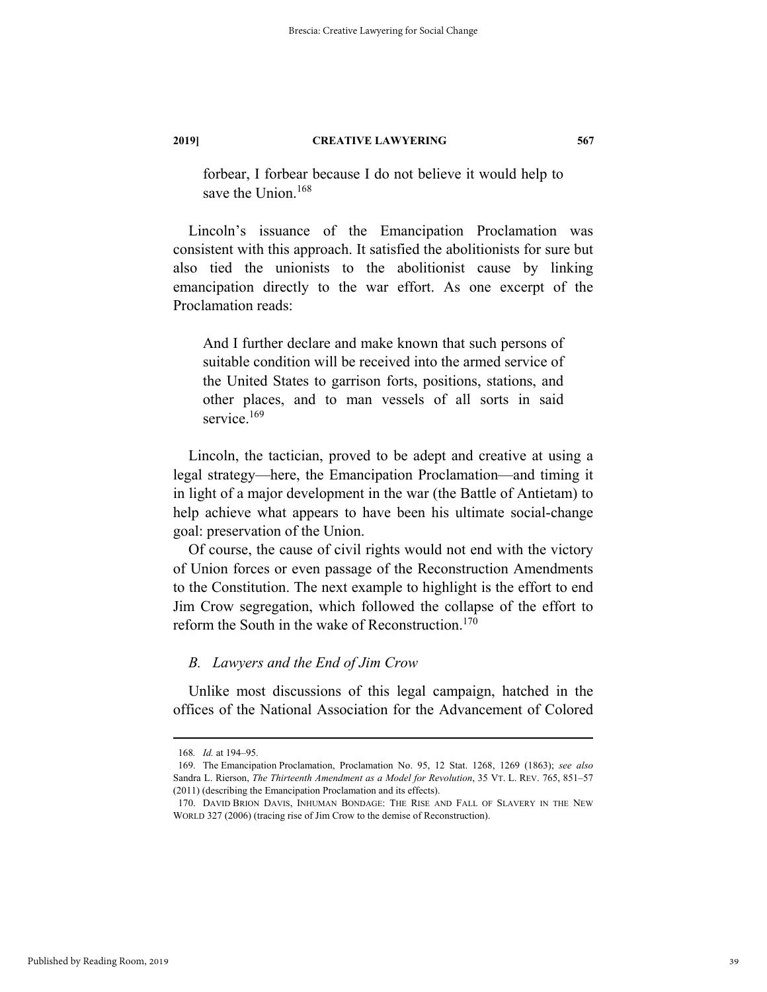forbear, I forbear because I do not believe it would help to save the Union.<sup>168</sup>

Lincoln's issuance of the Emancipation Proclamation was consistent with this approach. It satisfied the abolitionists for sure but also tied the unionists to the abolitionist cause by linking emancipation directly to the war effort. As one excerpt of the Proclamation reads:

And I further declare and make known that such persons of suitable condition will be received into the armed service of the United States to garrison forts, positions, stations, and other places, and to man vessels of all sorts in said service.<sup>169</sup>

Lincoln, the tactician, proved to be adept and creative at using a legal strategy—here, the Emancipation Proclamation—and timing it in light of a major development in the war (the Battle of Antietam) to help achieve what appears to have been his ultimate social-change goal: preservation of the Union.

Of course, the cause of civil rights would not end with the victory of Union forces or even passage of the Reconstruction Amendments to the Constitution. The next example to highlight is the effort to end Jim Crow segregation, which followed the collapse of the effort to reform the South in the wake of Reconstruction.<sup>170</sup>

# *B. Lawyers and the End of Jim Crow*

Unlike most discussions of this legal campaign, hatched in the offices of the National Association for the Advancement of Colored

 <sup>168</sup>*. Id.* at 194–95.

 <sup>169.</sup> The Emancipation Proclamation, Proclamation No. 95, 12 Stat. 1268, 1269 (1863); *see also* Sandra L. Rierson, *The Thirteenth Amendment as a Model for Revolution*, 35 VT. L. REV. 765, 851–57 (2011) (describing the Emancipation Proclamation and its effects).

 <sup>170.</sup> DAVID BRION DAVIS, INHUMAN BONDAGE: THE RISE AND FALL OF SLAVERY IN THE NEW WORLD 327 (2006) (tracing rise of Jim Crow to the demise of Reconstruction).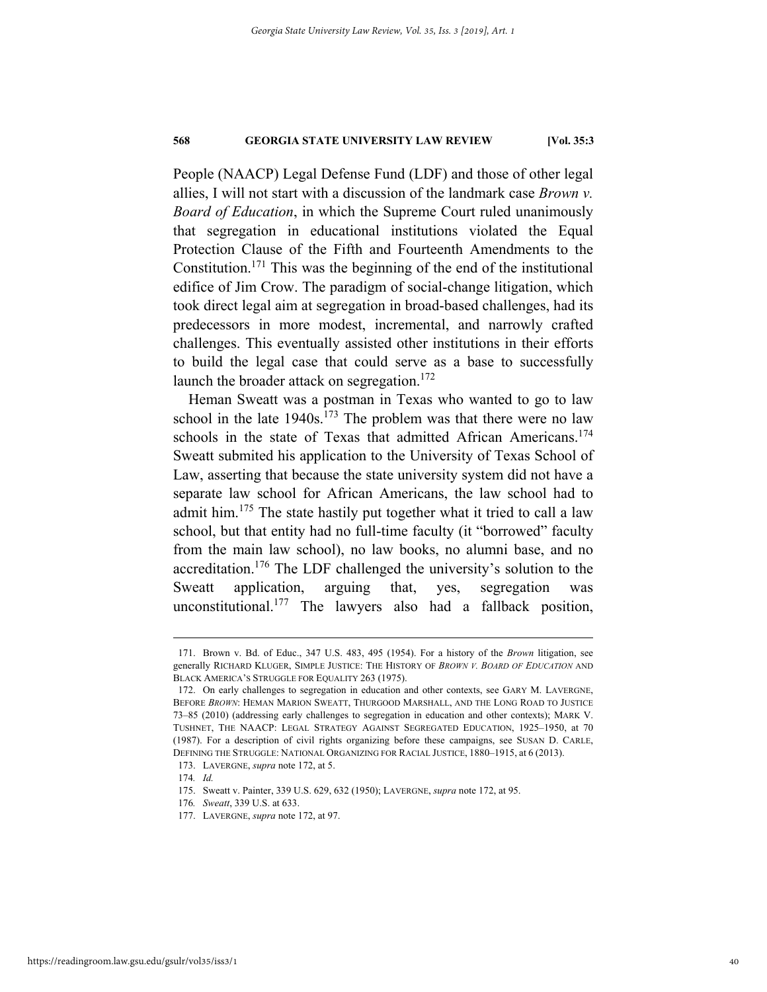People (NAACP) Legal Defense Fund (LDF) and those of other legal allies, I will not start with a discussion of the landmark case *Brown v. Board of Education*, in which the Supreme Court ruled unanimously that segregation in educational institutions violated the Equal Protection Clause of the Fifth and Fourteenth Amendments to the Constitution.<sup>171</sup> This was the beginning of the end of the institutional edifice of Jim Crow. The paradigm of social-change litigation, which took direct legal aim at segregation in broad-based challenges, had its predecessors in more modest, incremental, and narrowly crafted challenges. This eventually assisted other institutions in their efforts to build the legal case that could serve as a base to successfully launch the broader attack on segregation.<sup>172</sup>

Heman Sweatt was a postman in Texas who wanted to go to law school in the late  $1940s$ .<sup>173</sup> The problem was that there were no law schools in the state of Texas that admitted African Americans.<sup>174</sup> Sweatt submited his application to the University of Texas School of Law, asserting that because the state university system did not have a separate law school for African Americans, the law school had to admit him.<sup>175</sup> The state hastily put together what it tried to call a law school, but that entity had no full-time faculty (it "borrowed" faculty from the main law school), no law books, no alumni base, and no accreditation.176 The LDF challenged the university's solution to the Sweatt application, arguing that, yes, segregation was unconstitutional.177 The lawyers also had a fallback position,

 <sup>171.</sup> Brown v. Bd. of Educ., 347 U.S. 483, 495 (1954). For a history of the *Brown* litigation, see generally RICHARD KLUGER, SIMPLE JUSTICE: THE HISTORY OF *BROWN V. BOARD OF EDUCATION* AND BLACK AMERICA'S STRUGGLE FOR EQUALITY 263 (1975).

 <sup>172.</sup> On early challenges to segregation in education and other contexts, see GARY M. LAVERGNE, BEFORE *BROWN*: HEMAN MARION SWEATT, THURGOOD MARSHALL, AND THE LONG ROAD TO JUSTICE 73–85 (2010) (addressing early challenges to segregation in education and other contexts); MARK V. TUSHNET, THE NAACP: LEGAL STRATEGY AGAINST SEGREGATED EDUCATION, 1925–1950, at 70 (1987). For a description of civil rights organizing before these campaigns, see SUSAN D. CARLE, DEFINING THE STRUGGLE: NATIONAL ORGANIZING FOR RACIAL JUSTICE, 1880–1915, at 6 (2013).

 <sup>173.</sup> LAVERGNE, *supra* note 172, at 5.

<sup>174</sup>*. Id.*

 <sup>175.</sup> Sweatt v. Painter, 339 U.S. 629, 632 (1950); LAVERGNE, *supra* note 172, at 95.

<sup>176</sup>*. Sweatt*, 339 U.S. at 633.

 <sup>177.</sup> LAVERGNE, *supra* note 172, at 97.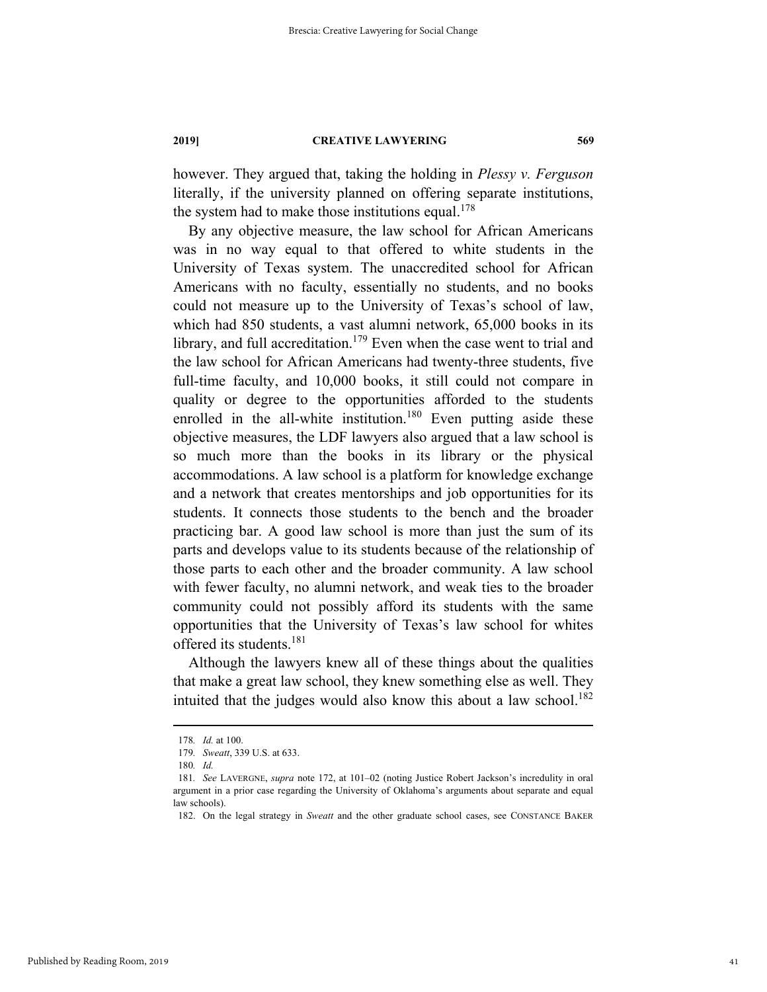however. They argued that, taking the holding in *Plessy v. Ferguson* literally, if the university planned on offering separate institutions, the system had to make those institutions equal.<sup>178</sup>

By any objective measure, the law school for African Americans was in no way equal to that offered to white students in the University of Texas system. The unaccredited school for African Americans with no faculty, essentially no students, and no books could not measure up to the University of Texas's school of law, which had 850 students, a vast alumni network, 65,000 books in its library, and full accreditation.<sup>179</sup> Even when the case went to trial and the law school for African Americans had twenty-three students, five full-time faculty, and 10,000 books, it still could not compare in quality or degree to the opportunities afforded to the students enrolled in the all-white institution.<sup>180</sup> Even putting aside these objective measures, the LDF lawyers also argued that a law school is so much more than the books in its library or the physical accommodations. A law school is a platform for knowledge exchange and a network that creates mentorships and job opportunities for its students. It connects those students to the bench and the broader practicing bar. A good law school is more than just the sum of its parts and develops value to its students because of the relationship of those parts to each other and the broader community. A law school with fewer faculty, no alumni network, and weak ties to the broader community could not possibly afford its students with the same opportunities that the University of Texas's law school for whites offered its students.<sup>181</sup>

Although the lawyers knew all of these things about the qualities that make a great law school, they knew something else as well. They intuited that the judges would also know this about a law school.<sup>182</sup>

Published by Reading Room, 2019

 <sup>178</sup>*. Id.* at 100.

<sup>179</sup>*. Sweatt*, 339 U.S. at 633.

<sup>180</sup>*. Id.*

<sup>181</sup>*. See* LAVERGNE, *supra* note 172, at 101–02 (noting Justice Robert Jackson's incredulity in oral argument in a prior case regarding the University of Oklahoma's arguments about separate and equal law schools).

 <sup>182.</sup> On the legal strategy in *Sweatt* and the other graduate school cases, see CONSTANCE BAKER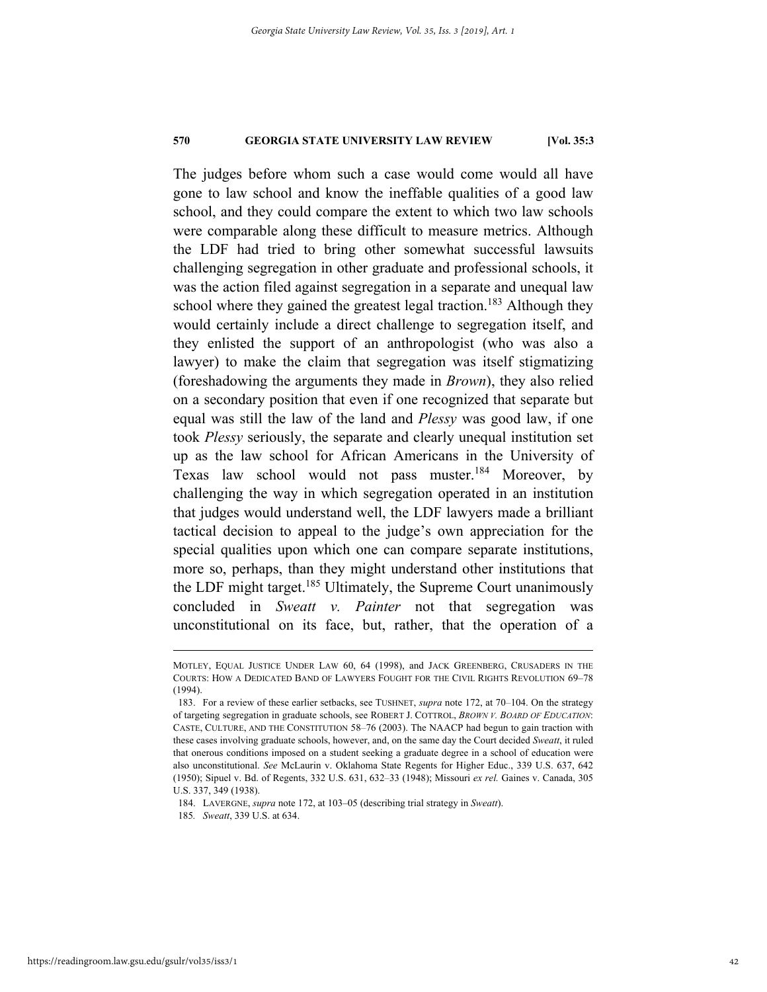The judges before whom such a case would come would all have gone to law school and know the ineffable qualities of a good law school, and they could compare the extent to which two law schools were comparable along these difficult to measure metrics. Although the LDF had tried to bring other somewhat successful lawsuits challenging segregation in other graduate and professional schools, it was the action filed against segregation in a separate and unequal law school where they gained the greatest legal traction.<sup>183</sup> Although they would certainly include a direct challenge to segregation itself, and they enlisted the support of an anthropologist (who was also a lawyer) to make the claim that segregation was itself stigmatizing (foreshadowing the arguments they made in *Brown*), they also relied on a secondary position that even if one recognized that separate but equal was still the law of the land and *Plessy* was good law, if one took *Plessy* seriously, the separate and clearly unequal institution set up as the law school for African Americans in the University of Texas law school would not pass muster.<sup>184</sup> Moreover, by challenging the way in which segregation operated in an institution that judges would understand well, the LDF lawyers made a brilliant tactical decision to appeal to the judge's own appreciation for the special qualities upon which one can compare separate institutions, more so, perhaps, than they might understand other institutions that the LDF might target.<sup>185</sup> Ultimately, the Supreme Court unanimously concluded in *Sweatt v. Painter* not that segregation was unconstitutional on its face, but, rather, that the operation of a

184. LAVERGNE, *supra* note 172, at 103–05 (describing trial strategy in *Sweatt*).

MOTLEY, EQUAL JUSTICE UNDER LAW 60, 64 (1998), and JACK GREENBERG, CRUSADERS IN THE COURTS: HOW A DEDICATED BAND OF LAWYERS FOUGHT FOR THE CIVIL RIGHTS REVOLUTION 69–78 (1994).

 <sup>183.</sup> For a review of these earlier setbacks, see TUSHNET, *supra* note 172, at 70–104. On the strategy of targeting segregation in graduate schools, see ROBERT J. COTTROL, *BROWN V. BOARD OF EDUCATION*: CASTE, CULTURE, AND THE CONSTITUTION 58–76 (2003). The NAACP had begun to gain traction with these cases involving graduate schools, however, and, on the same day the Court decided *Sweatt*, it ruled that onerous conditions imposed on a student seeking a graduate degree in a school of education were also unconstitutional. *See* McLaurin v. Oklahoma State Regents for Higher Educ., 339 U.S. 637, 642 (1950); Sipuel v. Bd. of Regents, 332 U.S. 631, 632–33 (1948); Missouri *ex rel.* Gaines v. Canada, 305 U.S. 337, 349 (1938).

<sup>185</sup>*. Sweatt*, 339 U.S. at 634.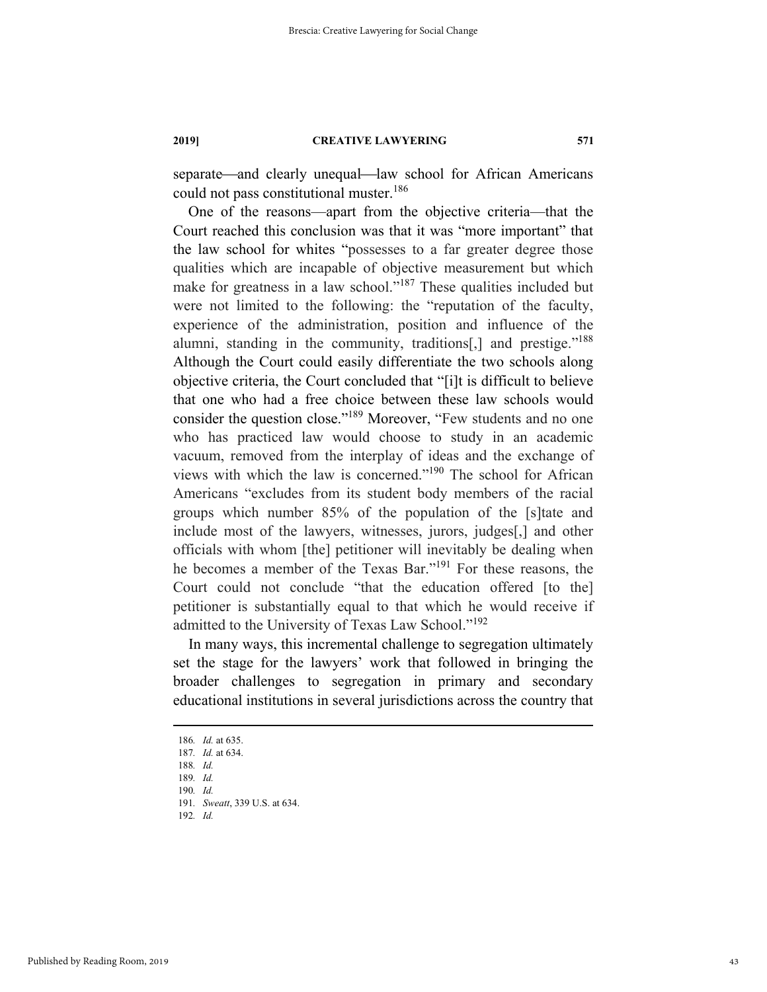separate—and clearly unequal—law school for African Americans could not pass constitutional muster.<sup>186</sup>

One of the reasons—apart from the objective criteria—that the Court reached this conclusion was that it was "more important" that the law school for whites "possesses to a far greater degree those qualities which are incapable of objective measurement but which make for greatness in a law school."<sup>187</sup> These qualities included but were not limited to the following: the "reputation of the faculty, experience of the administration, position and influence of the alumni, standing in the community, traditions<sup>[1]</sup> and prestige."<sup>188</sup> Although the Court could easily differentiate the two schools along objective criteria, the Court concluded that "[i]t is difficult to believe that one who had a free choice between these law schools would consider the question close."189 Moreover, "Few students and no one who has practiced law would choose to study in an academic vacuum, removed from the interplay of ideas and the exchange of views with which the law is concerned."190 The school for African Americans "excludes from its student body members of the racial groups which number 85% of the population of the [s]tate and include most of the lawyers, witnesses, jurors, judges[,] and other officials with whom [the] petitioner will inevitably be dealing when he becomes a member of the Texas Bar."191 For these reasons, the Court could not conclude "that the education offered [to the] petitioner is substantially equal to that which he would receive if admitted to the University of Texas Law School."<sup>192</sup>

In many ways, this incremental challenge to segregation ultimately set the stage for the lawyers' work that followed in bringing the broader challenges to segregation in primary and secondary educational institutions in several jurisdictions across the country that

 <sup>186</sup>*. Id.* at 635.

<sup>187</sup>*. Id.* at 634. 188*. Id.*

<sup>189</sup>*. Id.*

<sup>190</sup>*. Id.*

<sup>191</sup>*. Sweatt*, 339 U.S. at 634.

<sup>192</sup>*. Id.*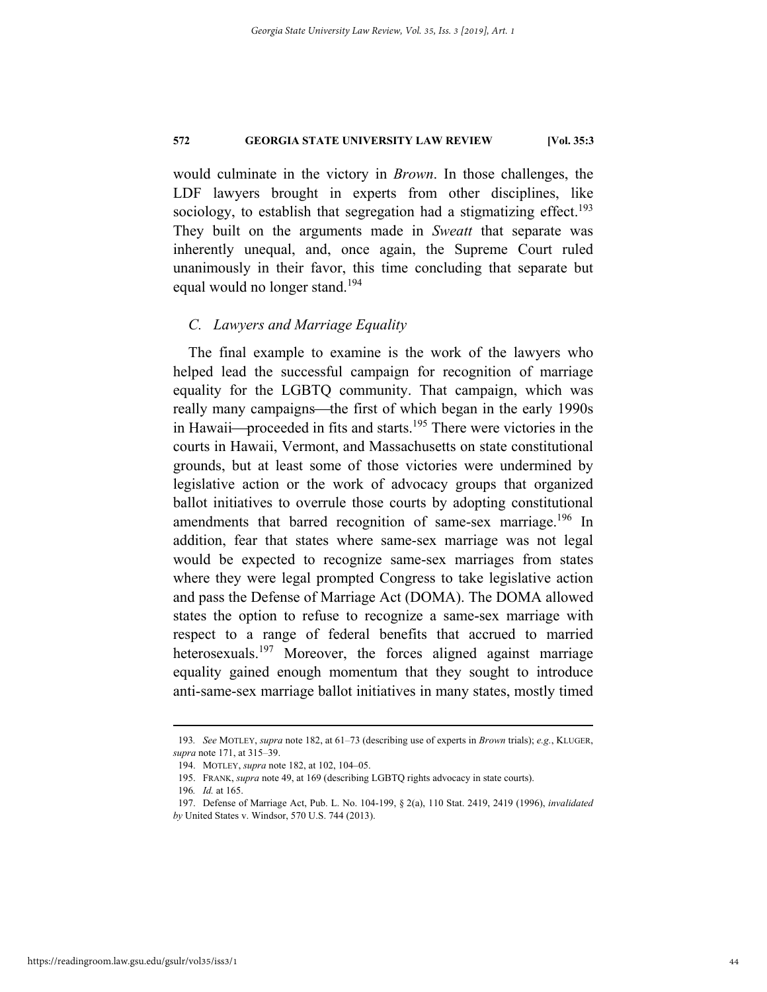would culminate in the victory in *Brown*. In those challenges, the LDF lawyers brought in experts from other disciplines, like sociology, to establish that segregation had a stigmatizing effect.<sup>193</sup> They built on the arguments made in *Sweatt* that separate was inherently unequal, and, once again, the Supreme Court ruled unanimously in their favor, this time concluding that separate but equal would no longer stand.<sup>194</sup>

# *C. Lawyers and Marriage Equality*

The final example to examine is the work of the lawyers who helped lead the successful campaign for recognition of marriage equality for the LGBTQ community. That campaign, which was really many campaigns—the first of which began in the early 1990s in Hawaii—proceeded in fits and starts.<sup>195</sup> There were victories in the courts in Hawaii, Vermont, and Massachusetts on state constitutional grounds, but at least some of those victories were undermined by legislative action or the work of advocacy groups that organized ballot initiatives to overrule those courts by adopting constitutional amendments that barred recognition of same-sex marriage.<sup>196</sup> In addition, fear that states where same-sex marriage was not legal would be expected to recognize same-sex marriages from states where they were legal prompted Congress to take legislative action and pass the Defense of Marriage Act (DOMA). The DOMA allowed states the option to refuse to recognize a same-sex marriage with respect to a range of federal benefits that accrued to married heterosexuals.<sup>197</sup> Moreover, the forces aligned against marriage equality gained enough momentum that they sought to introduce anti-same-sex marriage ballot initiatives in many states, mostly timed

 <sup>193</sup>*. See* MOTLEY, *supra* note 182, at 61–73 (describing use of experts in *Brown* trials); *e.g.*, KLUGER, *supra* note 171, at 315–39.

 <sup>194.</sup> MOTLEY, *supra* note 182, at 102, 104–05.

 <sup>195.</sup> FRANK, *supra* note 49, at 169 (describing LGBTQ rights advocacy in state courts).

<sup>196</sup>*. Id.* at 165.

 <sup>197.</sup> Defense of Marriage Act, Pub. L. No. 104-199, § 2(a), 110 Stat. 2419, 2419 (1996), *invalidated by* United States v. Windsor, 570 U.S. 744 (2013).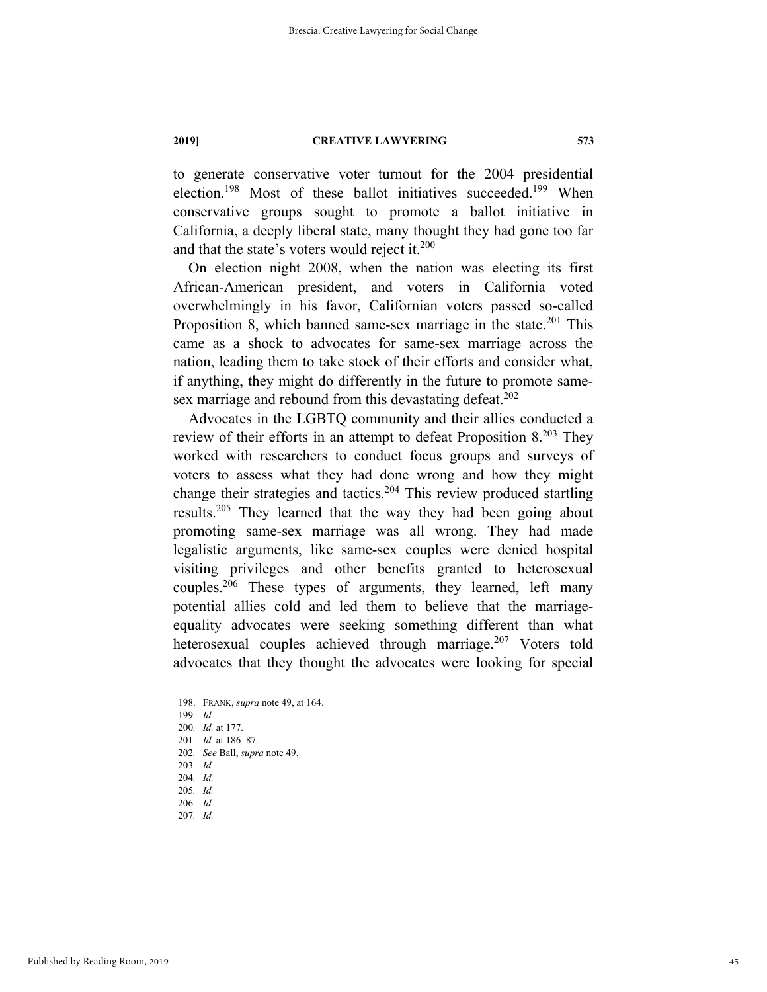to generate conservative voter turnout for the 2004 presidential election.<sup>198</sup> Most of these ballot initiatives succeeded.<sup>199</sup> When conservative groups sought to promote a ballot initiative in California, a deeply liberal state, many thought they had gone too far and that the state's voters would reject it. $200$ 

On election night 2008, when the nation was electing its first African-American president, and voters in California voted overwhelmingly in his favor, Californian voters passed so-called Proposition 8, which banned same-sex marriage in the state. $201$  This came as a shock to advocates for same-sex marriage across the nation, leading them to take stock of their efforts and consider what, if anything, they might do differently in the future to promote samesex marriage and rebound from this devastating defeat.<sup>202</sup>

Advocates in the LGBTQ community and their allies conducted a review of their efforts in an attempt to defeat Proposition 8.203 They worked with researchers to conduct focus groups and surveys of voters to assess what they had done wrong and how they might change their strategies and tactics.<sup>204</sup> This review produced startling results.205 They learned that the way they had been going about promoting same-sex marriage was all wrong. They had made legalistic arguments, like same-sex couples were denied hospital visiting privileges and other benefits granted to heterosexual couples.<sup>206</sup> These types of arguments, they learned, left many potential allies cold and led them to believe that the marriageequality advocates were seeking something different than what heterosexual couples achieved through marriage.<sup>207</sup> Voters told advocates that they thought the advocates were looking for special

203*. Id.*

207*. Id.*

 <sup>198.</sup> FRANK, *supra* note 49, at 164.

<sup>199</sup>*. Id.*

<sup>200</sup>*. Id.* at 177.

<sup>201</sup>*. Id.* at 186–87.

<sup>202</sup>*. See* Ball, *supra* note 49.

<sup>204</sup>*. Id.*

<sup>205</sup>*. Id.* 206*. Id.*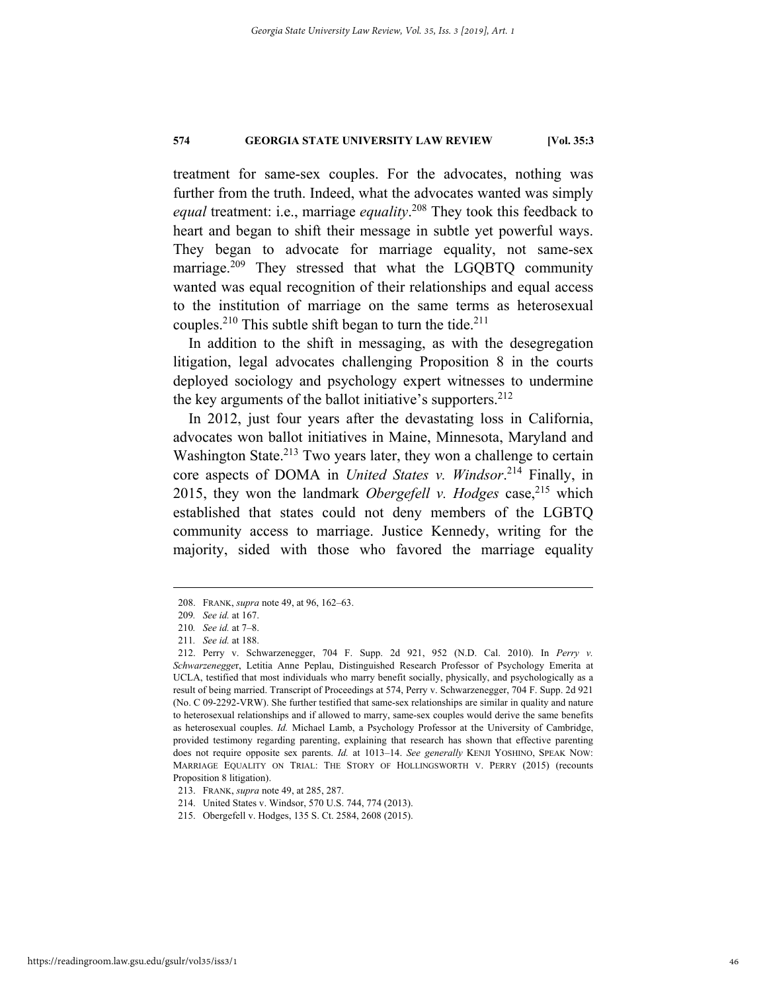treatment for same-sex couples. For the advocates, nothing was further from the truth. Indeed, what the advocates wanted was simply *equal* treatment: i.e., marriage *equality*. 208 They took this feedback to heart and began to shift their message in subtle yet powerful ways. They began to advocate for marriage equality, not same-sex marriage.<sup>209</sup> They stressed that what the LGQBTQ community wanted was equal recognition of their relationships and equal access to the institution of marriage on the same terms as heterosexual couples.<sup>210</sup> This subtle shift began to turn the tide.<sup>211</sup>

In addition to the shift in messaging, as with the desegregation litigation, legal advocates challenging Proposition 8 in the courts deployed sociology and psychology expert witnesses to undermine the key arguments of the ballot initiative's supporters.  $2^{12}$ 

In 2012, just four years after the devastating loss in California, advocates won ballot initiatives in Maine, Minnesota, Maryland and Washington State.<sup>213</sup> Two years later, they won a challenge to certain core aspects of DOMA in *United States v. Windsor*. 214 Finally, in 2015, they won the landmark *Obergefell v. Hodges* case,<sup>215</sup> which established that states could not deny members of the LGBTQ community access to marriage. Justice Kennedy, writing for the majority, sided with those who favored the marriage equality

 <sup>208.</sup> FRANK, *supra* note 49, at 96, 162–63.

<sup>209</sup>*. See id.* at 167.

<sup>210</sup>*. See id.* at 7–8.

<sup>211</sup>*. See id.* at 188.

 <sup>212.</sup> Perry v. Schwarzenegger, 704 F. Supp. 2d 921, 952 (N.D. Cal. 2010). In *Perry v. Schwarzenegge*r, Letitia Anne Peplau, Distinguished Research Professor of Psychology Emerita at UCLA, testified that most individuals who marry benefit socially, physically, and psychologically as a result of being married. Transcript of Proceedings at 574, Perry v. Schwarzenegger, 704 F. Supp. 2d 921 (No. C 09-2292-VRW). She further testified that same-sex relationships are similar in quality and nature to heterosexual relationships and if allowed to marry, same-sex couples would derive the same benefits as heterosexual couples. *Id.* Michael Lamb, a Psychology Professor at the University of Cambridge, provided testimony regarding parenting, explaining that research has shown that effective parenting does not require opposite sex parents. *Id.* at 1013–14. *See generally* KENJI YOSHINO, SPEAK NOW: MARRIAGE EQUALITY ON TRIAL: THE STORY OF HOLLINGSWORTH V. PERRY (2015) (recounts Proposition 8 litigation).

 <sup>213.</sup> FRANK, *supra* note 49, at 285, 287.

 <sup>214.</sup> United States v. Windsor, 570 U.S. 744, 774 (2013).

 <sup>215.</sup> Obergefell v. Hodges, 135 S. Ct. 2584, 2608 (2015).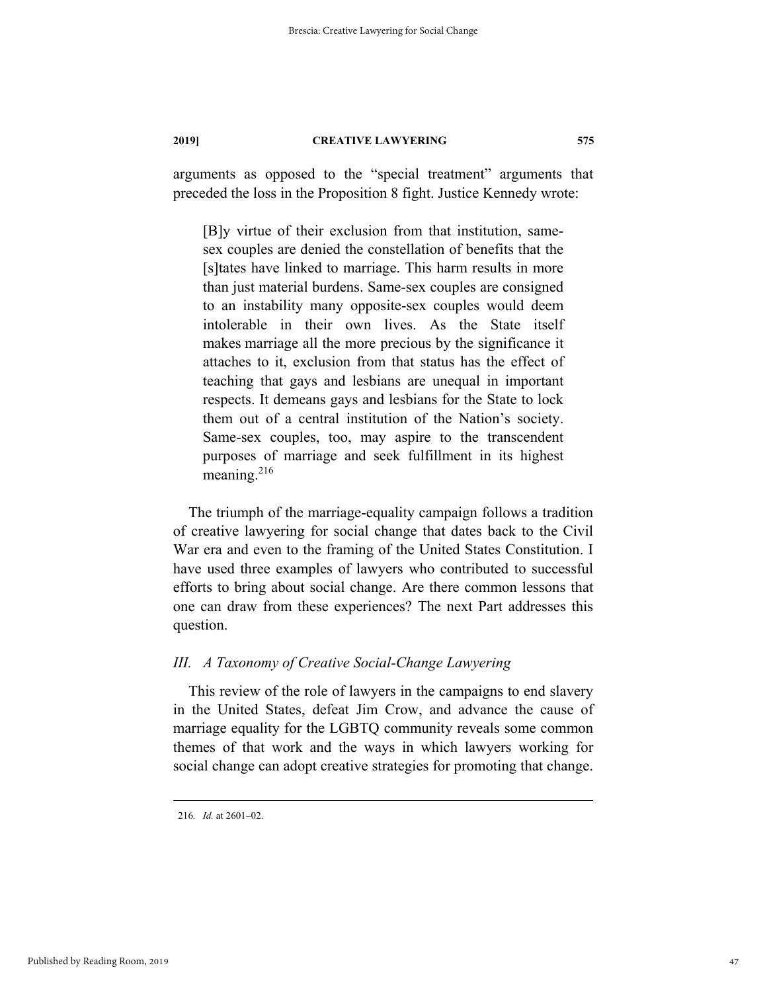arguments as opposed to the "special treatment" arguments that preceded the loss in the Proposition 8 fight. Justice Kennedy wrote:

[B]y virtue of their exclusion from that institution, samesex couples are denied the constellation of benefits that the [s]tates have linked to marriage. This harm results in more than just material burdens. Same-sex couples are consigned to an instability many opposite-sex couples would deem intolerable in their own lives. As the State itself makes marriage all the more precious by the significance it attaches to it, exclusion from that status has the effect of teaching that gays and lesbians are unequal in important respects. It demeans gays and lesbians for the State to lock them out of a central institution of the Nation's society. Same-sex couples, too, may aspire to the transcendent purposes of marriage and seek fulfillment in its highest meaning.<sup>216</sup>

The triumph of the marriage-equality campaign follows a tradition of creative lawyering for social change that dates back to the Civil War era and even to the framing of the United States Constitution. I have used three examples of lawyers who contributed to successful efforts to bring about social change. Are there common lessons that one can draw from these experiences? The next Part addresses this question.

# *III. A Taxonomy of Creative Social-Change Lawyering*

This review of the role of lawyers in the campaigns to end slavery in the United States, defeat Jim Crow, and advance the cause of marriage equality for the LGBTQ community reveals some common themes of that work and the ways in which lawyers working for social change can adopt creative strategies for promoting that change.

Published by Reading Room, 2019

 <sup>216</sup>*. Id.* at 2601–02.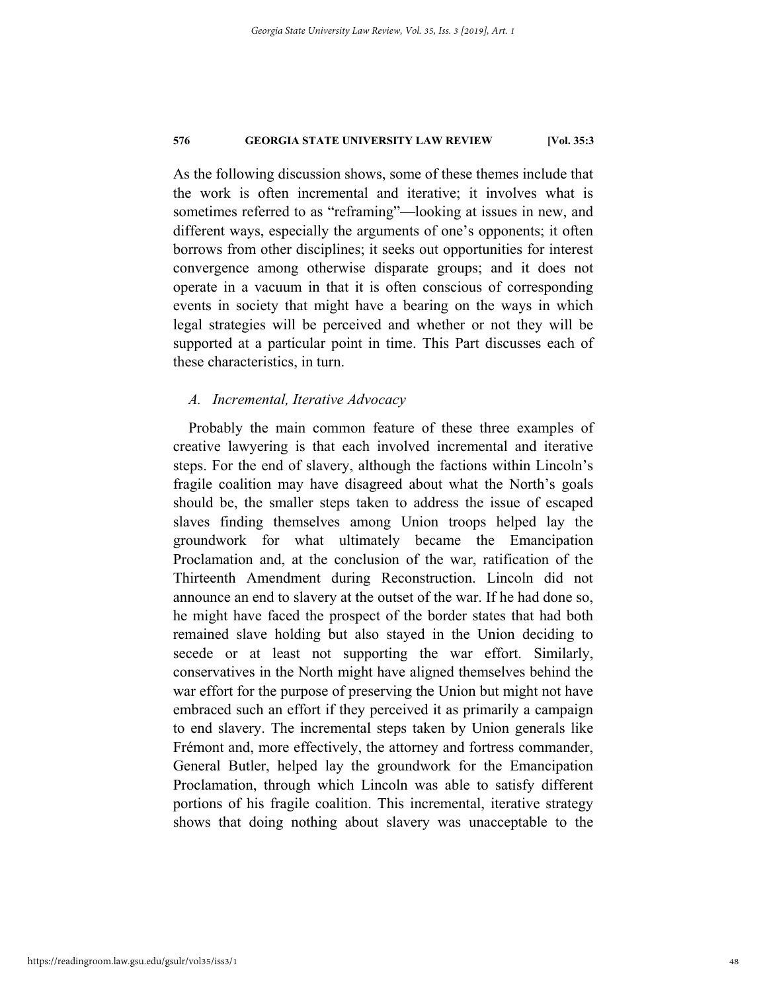As the following discussion shows, some of these themes include that the work is often incremental and iterative; it involves what is sometimes referred to as "reframing"—looking at issues in new, and different ways, especially the arguments of one's opponents; it often borrows from other disciplines; it seeks out opportunities for interest convergence among otherwise disparate groups; and it does not operate in a vacuum in that it is often conscious of corresponding events in society that might have a bearing on the ways in which legal strategies will be perceived and whether or not they will be supported at a particular point in time. This Part discusses each of these characteristics, in turn.

# *A. Incremental, Iterative Advocacy*

Probably the main common feature of these three examples of creative lawyering is that each involved incremental and iterative steps. For the end of slavery, although the factions within Lincoln's fragile coalition may have disagreed about what the North's goals should be, the smaller steps taken to address the issue of escaped slaves finding themselves among Union troops helped lay the groundwork for what ultimately became the Emancipation Proclamation and, at the conclusion of the war, ratification of the Thirteenth Amendment during Reconstruction. Lincoln did not announce an end to slavery at the outset of the war. If he had done so, he might have faced the prospect of the border states that had both remained slave holding but also stayed in the Union deciding to secede or at least not supporting the war effort. Similarly, conservatives in the North might have aligned themselves behind the war effort for the purpose of preserving the Union but might not have embraced such an effort if they perceived it as primarily a campaign to end slavery. The incremental steps taken by Union generals like Frémont and, more effectively, the attorney and fortress commander, General Butler, helped lay the groundwork for the Emancipation Proclamation, through which Lincoln was able to satisfy different portions of his fragile coalition. This incremental, iterative strategy shows that doing nothing about slavery was unacceptable to the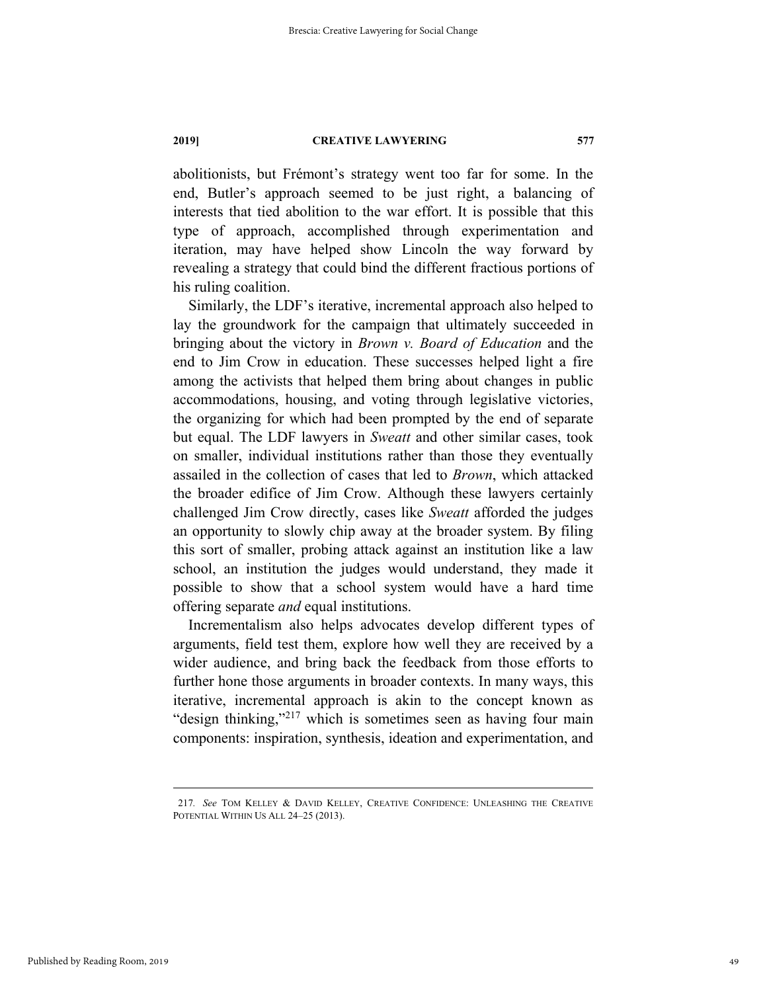abolitionists, but Frémont's strategy went too far for some. In the end, Butler's approach seemed to be just right, a balancing of interests that tied abolition to the war effort. It is possible that this type of approach, accomplished through experimentation and iteration, may have helped show Lincoln the way forward by revealing a strategy that could bind the different fractious portions of his ruling coalition.

Similarly, the LDF's iterative, incremental approach also helped to lay the groundwork for the campaign that ultimately succeeded in bringing about the victory in *Brown v. Board of Education* and the end to Jim Crow in education. These successes helped light a fire among the activists that helped them bring about changes in public accommodations, housing, and voting through legislative victories, the organizing for which had been prompted by the end of separate but equal. The LDF lawyers in *Sweatt* and other similar cases, took on smaller, individual institutions rather than those they eventually assailed in the collection of cases that led to *Brown*, which attacked the broader edifice of Jim Crow. Although these lawyers certainly challenged Jim Crow directly, cases like *Sweatt* afforded the judges an opportunity to slowly chip away at the broader system. By filing this sort of smaller, probing attack against an institution like a law school, an institution the judges would understand, they made it possible to show that a school system would have a hard time offering separate *and* equal institutions.

Incrementalism also helps advocates develop different types of arguments, field test them, explore how well they are received by a wider audience, and bring back the feedback from those efforts to further hone those arguments in broader contexts. In many ways, this iterative, incremental approach is akin to the concept known as "design thinking,"<sup>217</sup> which is sometimes seen as having four main components: inspiration, synthesis, ideation and experimentation, and

 <sup>217</sup>*. See* TOM KELLEY & DAVID KELLEY, CREATIVE CONFIDENCE: UNLEASHING THE CREATIVE POTENTIAL WITHIN US ALL 24–25 (2013).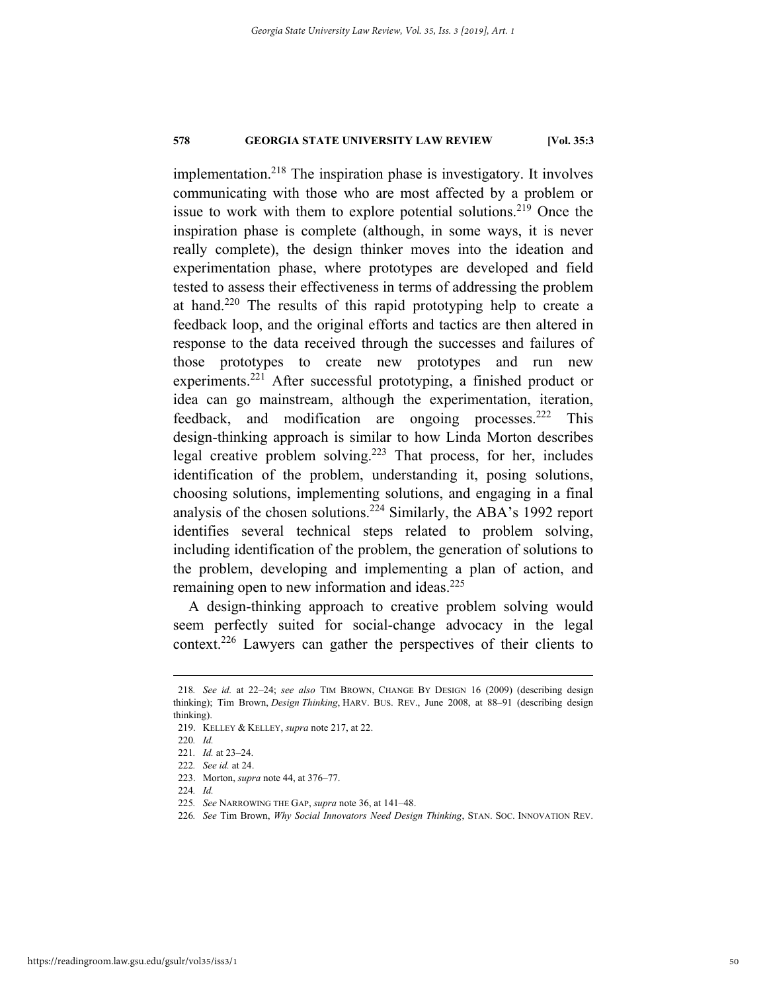implementation.218 The inspiration phase is investigatory. It involves communicating with those who are most affected by a problem or issue to work with them to explore potential solutions.<sup>219</sup> Once the inspiration phase is complete (although, in some ways, it is never really complete), the design thinker moves into the ideation and experimentation phase, where prototypes are developed and field tested to assess their effectiveness in terms of addressing the problem at hand.<sup>220</sup> The results of this rapid prototyping help to create a feedback loop, and the original efforts and tactics are then altered in response to the data received through the successes and failures of those prototypes to create new prototypes and run new experiments.<sup>221</sup> After successful prototyping, a finished product or idea can go mainstream, although the experimentation, iteration, feedback, and modification are ongoing processes.<sup>222</sup> This design-thinking approach is similar to how Linda Morton describes legal creative problem solving.223 That process, for her, includes identification of the problem, understanding it, posing solutions, choosing solutions, implementing solutions, and engaging in a final analysis of the chosen solutions.224 Similarly, the ABA's 1992 report identifies several technical steps related to problem solving, including identification of the problem, the generation of solutions to the problem, developing and implementing a plan of action, and remaining open to new information and ideas.<sup>225</sup>

A design-thinking approach to creative problem solving would seem perfectly suited for social-change advocacy in the legal context.<sup>226</sup> Lawyers can gather the perspectives of their clients to

 <sup>218</sup>*. See id.* at 22–24; *see also* TIM BROWN, CHANGE BY DESIGN 16 (2009) (describing design thinking); Tim Brown, *Design Thinking*, HARV. BUS. REV., June 2008, at 88–91 (describing design thinking).

 <sup>219.</sup> KELLEY & KELLEY, *supra* note 217, at 22.

<sup>220</sup>*. Id.*

<sup>221</sup>*. Id.* at 23–24.

<sup>222</sup>*. See id.* at 24.

 <sup>223.</sup> Morton, *supra* note 44, at 376–77.

<sup>224</sup>*. Id.*

<sup>225</sup>*. See* NARROWING THE GAP, *supra* note 36, at 141–48.

<sup>226</sup>*. See* Tim Brown, *Why Social Innovators Need Design Thinking*, STAN. SOC. INNOVATION REV.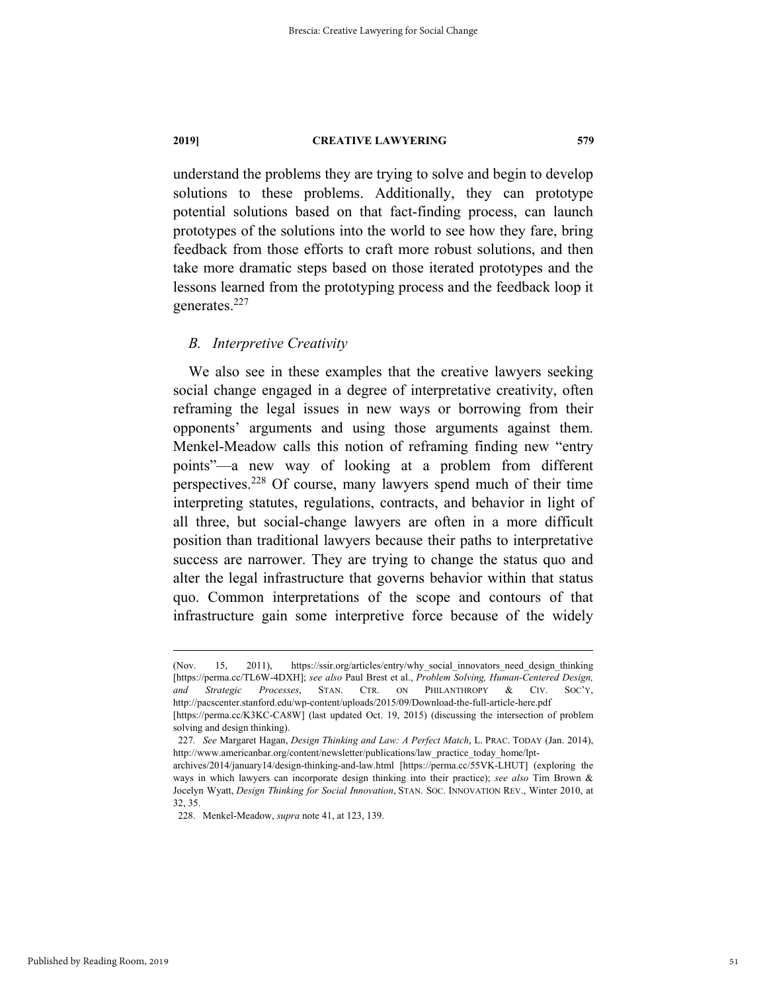understand the problems they are trying to solve and begin to develop solutions to these problems. Additionally, they can prototype potential solutions based on that fact-finding process, can launch prototypes of the solutions into the world to see how they fare, bring feedback from those efforts to craft more robust solutions, and then take more dramatic steps based on those iterated prototypes and the lessons learned from the prototyping process and the feedback loop it generates.227

# *B. Interpretive Creativity*

We also see in these examples that the creative lawyers seeking social change engaged in a degree of interpretative creativity, often reframing the legal issues in new ways or borrowing from their opponents' arguments and using those arguments against them. Menkel-Meadow calls this notion of reframing finding new "entry points"—a new way of looking at a problem from different perspectives.228 Of course, many lawyers spend much of their time interpreting statutes, regulations, contracts, and behavior in light of all three, but social-change lawyers are often in a more difficult position than traditional lawyers because their paths to interpretative success are narrower. They are trying to change the status quo and alter the legal infrastructure that governs behavior within that status quo. Common interpretations of the scope and contours of that infrastructure gain some interpretive force because of the widely

 <sup>(</sup>Nov. 15, 2011), https://ssir.org/articles/entry/why\_social\_innovators\_need\_design\_thinking [https://perma.cc/TL6W-4DXH]; *see also* Paul Brest et al., *Problem Solving, Human-Centered Design, and Strategic Processes*, STAN. CTR. ON PHILANTHROPY & CIV. SOC'Y, http://pacscenter.stanford.edu/wp-content/uploads/2015/09/Download-the-full-article-here.pdf [https://perma.cc/K3KC-CA8W] (last updated Oct. 19, 2015) (discussing the intersection of problem

solving and design thinking). 227*. See* Margaret Hagan, *Design Thinking and Law: A Perfect Match*, L. PRAC. TODAY (Jan. 2014), http://www.americanbar.org/content/newsletter/publications/law\_practice\_today\_home/lpt-

archives/2014/january14/design-thinking-and-law.html [https://perma.cc/55VK-LHUT] (exploring the ways in which lawyers can incorporate design thinking into their practice); *see also* Tim Brown & Jocelyn Wyatt, *Design Thinking for Social Innovation*, STAN. SOC. INNOVATION REV., Winter 2010, at 32, 35.

 <sup>228.</sup> Menkel-Meadow, *supra* note 41, at 123, 139.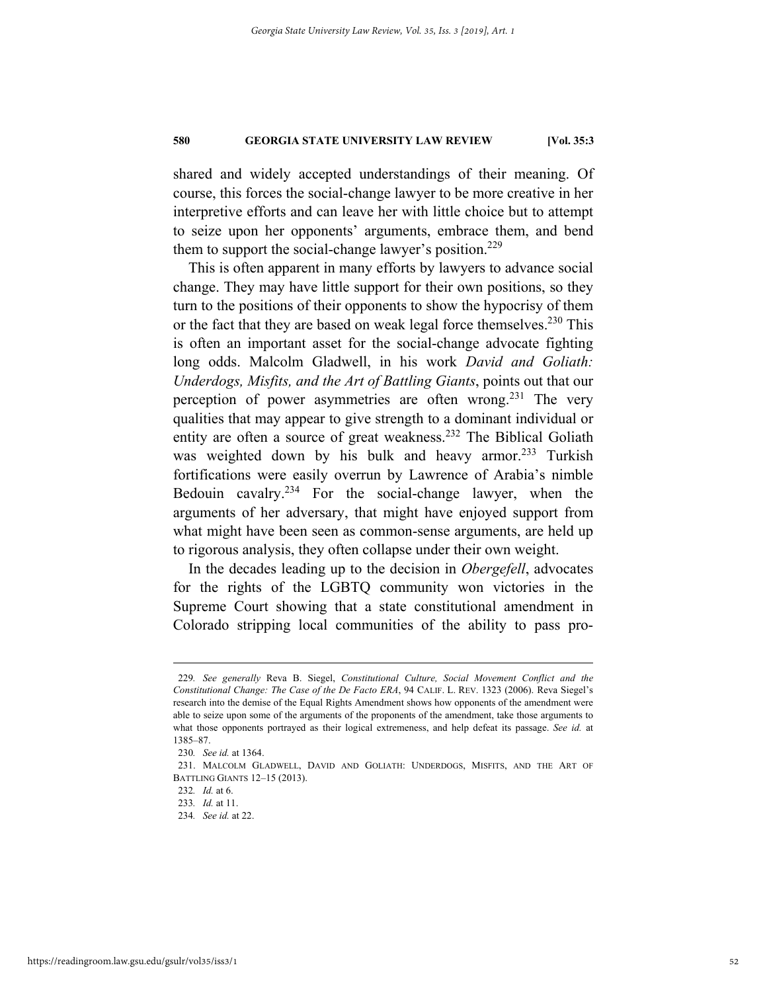shared and widely accepted understandings of their meaning. Of course, this forces the social-change lawyer to be more creative in her interpretive efforts and can leave her with little choice but to attempt to seize upon her opponents' arguments, embrace them, and bend them to support the social-change lawyer's position.<sup>229</sup>

This is often apparent in many efforts by lawyers to advance social change. They may have little support for their own positions, so they turn to the positions of their opponents to show the hypocrisy of them or the fact that they are based on weak legal force themselves.<sup>230</sup> This is often an important asset for the social-change advocate fighting long odds. Malcolm Gladwell, in his work *David and Goliath: Underdogs, Misfits, and the Art of Battling Giants*, points out that our perception of power asymmetries are often wrong.<sup>231</sup> The very qualities that may appear to give strength to a dominant individual or entity are often a source of great weakness.<sup>232</sup> The Biblical Goliath was weighted down by his bulk and heavy armor.<sup>233</sup> Turkish fortifications were easily overrun by Lawrence of Arabia's nimble Bedouin cavalry.234 For the social-change lawyer, when the arguments of her adversary, that might have enjoyed support from what might have been seen as common-sense arguments, are held up to rigorous analysis, they often collapse under their own weight.

In the decades leading up to the decision in *Obergefell*, advocates for the rights of the LGBTQ community won victories in the Supreme Court showing that a state constitutional amendment in Colorado stripping local communities of the ability to pass pro-

 <sup>229</sup>*. See generally* Reva B. Siegel, *Constitutional Culture, Social Movement Conflict and the Constitutional Change: The Case of the De Facto ERA*, 94 CALIF. L. REV. 1323 (2006). Reva Siegel's research into the demise of the Equal Rights Amendment shows how opponents of the amendment were able to seize upon some of the arguments of the proponents of the amendment, take those arguments to what those opponents portrayed as their logical extremeness, and help defeat its passage. *See id.* at 1385–87.

<sup>230</sup>*. See id.* at 1364.

 <sup>231.</sup> MALCOLM GLADWELL, DAVID AND GOLIATH: UNDERDOGS, MISFITS, AND THE ART OF BATTLING GIANTS 12–15 (2013).

<sup>232</sup>*. Id.* at 6.

<sup>233</sup>*. Id.* at 11.

<sup>234</sup>*. See id.* at 22.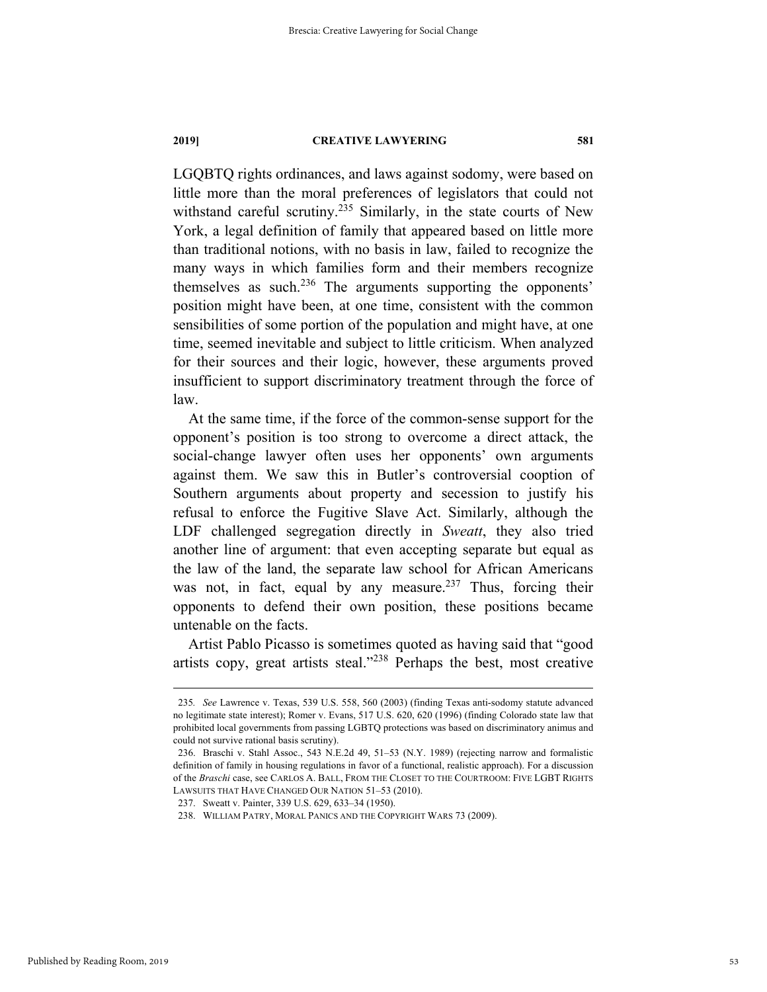LGQBTQ rights ordinances, and laws against sodomy, were based on little more than the moral preferences of legislators that could not withstand careful scrutiny.<sup>235</sup> Similarly, in the state courts of New York, a legal definition of family that appeared based on little more than traditional notions, with no basis in law, failed to recognize the many ways in which families form and their members recognize themselves as such.<sup>236</sup> The arguments supporting the opponents' position might have been, at one time, consistent with the common sensibilities of some portion of the population and might have, at one time, seemed inevitable and subject to little criticism. When analyzed for their sources and their logic, however, these arguments proved insufficient to support discriminatory treatment through the force of law.

At the same time, if the force of the common-sense support for the opponent's position is too strong to overcome a direct attack, the social-change lawyer often uses her opponents' own arguments against them. We saw this in Butler's controversial cooption of Southern arguments about property and secession to justify his refusal to enforce the Fugitive Slave Act. Similarly, although the LDF challenged segregation directly in *Sweatt*, they also tried another line of argument: that even accepting separate but equal as the law of the land, the separate law school for African Americans was not, in fact, equal by any measure.<sup>237</sup> Thus, forcing their opponents to defend their own position, these positions became untenable on the facts.

Artist Pablo Picasso is sometimes quoted as having said that "good artists copy, great artists steal."238 Perhaps the best, most creative

 <sup>235</sup>*. See* Lawrence v. Texas, 539 U.S. 558, 560 (2003) (finding Texas anti-sodomy statute advanced no legitimate state interest); Romer v. Evans, 517 U.S. 620, 620 (1996) (finding Colorado state law that prohibited local governments from passing LGBTQ protections was based on discriminatory animus and could not survive rational basis scrutiny).

 <sup>236.</sup> Braschi v. Stahl Assoc., 543 N.E.2d 49, 51–53 (N.Y. 1989) (rejecting narrow and formalistic definition of family in housing regulations in favor of a functional, realistic approach). For a discussion of the *Braschi* case, see CARLOS A. BALL, FROM THE CLOSET TO THE COURTROOM: FIVE LGBT RIGHTS LAWSUITS THAT HAVE CHANGED OUR NATION 51–53 (2010).

 <sup>237.</sup> Sweatt v. Painter, 339 U.S. 629, 633–34 (1950).

 <sup>238.</sup> WILLIAM PATRY, MORAL PANICS AND THE COPYRIGHT WARS 73 (2009).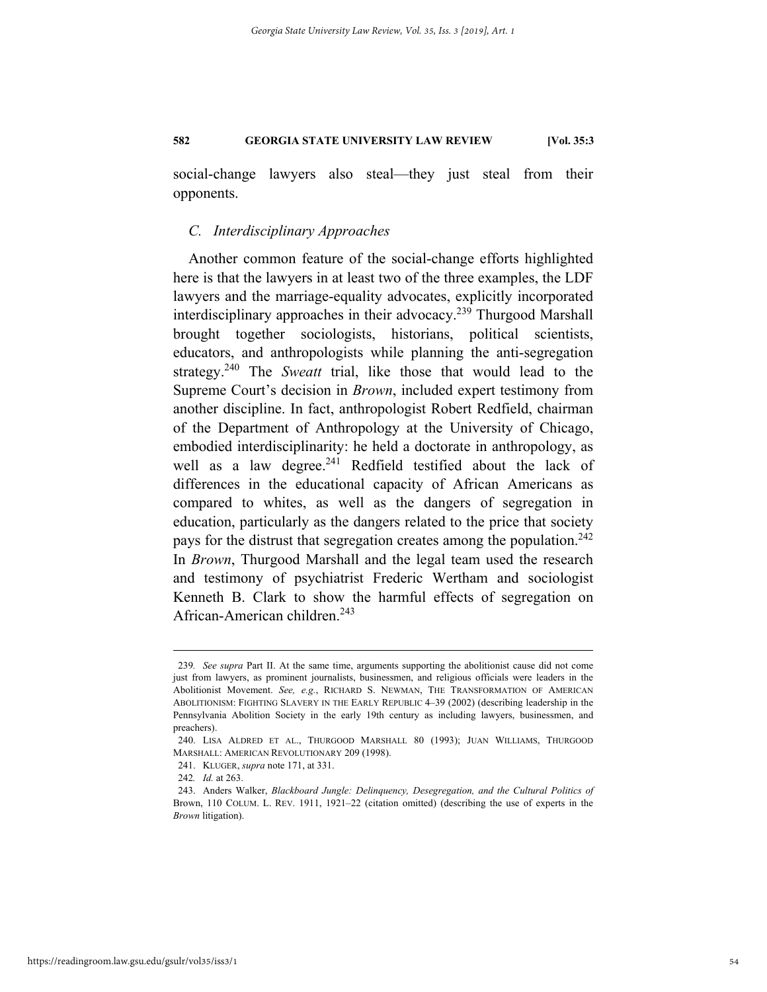social-change lawyers also steal—they just steal from their opponents.

# *C. Interdisciplinary Approaches*

Another common feature of the social-change efforts highlighted here is that the lawyers in at least two of the three examples, the LDF lawyers and the marriage-equality advocates, explicitly incorporated interdisciplinary approaches in their advocacy.<sup>239</sup> Thurgood Marshall brought together sociologists, historians, political scientists, educators, and anthropologists while planning the anti-segregation strategy.240 The *Sweatt* trial, like those that would lead to the Supreme Court's decision in *Brown*, included expert testimony from another discipline. In fact, anthropologist Robert Redfield, chairman of the Department of Anthropology at the University of Chicago, embodied interdisciplinarity: he held a doctorate in anthropology, as well as a law degree. $241$  Redfield testified about the lack of differences in the educational capacity of African Americans as compared to whites, as well as the dangers of segregation in education, particularly as the dangers related to the price that society pays for the distrust that segregation creates among the population.<sup>242</sup> In *Brown*, Thurgood Marshall and the legal team used the research and testimony of psychiatrist Frederic Wertham and sociologist Kenneth B. Clark to show the harmful effects of segregation on African-American children.<sup>243</sup>

 <sup>239</sup>*. See supra* Part II. At the same time, arguments supporting the abolitionist cause did not come just from lawyers, as prominent journalists, businessmen, and religious officials were leaders in the Abolitionist Movement. *See, e.g.*, RICHARD S. NEWMAN, THE TRANSFORMATION OF AMERICAN ABOLITIONISM: FIGHTING SLAVERY IN THE EARLY REPUBLIC 4–39 (2002) (describing leadership in the Pennsylvania Abolition Society in the early 19th century as including lawyers, businessmen, and preachers).

 <sup>240.</sup> LISA ALDRED ET AL., THURGOOD MARSHALL 80 (1993); JUAN WILLIAMS, THURGOOD MARSHALL: AMERICAN REVOLUTIONARY 209 (1998).

 <sup>241.</sup> KLUGER, *supra* note 171, at 331.

<sup>242</sup>*. Id.* at 263.

 <sup>243.</sup> Anders Walker, *Blackboard Jungle: Delinquency, Desegregation, and the Cultural Politics of* Brown, 110 COLUM. L. REV. 1911, 1921–22 (citation omitted) (describing the use of experts in the *Brown* litigation).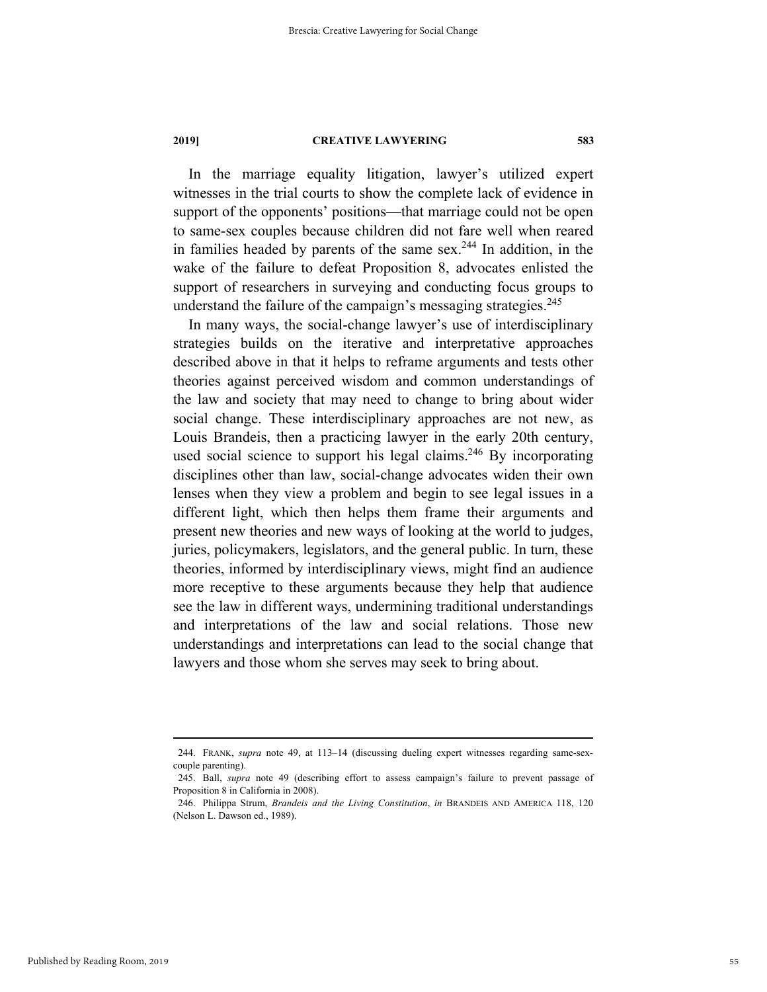In the marriage equality litigation, lawyer's utilized expert witnesses in the trial courts to show the complete lack of evidence in support of the opponents' positions—that marriage could not be open to same-sex couples because children did not fare well when reared in families headed by parents of the same sex.<sup>244</sup> In addition, in the wake of the failure to defeat Proposition 8, advocates enlisted the support of researchers in surveying and conducting focus groups to understand the failure of the campaign's messaging strategies. $^{245}$ 

In many ways, the social-change lawyer's use of interdisciplinary strategies builds on the iterative and interpretative approaches described above in that it helps to reframe arguments and tests other theories against perceived wisdom and common understandings of the law and society that may need to change to bring about wider social change. These interdisciplinary approaches are not new, as Louis Brandeis, then a practicing lawyer in the early 20th century, used social science to support his legal claims.<sup>246</sup> By incorporating disciplines other than law, social-change advocates widen their own lenses when they view a problem and begin to see legal issues in a different light, which then helps them frame their arguments and present new theories and new ways of looking at the world to judges, juries, policymakers, legislators, and the general public. In turn, these theories, informed by interdisciplinary views, might find an audience more receptive to these arguments because they help that audience see the law in different ways, undermining traditional understandings and interpretations of the law and social relations. Those new understandings and interpretations can lead to the social change that lawyers and those whom she serves may seek to bring about.

 <sup>244.</sup> FRANK, *supra* note 49, at 113–14 (discussing dueling expert witnesses regarding same-sexcouple parenting).

 <sup>245.</sup> Ball, *supra* note 49 (describing effort to assess campaign's failure to prevent passage of Proposition 8 in California in 2008).

 <sup>246.</sup> Philippa Strum, *Brandeis and the Living Constitution*, *in* BRANDEIS AND AMERICA 118, 120 (Nelson L. Dawson ed., 1989).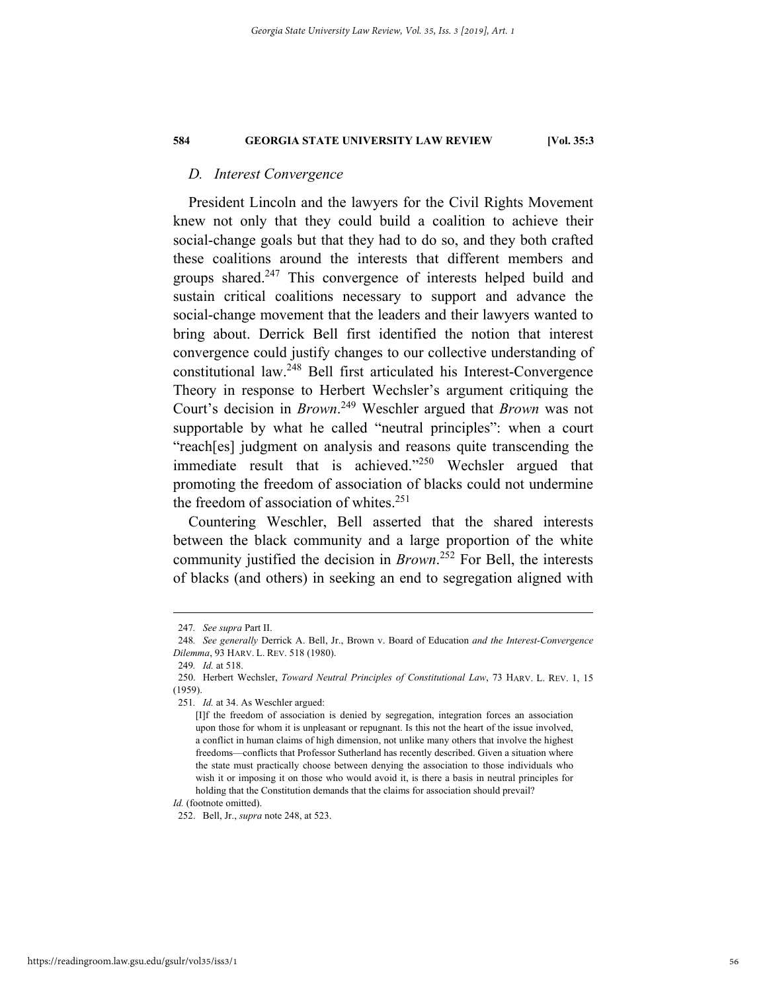# *D. Interest Convergence*

President Lincoln and the lawyers for the Civil Rights Movement knew not only that they could build a coalition to achieve their social-change goals but that they had to do so, and they both crafted these coalitions around the interests that different members and groups shared.<sup>247</sup> This convergence of interests helped build and sustain critical coalitions necessary to support and advance the social-change movement that the leaders and their lawyers wanted to bring about. Derrick Bell first identified the notion that interest convergence could justify changes to our collective understanding of constitutional law.248 Bell first articulated his Interest-Convergence Theory in response to Herbert Wechsler's argument critiquing the Court's decision in *Brown*. 249 Weschler argued that *Brown* was not supportable by what he called "neutral principles": when a court "reach[es] judgment on analysis and reasons quite transcending the immediate result that is achieved."<sup>250</sup> Wechsler argued that promoting the freedom of association of blacks could not undermine the freedom of association of whites.<sup>251</sup>

Countering Weschler, Bell asserted that the shared interests between the black community and a large proportion of the white community justified the decision in *Brown*. 252 For Bell, the interests of blacks (and others) in seeking an end to segregation aligned with

 <sup>247</sup>*. See supra* Part II.

<sup>248</sup>*. See generally* Derrick A. Bell, Jr., Brown v. Board of Education *and the Interest-Convergence Dilemma*, 93 HARV. L. REV. 518 (1980).

<sup>249</sup>*. Id.* at 518.

 <sup>250.</sup> Herbert Wechsler, *Toward Neutral Principles of Constitutional Law*, 73 HARV. L. REV. 1, 15 (1959).

<sup>251</sup>*. Id.* at 34. As Weschler argued:

<sup>[</sup>I]f the freedom of association is denied by segregation, integration forces an association upon those for whom it is unpleasant or repugnant. Is this not the heart of the issue involved, a conflict in human claims of high dimension, not unlike many others that involve the highest freedoms—conflicts that Professor Sutherland has recently described. Given a situation where the state must practically choose between denying the association to those individuals who wish it or imposing it on those who would avoid it, is there a basis in neutral principles for holding that the Constitution demands that the claims for association should prevail?

*Id.* (footnote omitted).

 <sup>252.</sup> Bell, Jr., *supra* note 248, at 523.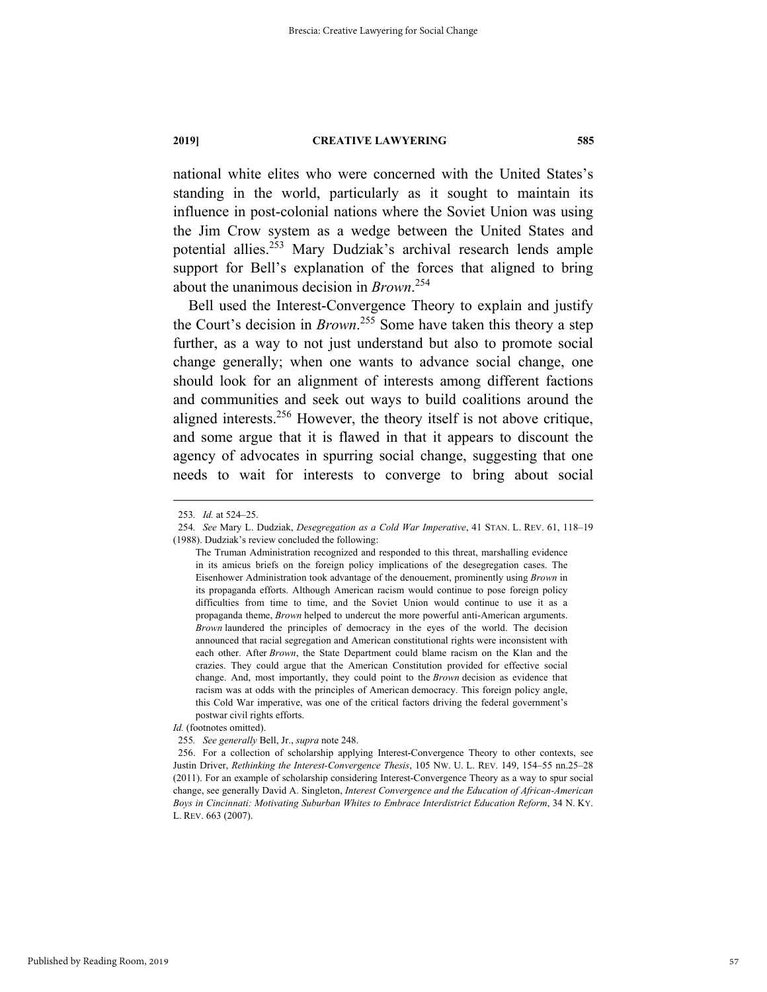national white elites who were concerned with the United States's standing in the world, particularly as it sought to maintain its influence in post-colonial nations where the Soviet Union was using the Jim Crow system as a wedge between the United States and potential allies.253 Mary Dudziak's archival research lends ample support for Bell's explanation of the forces that aligned to bring about the unanimous decision in *Brown*. 254

Bell used the Interest-Convergence Theory to explain and justify the Court's decision in *Brown*. 255 Some have taken this theory a step further, as a way to not just understand but also to promote social change generally; when one wants to advance social change, one should look for an alignment of interests among different factions and communities and seek out ways to build coalitions around the aligned interests.<sup>256</sup> However, the theory itself is not above critique, and some argue that it is flawed in that it appears to discount the agency of advocates in spurring social change, suggesting that one needs to wait for interests to converge to bring about social

 <sup>253</sup>*. Id.* at 524–25.

<sup>254</sup>*. See* Mary L. Dudziak, *Desegregation as a Cold War Imperative*, 41 STAN. L. REV. 61, 118–19 (1988). Dudziak's review concluded the following:

The Truman Administration recognized and responded to this threat, marshalling evidence in its amicus briefs on the foreign policy implications of the desegregation cases. The Eisenhower Administration took advantage of the denouement, prominently using *Brown* in its propaganda efforts. Although American racism would continue to pose foreign policy difficulties from time to time, and the Soviet Union would continue to use it as a propaganda theme, *Brown* helped to undercut the more powerful anti-American arguments. *Brown* laundered the principles of democracy in the eyes of the world. The decision announced that racial segregation and American constitutional rights were inconsistent with each other. After *Brown*, the State Department could blame racism on the Klan and the crazies. They could argue that the American Constitution provided for effective social change. And, most importantly, they could point to the *Brown* decision as evidence that racism was at odds with the principles of American democracy. This foreign policy angle, this Cold War imperative, was one of the critical factors driving the federal government's postwar civil rights efforts.

*Id.* (footnotes omitted).

<sup>255</sup>*. See generally* Bell, Jr., *supra* note 248.

 <sup>256.</sup> For a collection of scholarship applying Interest-Convergence Theory to other contexts, see Justin Driver, *Rethinking the Interest-Convergence Thesis*, 105 NW. U. L. REV. 149, 154–55 nn.25–28 (2011). For an example of scholarship considering Interest-Convergence Theory as a way to spur social change, see generally David A. Singleton, *Interest Convergence and the Education of African-American Boys in Cincinnati: Motivating Suburban Whites to Embrace Interdistrict Education Reform*, 34 N. KY. L. REV. 663 (2007).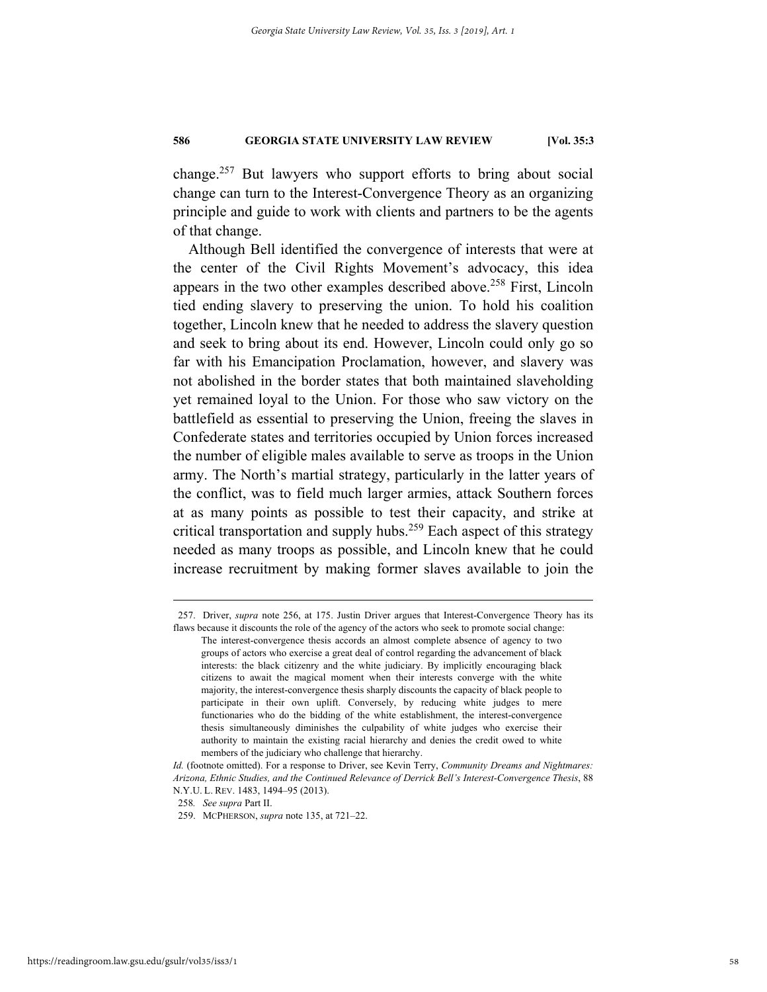change.257 But lawyers who support efforts to bring about social change can turn to the Interest-Convergence Theory as an organizing principle and guide to work with clients and partners to be the agents of that change.

Although Bell identified the convergence of interests that were at the center of the Civil Rights Movement's advocacy, this idea appears in the two other examples described above.<sup>258</sup> First, Lincoln tied ending slavery to preserving the union. To hold his coalition together, Lincoln knew that he needed to address the slavery question and seek to bring about its end. However, Lincoln could only go so far with his Emancipation Proclamation, however, and slavery was not abolished in the border states that both maintained slaveholding yet remained loyal to the Union. For those who saw victory on the battlefield as essential to preserving the Union, freeing the slaves in Confederate states and territories occupied by Union forces increased the number of eligible males available to serve as troops in the Union army. The North's martial strategy, particularly in the latter years of the conflict, was to field much larger armies, attack Southern forces at as many points as possible to test their capacity, and strike at critical transportation and supply hubs.<sup>259</sup> Each aspect of this strategy needed as many troops as possible, and Lincoln knew that he could increase recruitment by making former slaves available to join the

 <sup>257.</sup> Driver, *supra* note 256, at 175. Justin Driver argues that Interest-Convergence Theory has its flaws because it discounts the role of the agency of the actors who seek to promote social change:

The interest-convergence thesis accords an almost complete absence of agency to two groups of actors who exercise a great deal of control regarding the advancement of black interests: the black citizenry and the white judiciary. By implicitly encouraging black citizens to await the magical moment when their interests converge with the white majority, the interest-convergence thesis sharply discounts the capacity of black people to participate in their own uplift. Conversely, by reducing white judges to mere functionaries who do the bidding of the white establishment, the interest-convergence thesis simultaneously diminishes the culpability of white judges who exercise their authority to maintain the existing racial hierarchy and denies the credit owed to white members of the judiciary who challenge that hierarchy.

*Id.* (footnote omitted). For a response to Driver, see Kevin Terry, *Community Dreams and Nightmares: Arizona, Ethnic Studies, and the Continued Relevance of Derrick Bell's Interest-Convergence Thesis*, 88 N.Y.U. L. REV. 1483, 1494–95 (2013).

<sup>258</sup>*. See supra* Part II.

 <sup>259.</sup> MCPHERSON, *supra* note 135, at 721–22.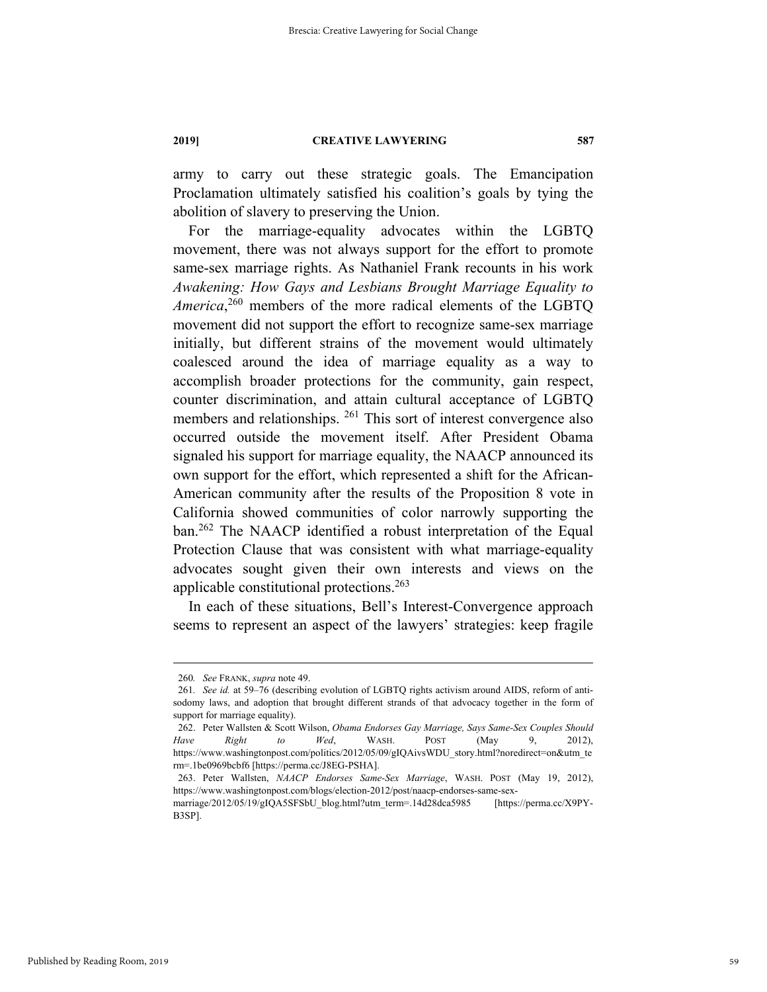army to carry out these strategic goals. The Emancipation Proclamation ultimately satisfied his coalition's goals by tying the abolition of slavery to preserving the Union.

For the marriage-equality advocates within the LGBTQ movement, there was not always support for the effort to promote same-sex marriage rights. As Nathaniel Frank recounts in his work *Awakening: How Gays and Lesbians Brought Marriage Equality to America*, 260 members of the more radical elements of the LGBTQ movement did not support the effort to recognize same-sex marriage initially, but different strains of the movement would ultimately coalesced around the idea of marriage equality as a way to accomplish broader protections for the community, gain respect, counter discrimination, and attain cultural acceptance of LGBTQ members and relationships. <sup>261</sup> This sort of interest convergence also occurred outside the movement itself. After President Obama signaled his support for marriage equality, the NAACP announced its own support for the effort, which represented a shift for the African-American community after the results of the Proposition 8 vote in California showed communities of color narrowly supporting the ban.<sup>262</sup> The NAACP identified a robust interpretation of the Equal Protection Clause that was consistent with what marriage-equality advocates sought given their own interests and views on the applicable constitutional protections.263

In each of these situations, Bell's Interest-Convergence approach seems to represent an aspect of the lawyers' strategies: keep fragile

 <sup>260</sup>*. See* FRANK, *supra* note 49.

<sup>261</sup>*. See id.* at 59–76 (describing evolution of LGBTQ rights activism around AIDS, reform of antisodomy laws, and adoption that brought different strands of that advocacy together in the form of support for marriage equality).

 <sup>262.</sup> Peter Wallsten & Scott Wilson, *Obama Endorses Gay Marriage, Says Same-Sex Couples Should Have Right to Wed*, WASH. POST (May 9, 2012), https://www.washingtonpost.com/politics/2012/05/09/gIQAivsWDU\_story.html?noredirect=on&utm\_te rm=.1be0969bcbf6 [https://perma.cc/J8EG-PSHA].

 <sup>263.</sup> Peter Wallsten, *NAACP Endorses Same-Sex Marriage*, WASH. POST (May 19, 2012), https://www.washingtonpost.com/blogs/election-2012/post/naacp-endorses-same-sex-

marriage/2012/05/19/gIQA5SFSbU\_blog.html?utm\_term=.14d28dca5985 [https://perma.cc/X9PY-B3SP].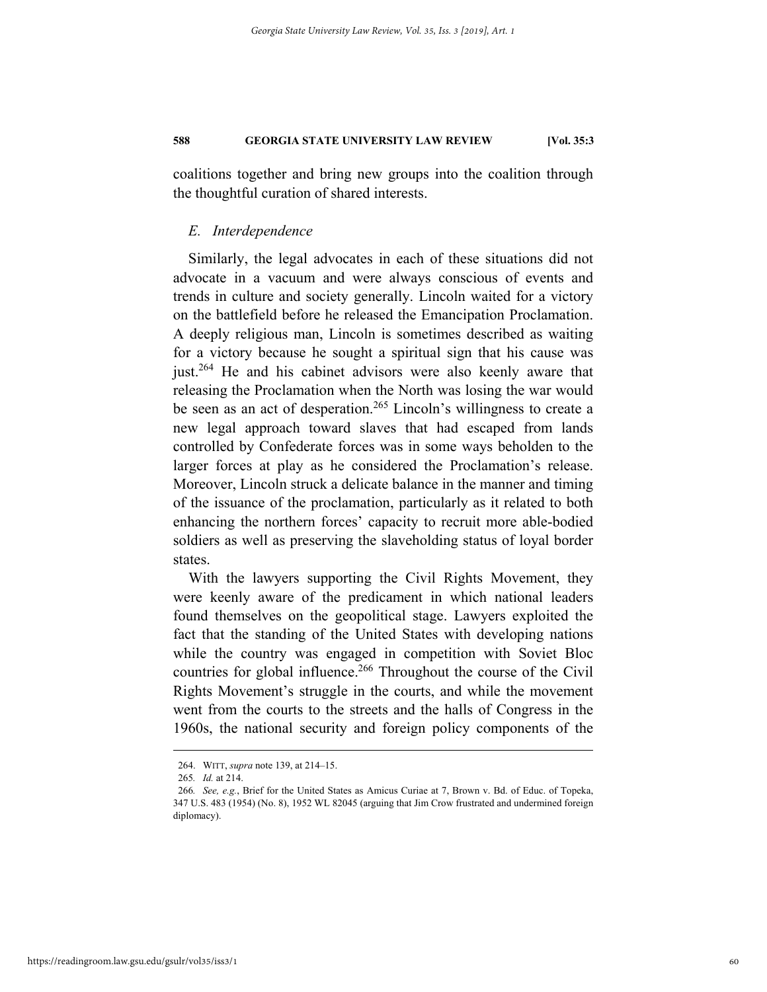coalitions together and bring new groups into the coalition through the thoughtful curation of shared interests.

# *E. Interdependence*

Similarly, the legal advocates in each of these situations did not advocate in a vacuum and were always conscious of events and trends in culture and society generally. Lincoln waited for a victory on the battlefield before he released the Emancipation Proclamation. A deeply religious man, Lincoln is sometimes described as waiting for a victory because he sought a spiritual sign that his cause was just.<sup>264</sup> He and his cabinet advisors were also keenly aware that releasing the Proclamation when the North was losing the war would be seen as an act of desperation.<sup>265</sup> Lincoln's willingness to create a new legal approach toward slaves that had escaped from lands controlled by Confederate forces was in some ways beholden to the larger forces at play as he considered the Proclamation's release. Moreover, Lincoln struck a delicate balance in the manner and timing of the issuance of the proclamation, particularly as it related to both enhancing the northern forces' capacity to recruit more able-bodied soldiers as well as preserving the slaveholding status of loyal border states.

With the lawyers supporting the Civil Rights Movement, they were keenly aware of the predicament in which national leaders found themselves on the geopolitical stage. Lawyers exploited the fact that the standing of the United States with developing nations while the country was engaged in competition with Soviet Bloc countries for global influence.<sup>266</sup> Throughout the course of the Civil Rights Movement's struggle in the courts, and while the movement went from the courts to the streets and the halls of Congress in the 1960s, the national security and foreign policy components of the

 <sup>264.</sup> WITT, *supra* note 139, at 214–15.

<sup>265</sup>*. Id.* at 214.

<sup>266</sup>*. See, e.g.*, Brief for the United States as Amicus Curiae at 7, Brown v. Bd. of Educ. of Topeka, 347 U.S. 483 (1954) (No. 8), 1952 WL 82045 (arguing that Jim Crow frustrated and undermined foreign diplomacy).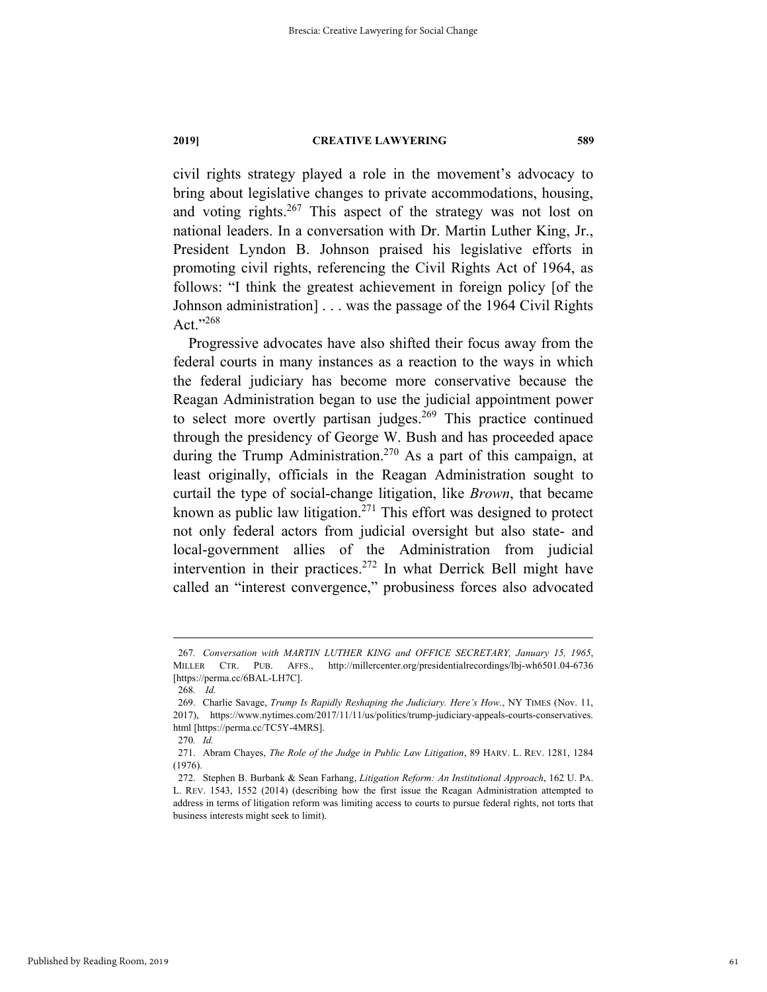civil rights strategy played a role in the movement's advocacy to bring about legislative changes to private accommodations, housing, and voting rights. $267$  This aspect of the strategy was not lost on national leaders. In a conversation with Dr. Martin Luther King, Jr., President Lyndon B. Johnson praised his legislative efforts in promoting civil rights, referencing the Civil Rights Act of 1964, as follows: "I think the greatest achievement in foreign policy [of the Johnson administration] . . . was the passage of the 1964 Civil Rights Act."268

Progressive advocates have also shifted their focus away from the federal courts in many instances as a reaction to the ways in which the federal judiciary has become more conservative because the Reagan Administration began to use the judicial appointment power to select more overtly partisan judges.<sup>269</sup> This practice continued through the presidency of George W. Bush and has proceeded apace during the Trump Administration.<sup>270</sup> As a part of this campaign, at least originally, officials in the Reagan Administration sought to curtail the type of social-change litigation, like *Brown*, that became known as public law litigation.<sup>271</sup> This effort was designed to protect not only federal actors from judicial oversight but also state- and local-government allies of the Administration from judicial intervention in their practices.<sup>272</sup> In what Derrick Bell might have called an "interest convergence," probusiness forces also advocated

 <sup>267</sup>*. Conversation with MARTIN LUTHER KING and OFFICE SECRETARY, January 15, 1965*, MILLER CTR. PUB. AFFS., http://millercenter.org/presidentialrecordings/lbj-wh6501.04-6736 [https://perma.cc/6BAL-LH7C].

<sup>268</sup>*. Id.*

 <sup>269.</sup> Charlie Savage, *Trump Is Rapidly Reshaping the Judiciary. Here's How.*, NY TIMES (Nov. 11, 2017), https://www.nytimes.com/2017/11/11/us/politics/trump-judiciary-appeals-courts-conservatives. html [https://perma.cc/TC5Y-4MRS].

<sup>270</sup>*. Id.*

 <sup>271.</sup> Abram Chayes, *The Role of the Judge in Public Law Litigation*, 89 HARV. L. REV. 1281, 1284 (1976).

 <sup>272.</sup> Stephen B. Burbank & Sean Farhang, *Litigation Reform: An Institutional Approach*, 162 U. PA. L. REV. 1543, 1552 (2014) (describing how the first issue the Reagan Administration attempted to address in terms of litigation reform was limiting access to courts to pursue federal rights, not torts that business interests might seek to limit).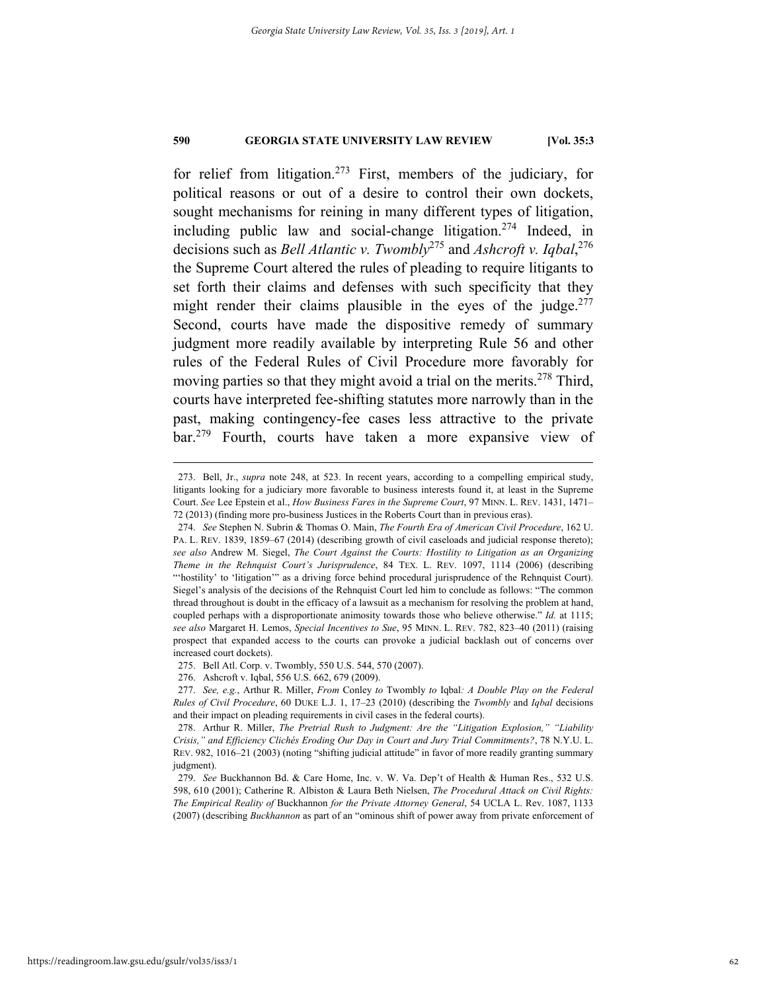for relief from litigation.<sup>273</sup> First, members of the judiciary, for political reasons or out of a desire to control their own dockets, sought mechanisms for reining in many different types of litigation, including public law and social-change litigation.274 Indeed, in decisions such as *Bell Atlantic v. Twombly*<sup>275</sup> and *Ashcroft v. Iqbal*, 276 the Supreme Court altered the rules of pleading to require litigants to set forth their claims and defenses with such specificity that they might render their claims plausible in the eyes of the judge.<sup>277</sup> Second, courts have made the dispositive remedy of summary judgment more readily available by interpreting Rule 56 and other rules of the Federal Rules of Civil Procedure more favorably for moving parties so that they might avoid a trial on the merits.<sup>278</sup> Third, courts have interpreted fee-shifting statutes more narrowly than in the past, making contingency-fee cases less attractive to the private bar.279 Fourth, courts have taken a more expansive view of

 <sup>273.</sup> Bell, Jr., *supra* note 248, at 523. In recent years, according to a compelling empirical study, litigants looking for a judiciary more favorable to business interests found it, at least in the Supreme Court. *See* Lee Epstein et al., *How Business Fares in the Supreme Court*, 97 MINN. L. REV. 1431, 1471– 72 (2013) (finding more pro-business Justices in the Roberts Court than in previous eras).

 <sup>274.</sup> *See* Stephen N. Subrin & Thomas O. Main, *The Fourth Era of American Civil Procedure*, 162 U. PA. L. REV. 1839, 1859–67 (2014) (describing growth of civil caseloads and judicial response thereto); *see also* Andrew M. Siegel, *The Court Against the Courts: Hostility to Litigation as an Organizing Theme in the Rehnquist Court's Jurisprudence*, 84 TEX. L. REV. 1097, 1114 (2006) (describing "'hostility' to 'litigation'" as a driving force behind procedural jurisprudence of the Rehnquist Court). Siegel's analysis of the decisions of the Rehnquist Court led him to conclude as follows: "The common thread throughout is doubt in the efficacy of a lawsuit as a mechanism for resolving the problem at hand, coupled perhaps with a disproportionate animosity towards those who believe otherwise." *Id.* at 1115; *see also* Margaret H. Lemos, *Special Incentives to Sue*, 95 MINN. L. REV. 782, 823–40 (2011) (raising prospect that expanded access to the courts can provoke a judicial backlash out of concerns over increased court dockets).

 <sup>275.</sup> Bell Atl. Corp. v. Twombly, 550 U.S. 544, 570 (2007).

 <sup>276.</sup> Ashcroft v. Iqbal, 556 U.S. 662, 679 (2009).

 <sup>277.</sup> *See, e.g.*, Arthur R. Miller, *From* Conley *to* Twombly *to* Iqbal*: A Double Play on the Federal Rules of Civil Procedure*, 60 DUKE L.J. 1, 17–23 (2010) (describing the *Twombly* and *Iqbal* decisions and their impact on pleading requirements in civil cases in the federal courts).

 <sup>278.</sup> Arthur R. Miller, *The Pretrial Rush to Judgment: Are the "Litigation Explosion," "Liability Crisis," and Efficiency Clichés Eroding Our Day in Court and Jury Trial Commitments?*, 78 N.Y.U. L. REV. 982, 1016–21 (2003) (noting "shifting judicial attitude" in favor of more readily granting summary judgment).

 <sup>279.</sup> *See* Buckhannon Bd. & Care Home, Inc. v. W. Va. Dep't of Health & Human Res., 532 U.S. 598, 610 (2001); Catherine R. Albiston & Laura Beth Nielsen, *The Procedural Attack on Civil Rights: The Empirical Reality of* Buckhannon *for the Private Attorney General*, 54 UCLA L. Rev. 1087, 1133 (2007) (describing *Buckhannon* as part of an "ominous shift of power away from private enforcement of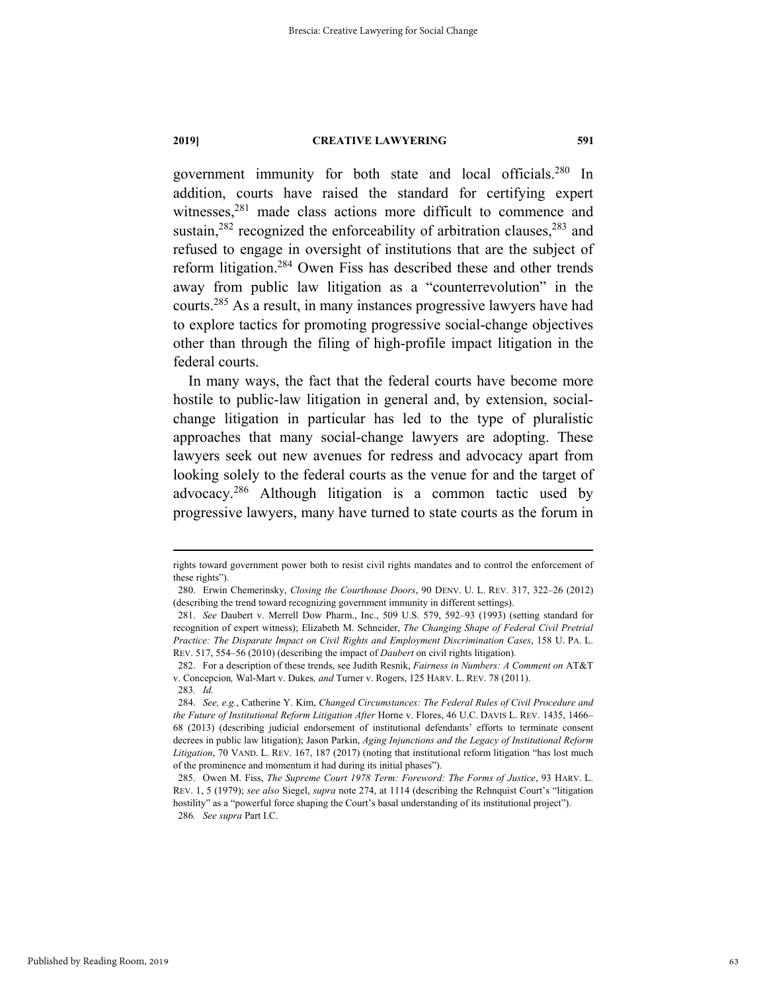government immunity for both state and local officials.280 In addition, courts have raised the standard for certifying expert witnesses,<sup>281</sup> made class actions more difficult to commence and sustain, $282$  recognized the enforceability of arbitration clauses,  $283$  and refused to engage in oversight of institutions that are the subject of reform litigation.284 Owen Fiss has described these and other trends away from public law litigation as a "counterrevolution" in the courts.285 As a result, in many instances progressive lawyers have had to explore tactics for promoting progressive social-change objectives other than through the filing of high-profile impact litigation in the federal courts.

In many ways, the fact that the federal courts have become more hostile to public-law litigation in general and, by extension, socialchange litigation in particular has led to the type of pluralistic approaches that many social-change lawyers are adopting. These lawyers seek out new avenues for redress and advocacy apart from looking solely to the federal courts as the venue for and the target of advocacy.<sup>286</sup> Although litigation is a common tactic used by progressive lawyers, many have turned to state courts as the forum in

rights toward government power both to resist civil rights mandates and to control the enforcement of these rights").

 <sup>280.</sup> Erwin Chemerinsky, *Closing the Courthouse Doors*, 90 DENV. U. L. REV. 317, 322–26 (2012) (describing the trend toward recognizing government immunity in different settings).

 <sup>281.</sup> *See* Daubert v. Merrell Dow Pharm., Inc., 509 U.S. 579, 592–93 (1993) (setting standard for recognition of expert witness); Elizabeth M. Schneider, *The Changing Shape of Federal Civil Pretrial Practice: The Disparate Impact on Civil Rights and Employment Discrimination Cases*, 158 U. PA. L. REV. 517, 554–56 (2010) (describing the impact of *Daubert* on civil rights litigation).

 <sup>282.</sup> For a description of these trends, see Judith Resnik, *Fairness in Numbers: A Comment on* AT&T v. Concepcion*,* Wal-Mart v. Dukes*, and* Turner v. Rogers, 125 HARV. L. REV. 78 (2011). 283*. Id.*

 <sup>284.</sup> *See, e.g.*, Catherine Y. Kim, *Changed Circumstances: The Federal Rules of Civil Procedure and the Future of Institutional Reform Litigation After* Horne v. Flores, 46 U.C. DAVIS L. REV. 1435, 1466– 68 (2013) (describing judicial endorsement of institutional defendants' efforts to terminate consent decrees in public law litigation); Jason Parkin, *Aging Injunctions and the Legacy of Institutional Reform Litigation*, 70 VAND. L. REV. 167, 187 (2017) (noting that institutional reform litigation "has lost much of the prominence and momentum it had during its initial phases").

 <sup>285.</sup> Owen M. Fiss, *The Supreme Court 1978 Term: Foreword: The Forms of Justice*, 93 HARV. L. REV. 1, 5 (1979); *see also* Siegel, *supra* note 274, at 1114 (describing the Rehnquist Court's "litigation hostility" as a "powerful force shaping the Court's basal understanding of its institutional project"). 286*. See supra* Part I.C.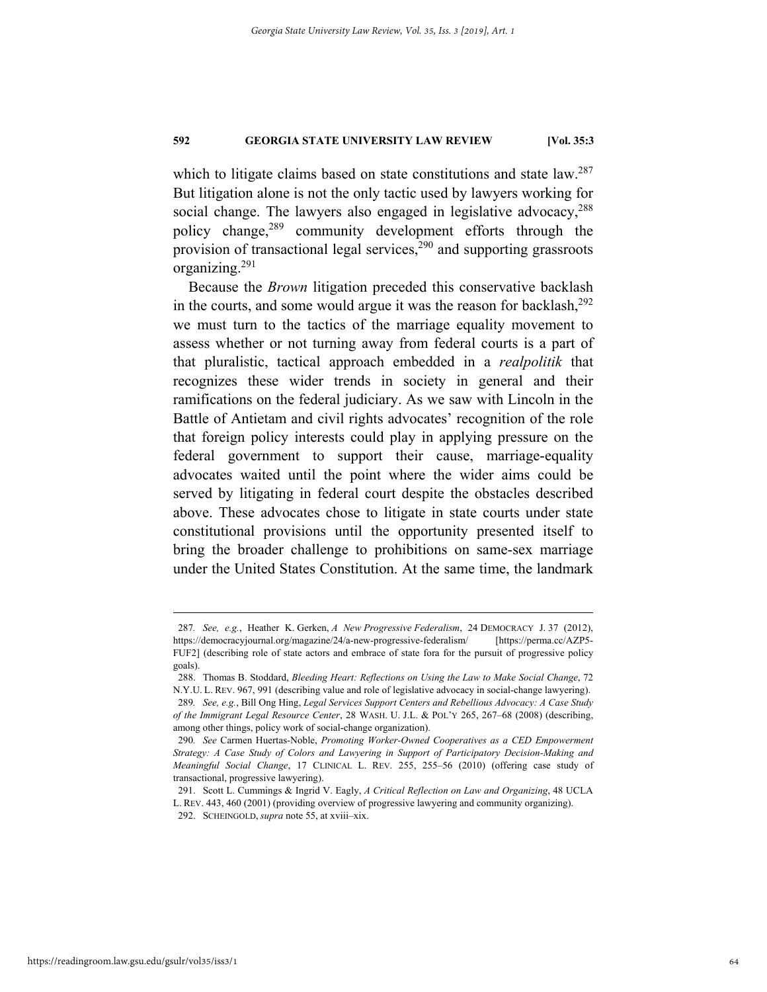which to litigate claims based on state constitutions and state law.<sup>287</sup> But litigation alone is not the only tactic used by lawyers working for social change. The lawyers also engaged in legislative advocacy,<sup>288</sup> policy change,289 community development efforts through the provision of transactional legal services, $2^{90}$  and supporting grassroots organizing.291

Because the *Brown* litigation preceded this conservative backlash in the courts, and some would argue it was the reason for backlash,  $292$ we must turn to the tactics of the marriage equality movement to assess whether or not turning away from federal courts is a part of that pluralistic, tactical approach embedded in a *realpolitik* that recognizes these wider trends in society in general and their ramifications on the federal judiciary. As we saw with Lincoln in the Battle of Antietam and civil rights advocates' recognition of the role that foreign policy interests could play in applying pressure on the federal government to support their cause, marriage-equality advocates waited until the point where the wider aims could be served by litigating in federal court despite the obstacles described above. These advocates chose to litigate in state courts under state constitutional provisions until the opportunity presented itself to bring the broader challenge to prohibitions on same-sex marriage under the United States Constitution. At the same time, the landmark

 <sup>287</sup>*. See, e.g.*, Heather K. Gerken, *A New Progressive Federalism*, 24 DEMOCRACY J. 37 (2012), https://democracyjournal.org/magazine/24/a-new-progressive-federalism/ [https://perma.cc/AZP5- FUF2] (describing role of state actors and embrace of state fora for the pursuit of progressive policy goals).

 <sup>288.</sup> Thomas B. Stoddard, *Bleeding Heart: Reflections on Using the Law to Make Social Change*, 72 N.Y.U. L. REV. 967, 991 (describing value and role of legislative advocacy in social-change lawyering).

<sup>289</sup>*. See, e.g.*, Bill Ong Hing, *Legal Services Support Centers and Rebellious Advocacy: A Case Study of the Immigrant Legal Resource Center*, 28 WASH. U. J.L. & POL'Y 265, 267–68 (2008) (describing, among other things, policy work of social-change organization).

<sup>290</sup>*. See* Carmen Huertas-Noble, *Promoting Worker-Owned Cooperatives as a CED Empowerment Strategy: A Case Study of Colors and Lawyering in Support of Participatory Decision-Making and Meaningful Social Change*, 17 CLINICAL L. REV. 255, 255–56 (2010) (offering case study of transactional, progressive lawyering).

 <sup>291.</sup> Scott L. Cummings & Ingrid V. Eagly, *A Critical Reflection on Law and Organizing*, 48 UCLA L. REV. 443, 460 (2001) (providing overview of progressive lawyering and community organizing).

 <sup>292.</sup> SCHEINGOLD, *supra* note 55, at xviii–xix.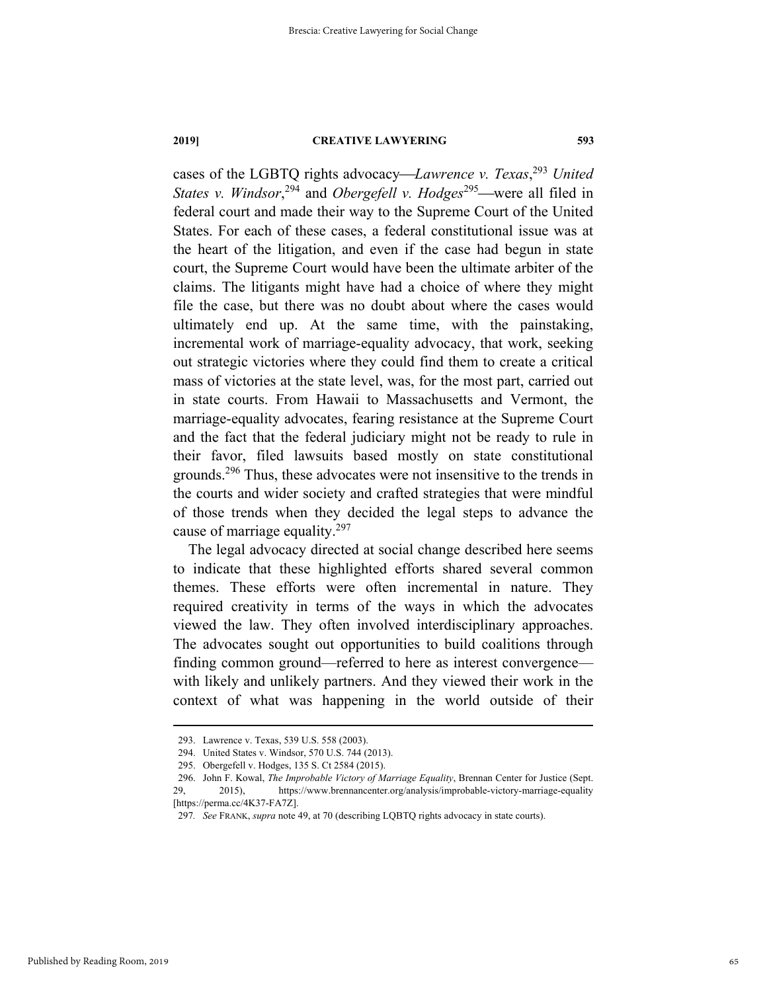cases of the LGBTQ rights advocacy*Lawrence v. Texas*, <sup>293</sup> *United States v. Windsor*<sup>294</sup> and *Obergefell v. Hodges*<sup>295</sup>—were all filed in federal court and made their way to the Supreme Court of the United States. For each of these cases, a federal constitutional issue was at the heart of the litigation, and even if the case had begun in state court, the Supreme Court would have been the ultimate arbiter of the claims. The litigants might have had a choice of where they might file the case, but there was no doubt about where the cases would ultimately end up. At the same time, with the painstaking, incremental work of marriage-equality advocacy, that work, seeking out strategic victories where they could find them to create a critical mass of victories at the state level, was, for the most part, carried out in state courts. From Hawaii to Massachusetts and Vermont, the marriage-equality advocates, fearing resistance at the Supreme Court and the fact that the federal judiciary might not be ready to rule in their favor, filed lawsuits based mostly on state constitutional grounds.296 Thus, these advocates were not insensitive to the trends in the courts and wider society and crafted strategies that were mindful of those trends when they decided the legal steps to advance the cause of marriage equality.<sup>297</sup>

The legal advocacy directed at social change described here seems to indicate that these highlighted efforts shared several common themes. These efforts were often incremental in nature. They required creativity in terms of the ways in which the advocates viewed the law. They often involved interdisciplinary approaches. The advocates sought out opportunities to build coalitions through finding common ground—referred to here as interest convergence with likely and unlikely partners. And they viewed their work in the context of what was happening in the world outside of their

 <sup>293.</sup> Lawrence v. Texas, 539 U.S. 558 (2003).

 <sup>294.</sup> United States v. Windsor, 570 U.S. 744 (2013).

 <sup>295.</sup> Obergefell v. Hodges, 135 S. Ct 2584 (2015).

 <sup>296.</sup> John F. Kowal, *The Improbable Victory of Marriage Equality*, Brennan Center for Justice (Sept. 29, 2015), https://www.brennancenter.org/analysis/improbable-victory-marriage-equality [https://perma.cc/4K37-FA7Z].

<sup>297</sup>*. See* FRANK, *supra* note 49, at 70 (describing LQBTQ rights advocacy in state courts).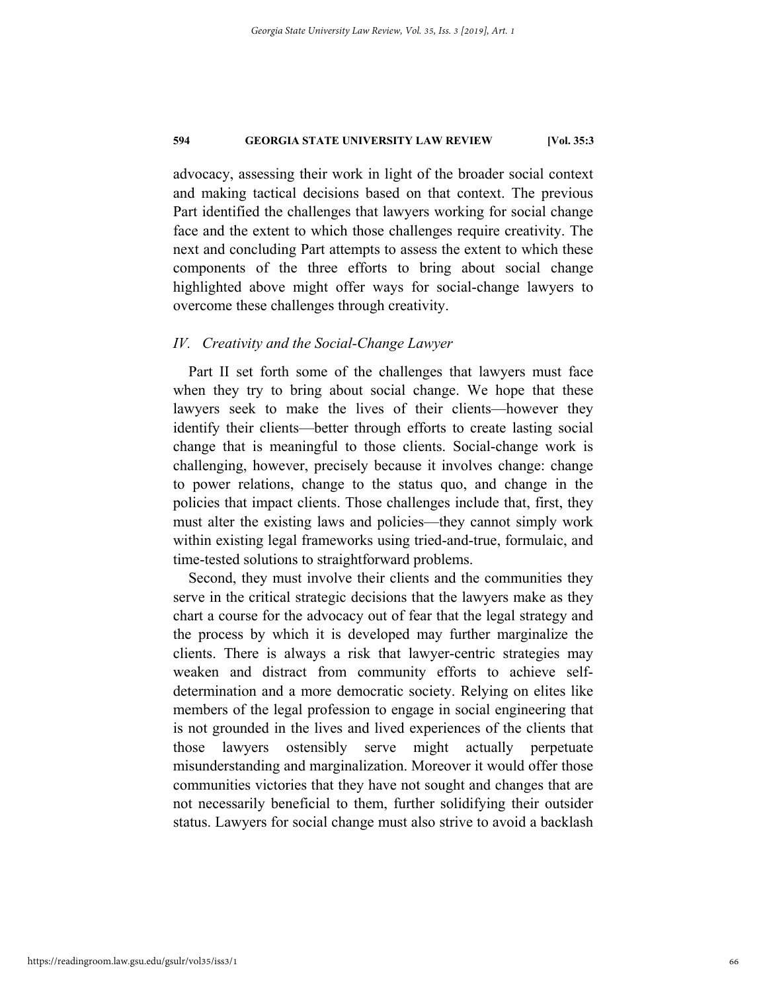advocacy, assessing their work in light of the broader social context and making tactical decisions based on that context. The previous Part identified the challenges that lawyers working for social change face and the extent to which those challenges require creativity. The next and concluding Part attempts to assess the extent to which these components of the three efforts to bring about social change highlighted above might offer ways for social-change lawyers to overcome these challenges through creativity.

# *IV. Creativity and the Social-Change Lawyer*

Part II set forth some of the challenges that lawyers must face when they try to bring about social change. We hope that these lawyers seek to make the lives of their clients—however they identify their clients—better through efforts to create lasting social change that is meaningful to those clients. Social-change work is challenging, however, precisely because it involves change: change to power relations, change to the status quo, and change in the policies that impact clients. Those challenges include that, first, they must alter the existing laws and policies—they cannot simply work within existing legal frameworks using tried-and-true, formulaic, and time-tested solutions to straightforward problems.

Second, they must involve their clients and the communities they serve in the critical strategic decisions that the lawyers make as they chart a course for the advocacy out of fear that the legal strategy and the process by which it is developed may further marginalize the clients. There is always a risk that lawyer-centric strategies may weaken and distract from community efforts to achieve selfdetermination and a more democratic society. Relying on elites like members of the legal profession to engage in social engineering that is not grounded in the lives and lived experiences of the clients that those lawyers ostensibly serve might actually perpetuate misunderstanding and marginalization. Moreover it would offer those communities victories that they have not sought and changes that are not necessarily beneficial to them, further solidifying their outsider status. Lawyers for social change must also strive to avoid a backlash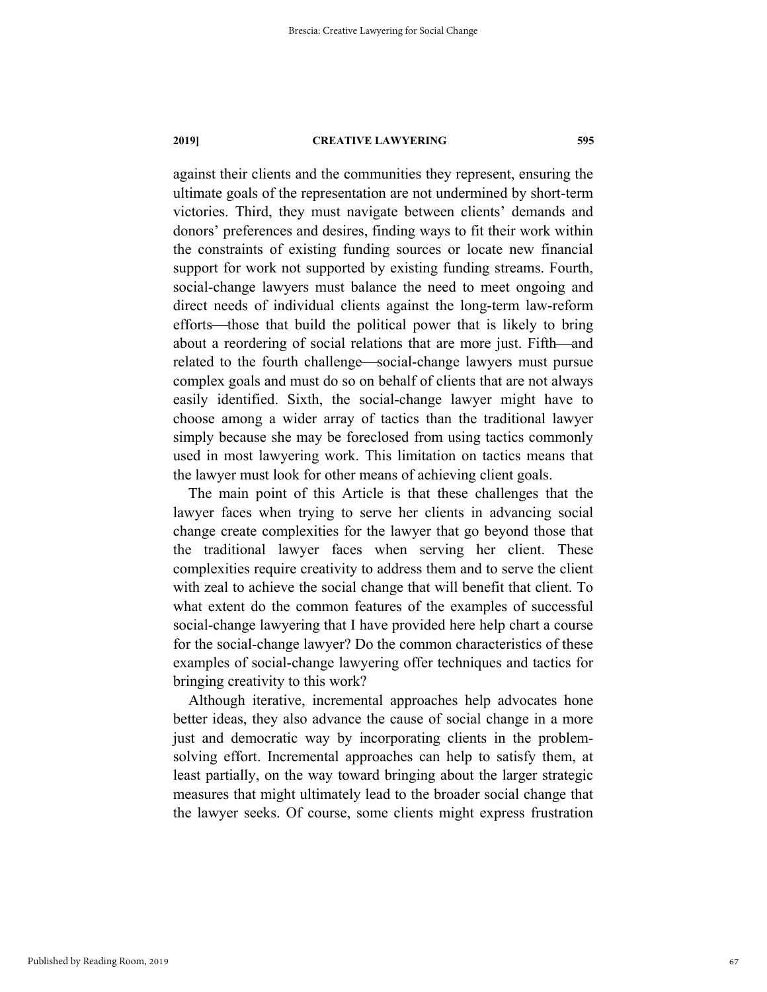against their clients and the communities they represent, ensuring the ultimate goals of the representation are not undermined by short-term victories. Third, they must navigate between clients' demands and donors' preferences and desires, finding ways to fit their work within the constraints of existing funding sources or locate new financial support for work not supported by existing funding streams. Fourth, social-change lawyers must balance the need to meet ongoing and direct needs of individual clients against the long-term law-reform efforts—those that build the political power that is likely to bring about a reordering of social relations that are more just. Fifth—and related to the fourth challenge—social-change lawyers must pursue complex goals and must do so on behalf of clients that are not always easily identified. Sixth, the social-change lawyer might have to choose among a wider array of tactics than the traditional lawyer simply because she may be foreclosed from using tactics commonly used in most lawyering work. This limitation on tactics means that the lawyer must look for other means of achieving client goals.

The main point of this Article is that these challenges that the lawyer faces when trying to serve her clients in advancing social change create complexities for the lawyer that go beyond those that the traditional lawyer faces when serving her client. These complexities require creativity to address them and to serve the client with zeal to achieve the social change that will benefit that client. To what extent do the common features of the examples of successful social-change lawyering that I have provided here help chart a course for the social-change lawyer? Do the common characteristics of these examples of social-change lawyering offer techniques and tactics for bringing creativity to this work?

Although iterative, incremental approaches help advocates hone better ideas, they also advance the cause of social change in a more just and democratic way by incorporating clients in the problemsolving effort. Incremental approaches can help to satisfy them, at least partially, on the way toward bringing about the larger strategic measures that might ultimately lead to the broader social change that the lawyer seeks. Of course, some clients might express frustration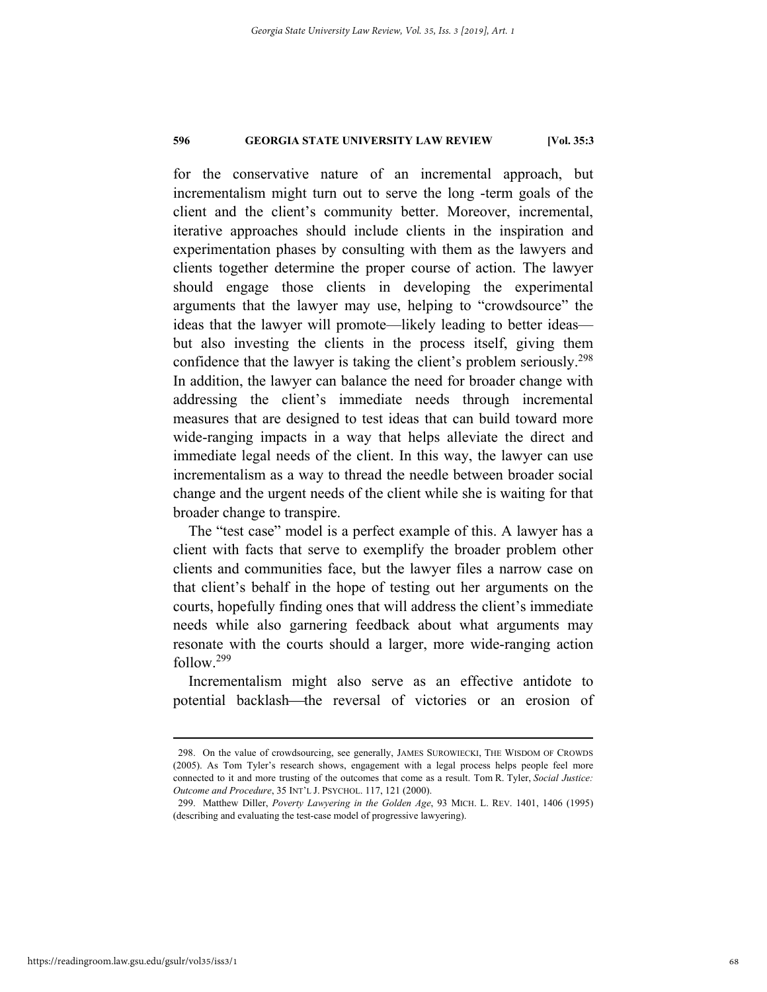for the conservative nature of an incremental approach, but incrementalism might turn out to serve the long -term goals of the client and the client's community better. Moreover, incremental, iterative approaches should include clients in the inspiration and experimentation phases by consulting with them as the lawyers and clients together determine the proper course of action. The lawyer should engage those clients in developing the experimental arguments that the lawyer may use, helping to "crowdsource" the ideas that the lawyer will promote—likely leading to better ideas but also investing the clients in the process itself, giving them confidence that the lawyer is taking the client's problem seriously.298 In addition, the lawyer can balance the need for broader change with addressing the client's immediate needs through incremental measures that are designed to test ideas that can build toward more wide-ranging impacts in a way that helps alleviate the direct and immediate legal needs of the client. In this way, the lawyer can use incrementalism as a way to thread the needle between broader social change and the urgent needs of the client while she is waiting for that broader change to transpire.

The "test case" model is a perfect example of this. A lawyer has a client with facts that serve to exemplify the broader problem other clients and communities face, but the lawyer files a narrow case on that client's behalf in the hope of testing out her arguments on the courts, hopefully finding ones that will address the client's immediate needs while also garnering feedback about what arguments may resonate with the courts should a larger, more wide-ranging action follow.<sup>299</sup>

Incrementalism might also serve as an effective antidote to potential backlash—the reversal of victories or an erosion of

 <sup>298.</sup> On the value of crowdsourcing, see generally, JAMES SUROWIECKI, THE WISDOM OF CROWDS (2005). As Tom Tyler's research shows, engagement with a legal process helps people feel more connected to it and more trusting of the outcomes that come as a result. Tom R. Tyler, *Social Justice: Outcome and Procedure*, 35 INT'L J. PSYCHOL. 117, 121 (2000).

 <sup>299.</sup> Matthew Diller, *Poverty Lawyering in the Golden Age*, 93 MICH. L. REV. 1401, 1406 (1995) (describing and evaluating the test-case model of progressive lawyering).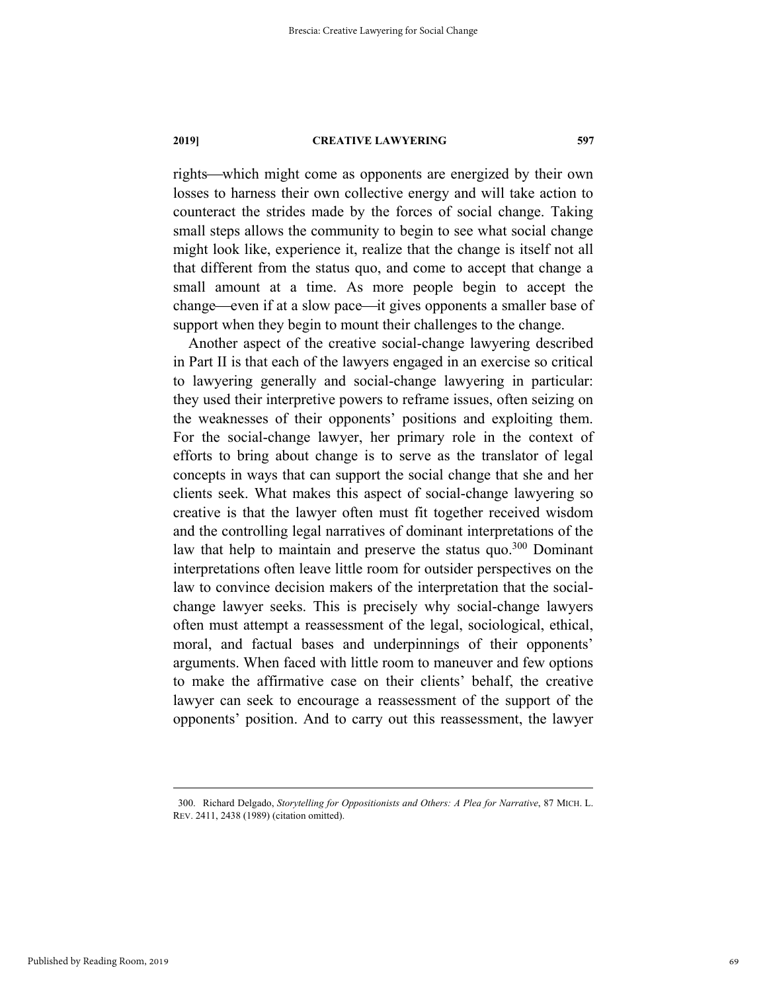rights—which might come as opponents are energized by their own losses to harness their own collective energy and will take action to counteract the strides made by the forces of social change. Taking small steps allows the community to begin to see what social change might look like, experience it, realize that the change is itself not all that different from the status quo, and come to accept that change a small amount at a time. As more people begin to accept the change—even if at a slow pace—it gives opponents a smaller base of support when they begin to mount their challenges to the change.

Another aspect of the creative social-change lawyering described in Part II is that each of the lawyers engaged in an exercise so critical to lawyering generally and social-change lawyering in particular: they used their interpretive powers to reframe issues, often seizing on the weaknesses of their opponents' positions and exploiting them. For the social-change lawyer, her primary role in the context of efforts to bring about change is to serve as the translator of legal concepts in ways that can support the social change that she and her clients seek. What makes this aspect of social-change lawyering so creative is that the lawyer often must fit together received wisdom and the controlling legal narratives of dominant interpretations of the law that help to maintain and preserve the status quo.<sup>300</sup> Dominant interpretations often leave little room for outsider perspectives on the law to convince decision makers of the interpretation that the socialchange lawyer seeks. This is precisely why social-change lawyers often must attempt a reassessment of the legal, sociological, ethical, moral, and factual bases and underpinnings of their opponents' arguments. When faced with little room to maneuver and few options to make the affirmative case on their clients' behalf, the creative lawyer can seek to encourage a reassessment of the support of the opponents' position. And to carry out this reassessment, the lawyer

 <sup>300.</sup> Richard Delgado, *Storytelling for Oppositionists and Others: A Plea for Narrative*, 87 MICH. L. REV. 2411, 2438 (1989) (citation omitted).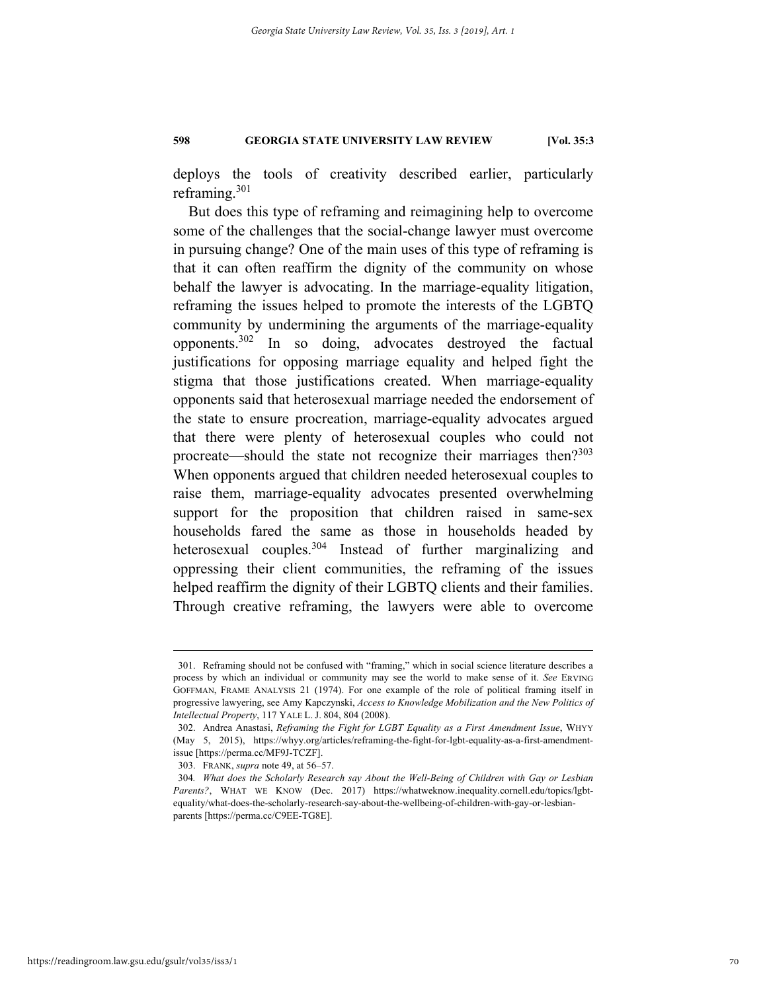deploys the tools of creativity described earlier, particularly reframing.<sup>301</sup>

But does this type of reframing and reimagining help to overcome some of the challenges that the social-change lawyer must overcome in pursuing change? One of the main uses of this type of reframing is that it can often reaffirm the dignity of the community on whose behalf the lawyer is advocating. In the marriage-equality litigation, reframing the issues helped to promote the interests of the LGBTQ community by undermining the arguments of the marriage-equality opponents.302 In so doing, advocates destroyed the factual justifications for opposing marriage equality and helped fight the stigma that those justifications created. When marriage-equality opponents said that heterosexual marriage needed the endorsement of the state to ensure procreation, marriage-equality advocates argued that there were plenty of heterosexual couples who could not procreate—should the state not recognize their marriages then?<sup>303</sup> When opponents argued that children needed heterosexual couples to raise them, marriage-equality advocates presented overwhelming support for the proposition that children raised in same-sex households fared the same as those in households headed by heterosexual couples.<sup>304</sup> Instead of further marginalizing and oppressing their client communities, the reframing of the issues helped reaffirm the dignity of their LGBTQ clients and their families. Through creative reframing, the lawyers were able to overcome

 <sup>301.</sup> Reframing should not be confused with "framing," which in social science literature describes a process by which an individual or community may see the world to make sense of it. *See* ERVING GOFFMAN, FRAME ANALYSIS 21 (1974). For one example of the role of political framing itself in progressive lawyering, see Amy Kapczynski, *Access to Knowledge Mobilization and the New Politics of Intellectual Property*, 117 YALE L. J. 804, 804 (2008).

 <sup>302.</sup> Andrea Anastasi, *Reframing the Fight for LGBT Equality as a First Amendment Issue*, WHYY (May 5, 2015), https://whyy.org/articles/reframing-the-fight-for-lgbt-equality-as-a-first-amendmentissue [https://perma.cc/MF9J-TCZF].

 <sup>303.</sup> FRANK, *supra* note 49, at 56–57.

<sup>304</sup>*. What does the Scholarly Research say About the Well-Being of Children with Gay or Lesbian Parents?*, WHAT WE KNOW (Dec. 2017) https://whatweknow.inequality.cornell.edu/topics/lgbtequality/what-does-the-scholarly-research-say-about-the-wellbeing-of-children-with-gay-or-lesbianparents [https://perma.cc/C9EE-TG8E].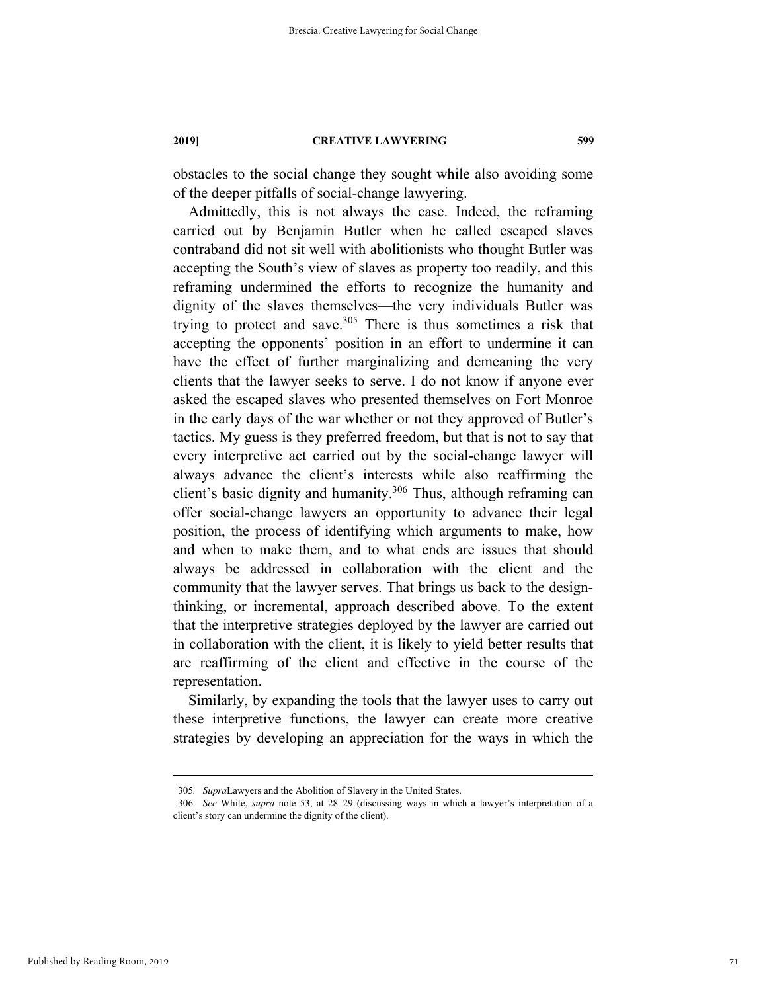obstacles to the social change they sought while also avoiding some of the deeper pitfalls of social-change lawyering.

Admittedly, this is not always the case. Indeed, the reframing carried out by Benjamin Butler when he called escaped slaves contraband did not sit well with abolitionists who thought Butler was accepting the South's view of slaves as property too readily, and this reframing undermined the efforts to recognize the humanity and dignity of the slaves themselves—the very individuals Butler was trying to protect and save.<sup>305</sup> There is thus sometimes a risk that accepting the opponents' position in an effort to undermine it can have the effect of further marginalizing and demeaning the very clients that the lawyer seeks to serve. I do not know if anyone ever asked the escaped slaves who presented themselves on Fort Monroe in the early days of the war whether or not they approved of Butler's tactics. My guess is they preferred freedom, but that is not to say that every interpretive act carried out by the social-change lawyer will always advance the client's interests while also reaffirming the client's basic dignity and humanity.<sup>306</sup> Thus, although reframing can offer social-change lawyers an opportunity to advance their legal position, the process of identifying which arguments to make, how and when to make them, and to what ends are issues that should always be addressed in collaboration with the client and the community that the lawyer serves. That brings us back to the designthinking, or incremental, approach described above. To the extent that the interpretive strategies deployed by the lawyer are carried out in collaboration with the client, it is likely to yield better results that are reaffirming of the client and effective in the course of the representation.

Similarly, by expanding the tools that the lawyer uses to carry out these interpretive functions, the lawyer can create more creative strategies by developing an appreciation for the ways in which the

 <sup>305</sup>*. Supra*Lawyers and the Abolition of Slavery in the United States.

<sup>306</sup>*. See* White, *supra* note 53, at 28–29 (discussing ways in which a lawyer's interpretation of a client's story can undermine the dignity of the client).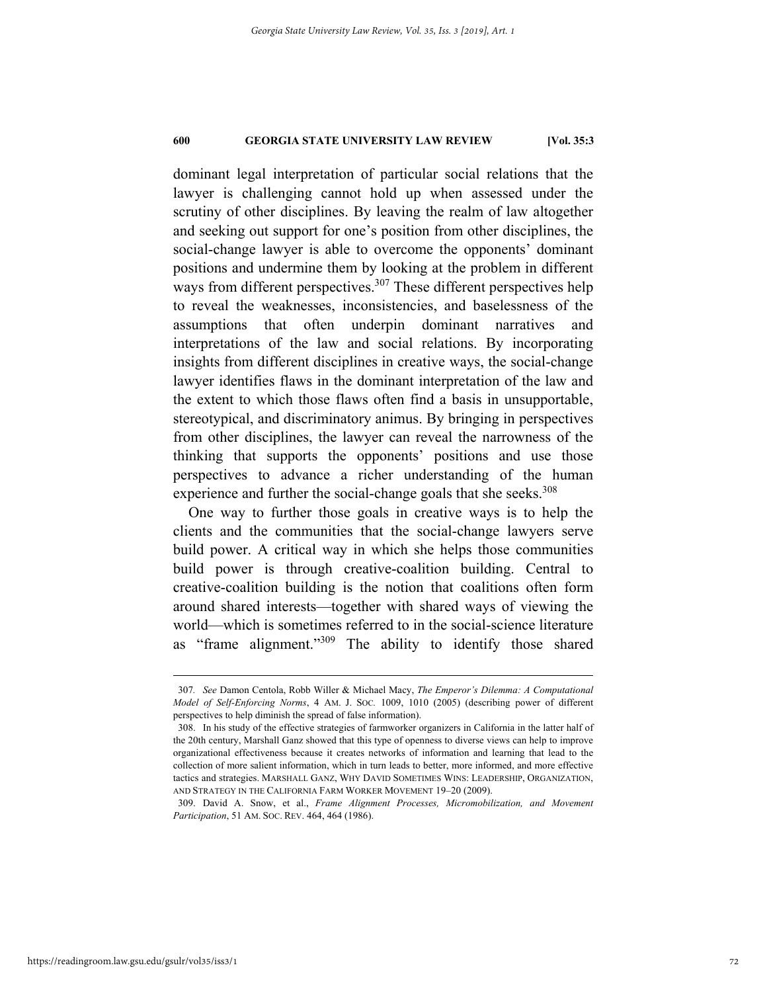## **600 GEORGIA STATE UNIVERSITY LAW REVIEW [Vol. 35:3**

dominant legal interpretation of particular social relations that the lawyer is challenging cannot hold up when assessed under the scrutiny of other disciplines. By leaving the realm of law altogether and seeking out support for one's position from other disciplines, the social-change lawyer is able to overcome the opponents' dominant positions and undermine them by looking at the problem in different ways from different perspectives.<sup>307</sup> These different perspectives help to reveal the weaknesses, inconsistencies, and baselessness of the assumptions that often underpin dominant narratives and interpretations of the law and social relations. By incorporating insights from different disciplines in creative ways, the social-change lawyer identifies flaws in the dominant interpretation of the law and the extent to which those flaws often find a basis in unsupportable, stereotypical, and discriminatory animus. By bringing in perspectives from other disciplines, the lawyer can reveal the narrowness of the thinking that supports the opponents' positions and use those perspectives to advance a richer understanding of the human experience and further the social-change goals that she seeks.<sup>308</sup>

One way to further those goals in creative ways is to help the clients and the communities that the social-change lawyers serve build power. A critical way in which she helps those communities build power is through creative-coalition building. Central to creative-coalition building is the notion that coalitions often form around shared interests—together with shared ways of viewing the world—which is sometimes referred to in the social-science literature as "frame alignment."309 The ability to identify those shared

 <sup>307</sup>*. See* Damon Centola, Robb Willer & Michael Macy, *The Emperor's Dilemma: A Computational Model of Self-Enforcing Norms*, 4 AM. J. SOC*.* 1009, 1010 (2005) (describing power of different perspectives to help diminish the spread of false information).

 <sup>308.</sup> In his study of the effective strategies of farmworker organizers in California in the latter half of the 20th century, Marshall Ganz showed that this type of openness to diverse views can help to improve organizational effectiveness because it creates networks of information and learning that lead to the collection of more salient information, which in turn leads to better, more informed, and more effective tactics and strategies. MARSHALL GANZ, WHY DAVID SOMETIMES WINS: LEADERSHIP, ORGANIZATION, AND STRATEGY IN THE CALIFORNIA FARM WORKER MOVEMENT 19–20 (2009).

 <sup>309.</sup> David A. Snow, et al., *Frame Alignment Processes, Micromobilization, and Movement Participation*, 51 AM. SOC. REV. 464, 464 (1986).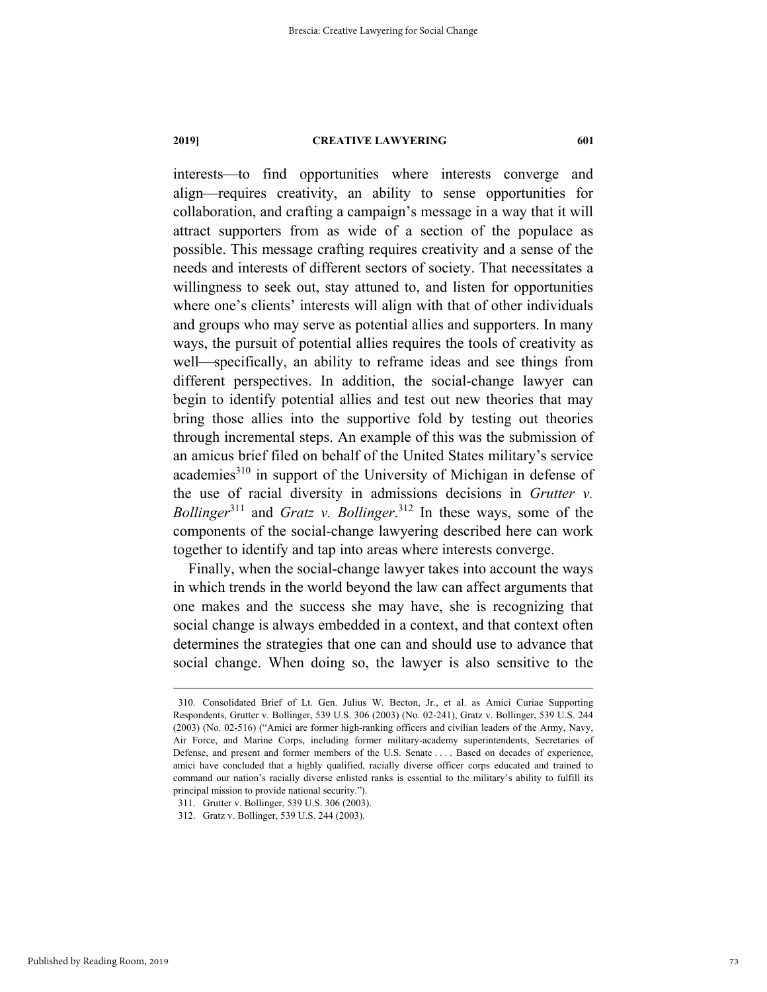#### **2019] CREATIVE LAWYERING 601**

interests—to find opportunities where interests converge and align—requires creativity, an ability to sense opportunities for collaboration, and crafting a campaign's message in a way that it will attract supporters from as wide of a section of the populace as possible. This message crafting requires creativity and a sense of the needs and interests of different sectors of society. That necessitates a willingness to seek out, stay attuned to, and listen for opportunities where one's clients' interests will align with that of other individuals and groups who may serve as potential allies and supporters. In many ways, the pursuit of potential allies requires the tools of creativity as well—specifically, an ability to reframe ideas and see things from different perspectives. In addition, the social-change lawyer can begin to identify potential allies and test out new theories that may bring those allies into the supportive fold by testing out theories through incremental steps. An example of this was the submission of an amicus brief filed on behalf of the United States military's service academies<sup>310</sup> in support of the University of Michigan in defense of the use of racial diversity in admissions decisions in *Grutter v. Bollinger*311 and *Gratz v. Bollinger*. 312 In these ways, some of the components of the social-change lawyering described here can work together to identify and tap into areas where interests converge.

Finally, when the social-change lawyer takes into account the ways in which trends in the world beyond the law can affect arguments that one makes and the success she may have, she is recognizing that social change is always embedded in a context, and that context often determines the strategies that one can and should use to advance that social change. When doing so, the lawyer is also sensitive to the

 <sup>310.</sup> Consolidated Brief of Lt. Gen. Julius W. Becton, Jr., et al. as Amici Curiae Supporting Respondents, Grutter v. Bollinger, 539 U.S. 306 (2003) (No. 02-241), Gratz v. Bollinger, 539 U.S. 244 (2003) (No. 02-516) ("Amici are former high-ranking officers and civilian leaders of the Army, Navy, Air Force, and Marine Corps, including former military-academy superintendents, Secretaries of Defense, and present and former members of the U.S. Senate . . . . Based on decades of experience, amici have concluded that a highly qualified, racially diverse officer corps educated and trained to command our nation's racially diverse enlisted ranks is essential to the military's ability to fulfill its principal mission to provide national security.").

 <sup>311.</sup> Grutter v. Bollinger, 539 U.S. 306 (2003).

 <sup>312.</sup> Gratz v. Bollinger, 539 U.S. 244 (2003).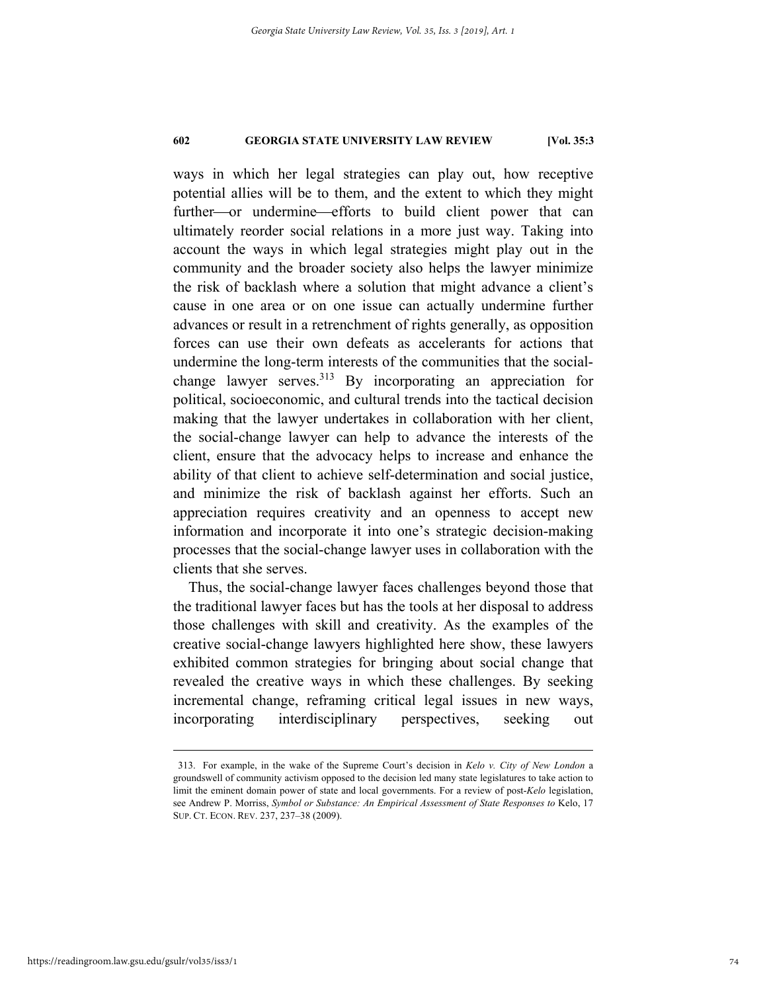## **602 GEORGIA STATE UNIVERSITY LAW REVIEW [Vol. 35:3**

ways in which her legal strategies can play out, how receptive potential allies will be to them, and the extent to which they might further-or undermine-efforts to build client power that can ultimately reorder social relations in a more just way. Taking into account the ways in which legal strategies might play out in the community and the broader society also helps the lawyer minimize the risk of backlash where a solution that might advance a client's cause in one area or on one issue can actually undermine further advances or result in a retrenchment of rights generally, as opposition forces can use their own defeats as accelerants for actions that undermine the long-term interests of the communities that the socialchange lawyer serves.313 By incorporating an appreciation for political, socioeconomic, and cultural trends into the tactical decision making that the lawyer undertakes in collaboration with her client, the social-change lawyer can help to advance the interests of the client, ensure that the advocacy helps to increase and enhance the ability of that client to achieve self-determination and social justice, and minimize the risk of backlash against her efforts. Such an appreciation requires creativity and an openness to accept new information and incorporate it into one's strategic decision-making processes that the social-change lawyer uses in collaboration with the clients that she serves.

Thus, the social-change lawyer faces challenges beyond those that the traditional lawyer faces but has the tools at her disposal to address those challenges with skill and creativity. As the examples of the creative social-change lawyers highlighted here show, these lawyers exhibited common strategies for bringing about social change that revealed the creative ways in which these challenges. By seeking incremental change, reframing critical legal issues in new ways, incorporating interdisciplinary perspectives, seeking out

 <sup>313.</sup> For example, in the wake of the Supreme Court's decision in *Kelo v. City of New London*<sup>a</sup> groundswell of community activism opposed to the decision led many state legislatures to take action to limit the eminent domain power of state and local governments. For a review of post-*Kelo* legislation, see Andrew P. Morriss, *Symbol or Substance: An Empirical Assessment of State Responses to* Kelo, 17 SUP. CT. ECON. REV. 237, 237–38 (2009).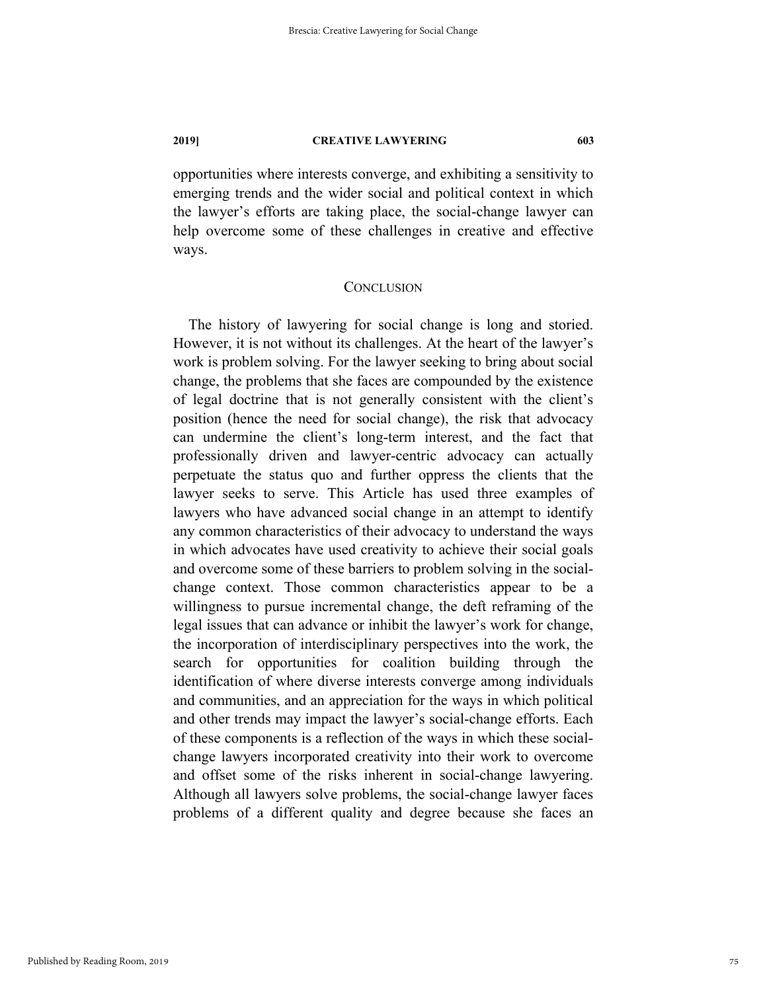### **2019] CREATIVE LAWYERING 603**

opportunities where interests converge, and exhibiting a sensitivity to emerging trends and the wider social and political context in which the lawyer's efforts are taking place, the social-change lawyer can help overcome some of these challenges in creative and effective ways.

## **CONCLUSION**

The history of lawyering for social change is long and storied. However, it is not without its challenges. At the heart of the lawyer's work is problem solving. For the lawyer seeking to bring about social change, the problems that she faces are compounded by the existence of legal doctrine that is not generally consistent with the client's position (hence the need for social change), the risk that advocacy can undermine the client's long-term interest, and the fact that professionally driven and lawyer-centric advocacy can actually perpetuate the status quo and further oppress the clients that the lawyer seeks to serve. This Article has used three examples of lawyers who have advanced social change in an attempt to identify any common characteristics of their advocacy to understand the ways in which advocates have used creativity to achieve their social goals and overcome some of these barriers to problem solving in the socialchange context. Those common characteristics appear to be a willingness to pursue incremental change, the deft reframing of the legal issues that can advance or inhibit the lawyer's work for change, the incorporation of interdisciplinary perspectives into the work, the search for opportunities for coalition building through the identification of where diverse interests converge among individuals and communities, and an appreciation for the ways in which political and other trends may impact the lawyer's social-change efforts. Each of these components is a reflection of the ways in which these socialchange lawyers incorporated creativity into their work to overcome and offset some of the risks inherent in social-change lawyering. Although all lawyers solve problems, the social-change lawyer faces problems of a different quality and degree because she faces an